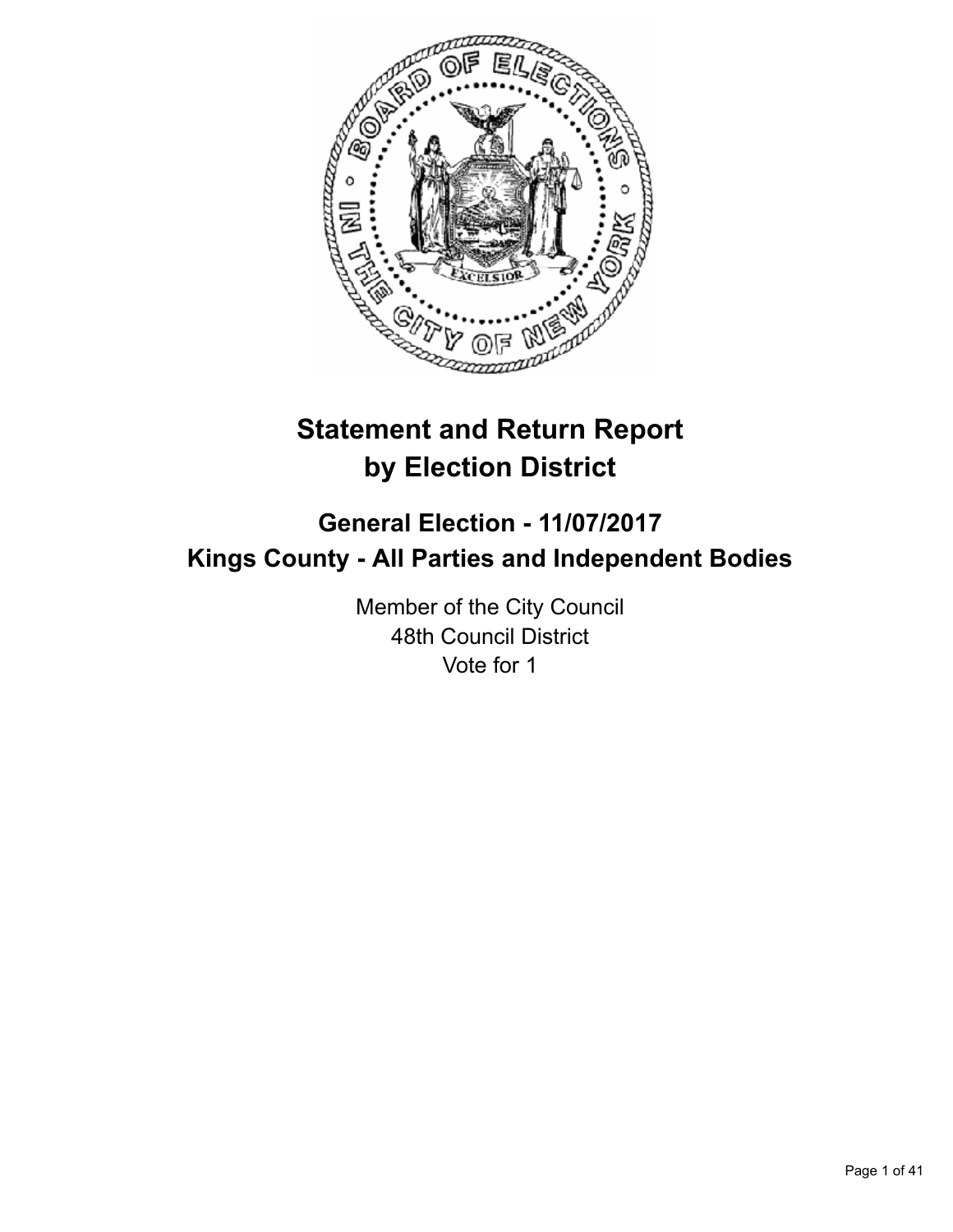

# **Statement and Return Report by Election District**

# **General Election - 11/07/2017 Kings County - All Parties and Independent Bodies**

Member of the City Council 48th Council District Vote for 1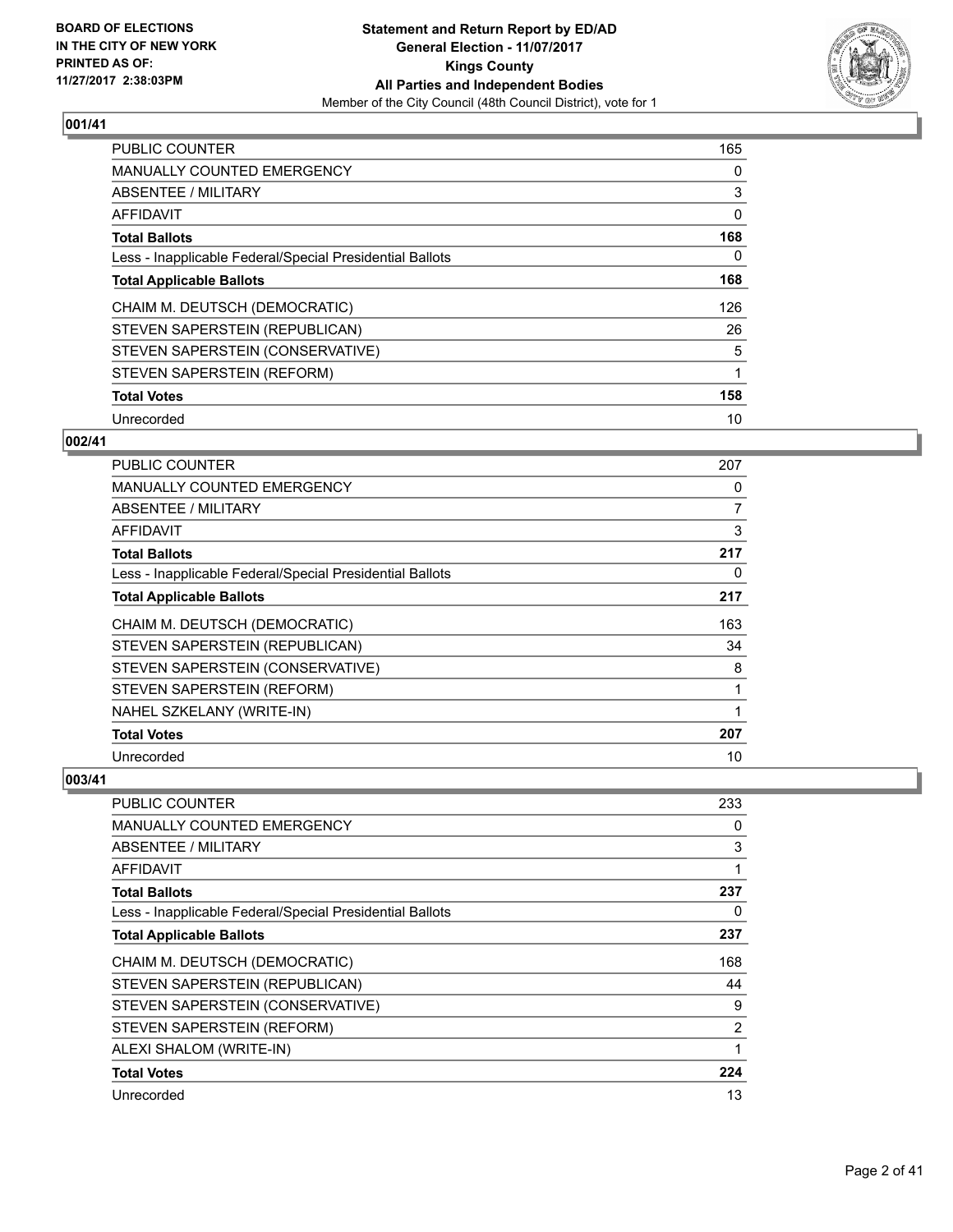

| <b>PUBLIC COUNTER</b>                                    | 165 |
|----------------------------------------------------------|-----|
| <b>MANUALLY COUNTED EMERGENCY</b>                        | 0   |
| ABSENTEE / MILITARY                                      | 3   |
| <b>AFFIDAVIT</b>                                         | 0   |
| <b>Total Ballots</b>                                     | 168 |
| Less - Inapplicable Federal/Special Presidential Ballots | 0   |
| <b>Total Applicable Ballots</b>                          | 168 |
| CHAIM M. DEUTSCH (DEMOCRATIC)                            | 126 |
| STEVEN SAPERSTEIN (REPUBLICAN)                           | 26  |
| STEVEN SAPERSTEIN (CONSERVATIVE)                         | 5   |
| STEVEN SAPERSTEIN (REFORM)                               | 1   |
| <b>Total Votes</b>                                       | 158 |
| Unrecorded                                               | 10  |

# **002/41**

| <b>PUBLIC COUNTER</b>                                    | 207 |
|----------------------------------------------------------|-----|
| <b>MANUALLY COUNTED EMERGENCY</b>                        | 0   |
| ABSENTEE / MILITARY                                      | 7   |
| AFFIDAVIT                                                | 3   |
| <b>Total Ballots</b>                                     | 217 |
| Less - Inapplicable Federal/Special Presidential Ballots | 0   |
| <b>Total Applicable Ballots</b>                          | 217 |
| CHAIM M. DEUTSCH (DEMOCRATIC)                            | 163 |
| STEVEN SAPERSTEIN (REPUBLICAN)                           | 34  |
| STEVEN SAPERSTEIN (CONSERVATIVE)                         | 8   |
| STEVEN SAPERSTEIN (REFORM)                               | 1   |
| NAHEL SZKELANY (WRITE-IN)                                |     |
| <b>Total Votes</b>                                       | 207 |
| Unrecorded                                               | 10  |

| PUBLIC COUNTER                                           | 233 |
|----------------------------------------------------------|-----|
| <b>MANUALLY COUNTED EMERGENCY</b>                        | 0   |
| ABSENTEE / MILITARY                                      | 3   |
| AFFIDAVIT                                                | 1   |
| <b>Total Ballots</b>                                     | 237 |
| Less - Inapplicable Federal/Special Presidential Ballots | 0   |
| <b>Total Applicable Ballots</b>                          | 237 |
| CHAIM M. DEUTSCH (DEMOCRATIC)                            | 168 |
| STEVEN SAPERSTEIN (REPUBLICAN)                           | 44  |
| STEVEN SAPERSTEIN (CONSERVATIVE)                         | 9   |
| STEVEN SAPERSTEIN (REFORM)                               | 2   |
| ALEXI SHALOM (WRITE-IN)                                  |     |
| <b>Total Votes</b>                                       | 224 |
| Unrecorded                                               | 13  |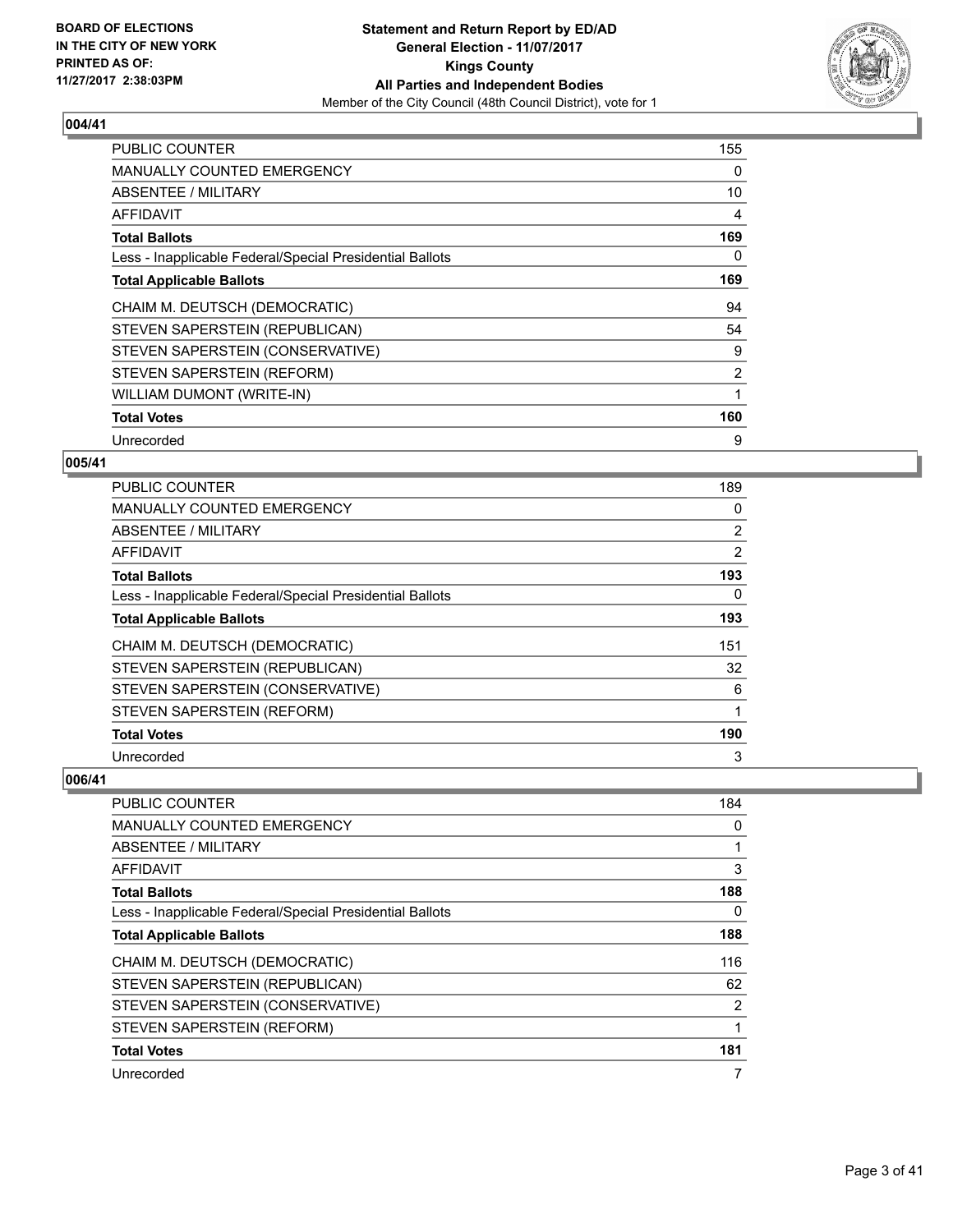

| <b>PUBLIC COUNTER</b>                                    | 155            |
|----------------------------------------------------------|----------------|
| <b>MANUALLY COUNTED EMERGENCY</b>                        | 0              |
| ABSENTEE / MILITARY                                      | 10             |
| AFFIDAVIT                                                | 4              |
| <b>Total Ballots</b>                                     | 169            |
| Less - Inapplicable Federal/Special Presidential Ballots | 0              |
| <b>Total Applicable Ballots</b>                          | 169            |
|                                                          |                |
| CHAIM M. DEUTSCH (DEMOCRATIC)                            | 94             |
| STEVEN SAPERSTEIN (REPUBLICAN)                           | 54             |
| STEVEN SAPERSTEIN (CONSERVATIVE)                         | 9              |
| STEVEN SAPERSTEIN (REFORM)                               | $\overline{2}$ |
| WILLIAM DUMONT (WRITE-IN)                                |                |
| <b>Total Votes</b>                                       | 160            |

# **005/41**

| PUBLIC COUNTER                                           | 189 |
|----------------------------------------------------------|-----|
| <b>MANUALLY COUNTED EMERGENCY</b>                        | 0   |
| ABSENTEE / MILITARY                                      | 2   |
| AFFIDAVIT                                                | 2   |
| <b>Total Ballots</b>                                     | 193 |
| Less - Inapplicable Federal/Special Presidential Ballots | 0   |
| <b>Total Applicable Ballots</b>                          | 193 |
| CHAIM M. DEUTSCH (DEMOCRATIC)                            | 151 |
| STEVEN SAPERSTEIN (REPUBLICAN)                           | 32  |
| STEVEN SAPERSTEIN (CONSERVATIVE)                         | 6   |
| STEVEN SAPERSTEIN (REFORM)                               | 1   |
| <b>Total Votes</b>                                       | 190 |
| Unrecorded                                               | 3   |

| PUBLIC COUNTER                                           | 184 |
|----------------------------------------------------------|-----|
| <b>MANUALLY COUNTED EMERGENCY</b>                        | 0   |
| ABSENTEE / MILITARY                                      |     |
| AFFIDAVIT                                                | 3   |
| <b>Total Ballots</b>                                     | 188 |
| Less - Inapplicable Federal/Special Presidential Ballots | 0   |
| <b>Total Applicable Ballots</b>                          | 188 |
| CHAIM M. DEUTSCH (DEMOCRATIC)                            | 116 |
| STEVEN SAPERSTEIN (REPUBLICAN)                           | 62  |
| STEVEN SAPERSTEIN (CONSERVATIVE)                         | 2   |
| STEVEN SAPERSTEIN (REFORM)                               |     |
| <b>Total Votes</b>                                       | 181 |
| Unrecorded                                               | 7   |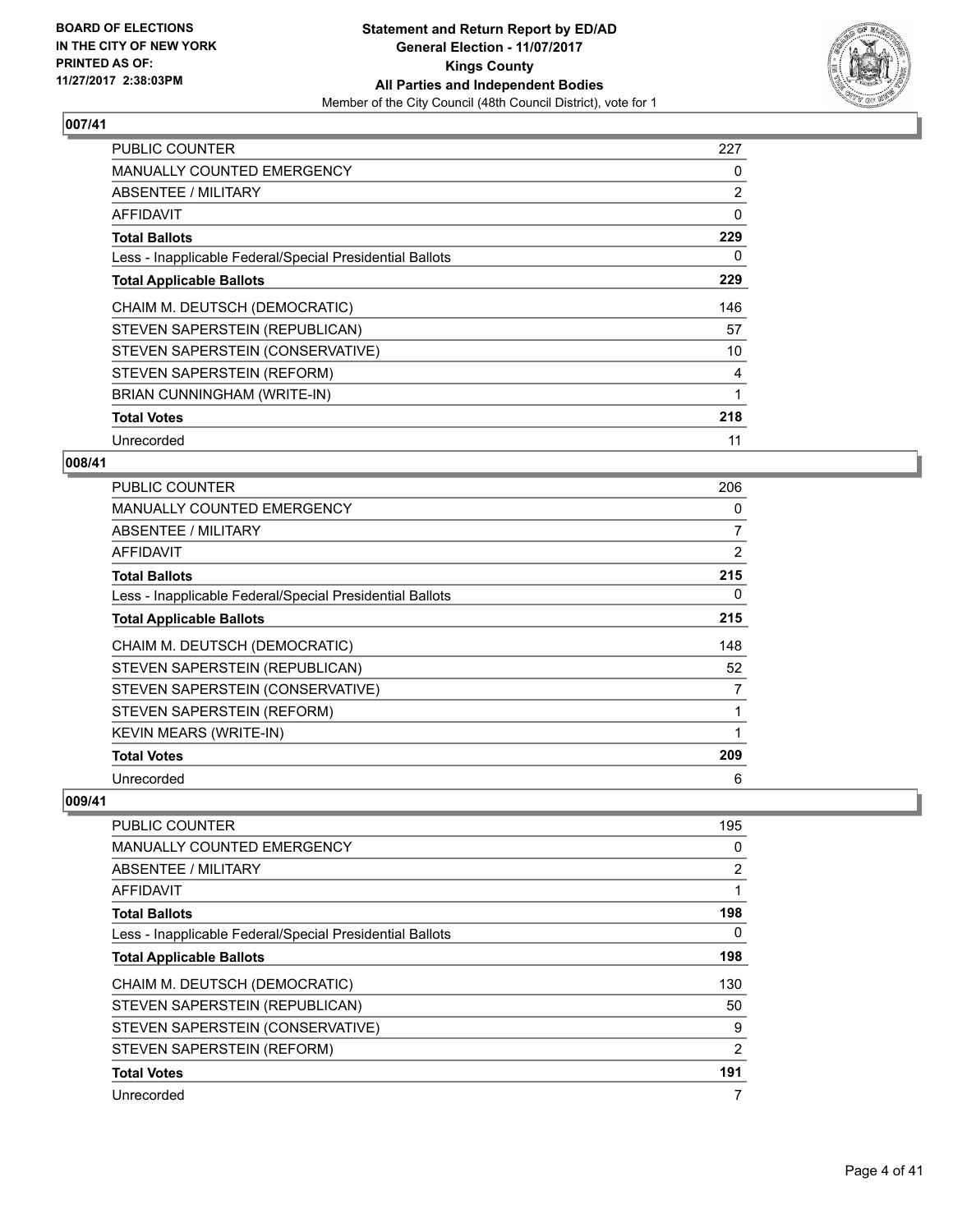

| <b>PUBLIC COUNTER</b>                                    | 227 |
|----------------------------------------------------------|-----|
| <b>MANUALLY COUNTED EMERGENCY</b>                        | 0   |
| ABSENTEE / MILITARY                                      | 2   |
| AFFIDAVIT                                                | 0   |
| <b>Total Ballots</b>                                     | 229 |
| Less - Inapplicable Federal/Special Presidential Ballots | 0   |
| <b>Total Applicable Ballots</b>                          | 229 |
| CHAIM M. DEUTSCH (DEMOCRATIC)                            | 146 |
| STEVEN SAPERSTEIN (REPUBLICAN)                           | 57  |
| STEVEN SAPERSTEIN (CONSERVATIVE)                         | 10  |
| STEVEN SAPERSTEIN (REFORM)                               | 4   |
| BRIAN CUNNINGHAM (WRITE-IN)                              |     |
| <b>Total Votes</b>                                       | 218 |
| Unrecorded                                               | 11  |

# **008/41**

| <b>PUBLIC COUNTER</b>                                    | 206            |
|----------------------------------------------------------|----------------|
| <b>MANUALLY COUNTED EMERGENCY</b>                        | 0              |
| ABSENTEE / MILITARY                                      | $\overline{7}$ |
| AFFIDAVIT                                                | 2              |
| <b>Total Ballots</b>                                     | 215            |
| Less - Inapplicable Federal/Special Presidential Ballots | 0              |
| <b>Total Applicable Ballots</b>                          | 215            |
| CHAIM M. DEUTSCH (DEMOCRATIC)                            | 148            |
| STEVEN SAPERSTEIN (REPUBLICAN)                           | 52             |
| STEVEN SAPERSTEIN (CONSERVATIVE)                         | 7              |
| STEVEN SAPERSTEIN (REFORM)                               |                |
| <b>KEVIN MEARS (WRITE-IN)</b>                            |                |
| <b>Total Votes</b>                                       | 209            |
| Unrecorded                                               | 6              |

| <b>PUBLIC COUNTER</b>                                    | 195            |
|----------------------------------------------------------|----------------|
| <b>MANUALLY COUNTED EMERGENCY</b>                        | 0              |
| ABSENTEE / MILITARY                                      | $\overline{2}$ |
| AFFIDAVIT                                                | 1              |
| <b>Total Ballots</b>                                     | 198            |
| Less - Inapplicable Federal/Special Presidential Ballots | 0              |
| <b>Total Applicable Ballots</b>                          | 198            |
| CHAIM M. DEUTSCH (DEMOCRATIC)                            | 130            |
| STEVEN SAPERSTEIN (REPUBLICAN)                           | 50             |
| STEVEN SAPERSTEIN (CONSERVATIVE)                         | 9              |
| STEVEN SAPERSTEIN (REFORM)                               | 2              |
| <b>Total Votes</b>                                       | 191            |
| Unrecorded                                               | 7              |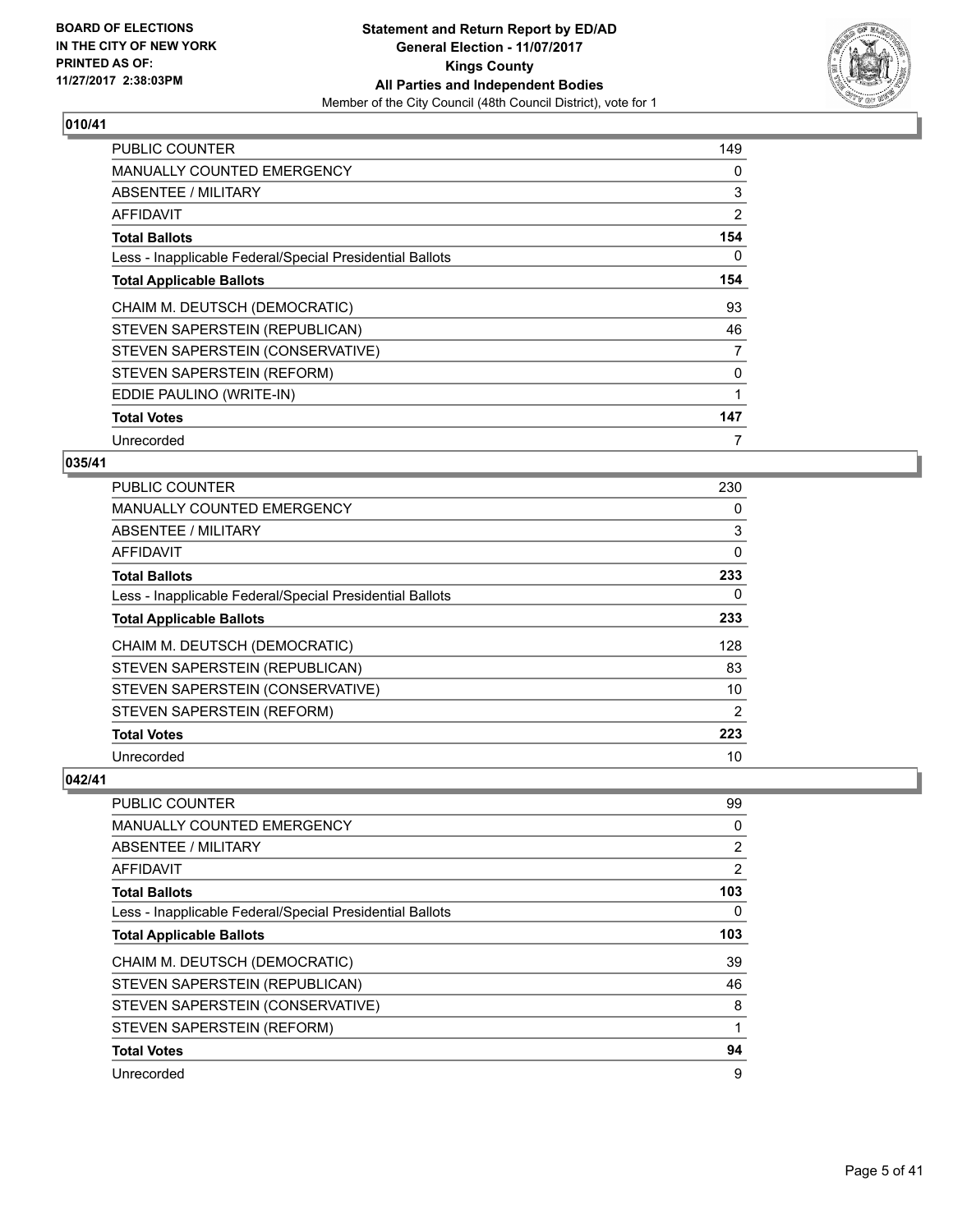

| <b>PUBLIC COUNTER</b>                                    | 149 |
|----------------------------------------------------------|-----|
| <b>MANUALLY COUNTED EMERGENCY</b>                        | 0   |
| ABSENTEE / MILITARY                                      | 3   |
| AFFIDAVIT                                                | 2   |
| <b>Total Ballots</b>                                     | 154 |
| Less - Inapplicable Federal/Special Presidential Ballots | 0   |
| <b>Total Applicable Ballots</b>                          | 154 |
| CHAIM M. DEUTSCH (DEMOCRATIC)                            | 93  |
| STEVEN SAPERSTEIN (REPUBLICAN)                           | 46  |
| STEVEN SAPERSTEIN (CONSERVATIVE)                         | 7   |
| STEVEN SAPERSTEIN (REFORM)                               | 0   |
| EDDIE PAULINO (WRITE-IN)                                 | 1   |
| <b>Total Votes</b>                                       | 147 |
| Unrecorded                                               | 7   |

# **035/41**

| PUBLIC COUNTER                                           | 230 |
|----------------------------------------------------------|-----|
| MANUALLY COUNTED EMERGENCY                               | 0   |
| ABSENTEE / MILITARY                                      | 3   |
| AFFIDAVIT                                                | 0   |
| <b>Total Ballots</b>                                     | 233 |
| Less - Inapplicable Federal/Special Presidential Ballots | 0   |
| <b>Total Applicable Ballots</b>                          | 233 |
| CHAIM M. DEUTSCH (DEMOCRATIC)                            | 128 |
| STEVEN SAPERSTEIN (REPUBLICAN)                           | 83  |
| STEVEN SAPERSTEIN (CONSERVATIVE)                         | 10  |
| STEVEN SAPERSTEIN (REFORM)                               | 2   |
| <b>Total Votes</b>                                       | 223 |
| Unrecorded                                               | 10  |

| PUBLIC COUNTER                                           | 99             |
|----------------------------------------------------------|----------------|
| MANUALLY COUNTED EMERGENCY                               | 0              |
| ABSENTEE / MILITARY                                      | $\overline{2}$ |
| AFFIDAVIT                                                | 2              |
| <b>Total Ballots</b>                                     | 103            |
| Less - Inapplicable Federal/Special Presidential Ballots | 0              |
| <b>Total Applicable Ballots</b>                          | 103            |
| CHAIM M. DEUTSCH (DEMOCRATIC)                            | 39             |
| STEVEN SAPERSTEIN (REPUBLICAN)                           | 46             |
| STEVEN SAPERSTEIN (CONSERVATIVE)                         | 8              |
| STEVEN SAPERSTEIN (REFORM)                               |                |
| <b>Total Votes</b>                                       | 94             |
| Unrecorded                                               | 9              |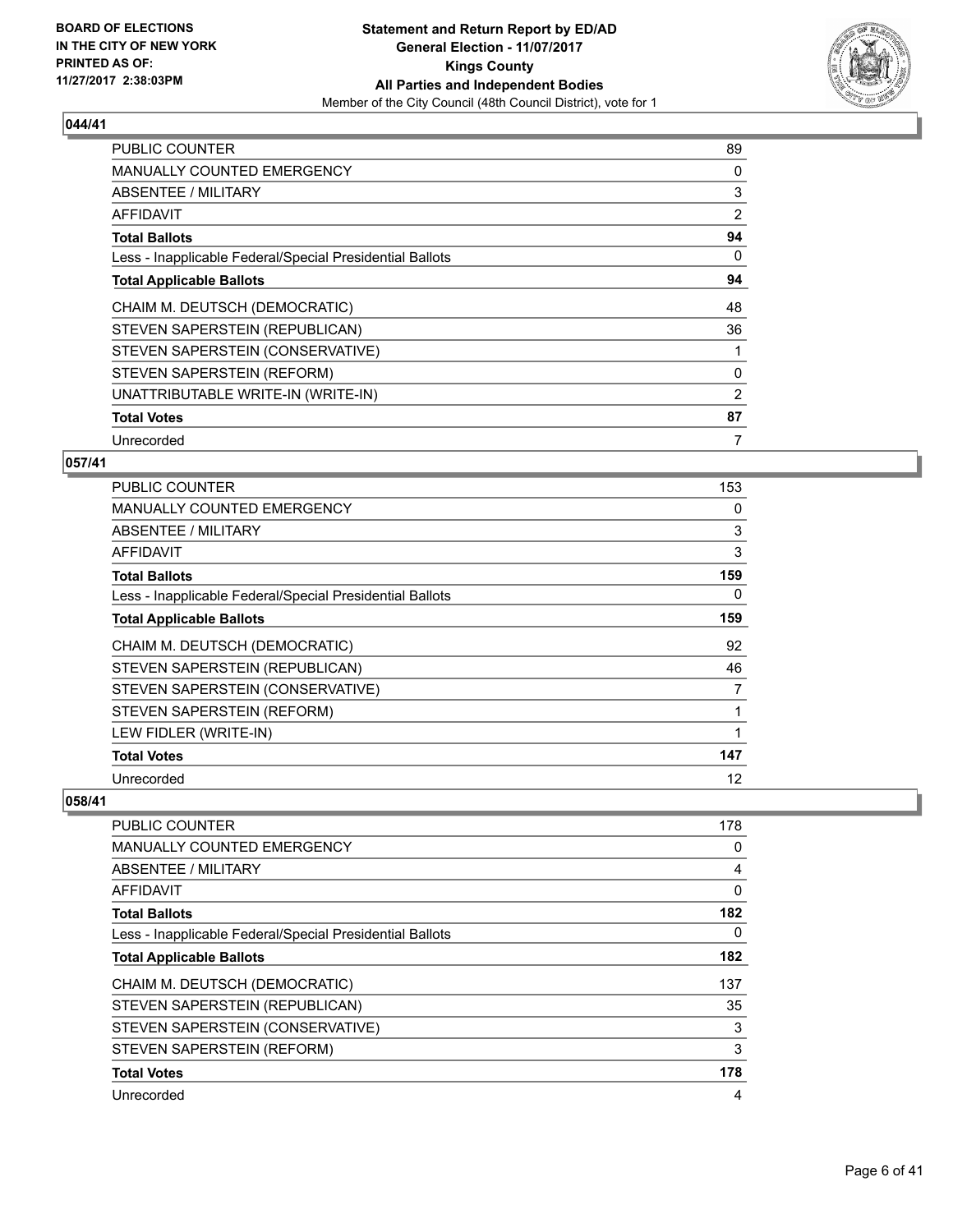

| <b>PUBLIC COUNTER</b>                                    | 89 |
|----------------------------------------------------------|----|
| MANUALLY COUNTED EMERGENCY                               | 0  |
| <b>ABSENTEE / MILITARY</b>                               | 3  |
| AFFIDAVIT                                                | 2  |
| <b>Total Ballots</b>                                     | 94 |
| Less - Inapplicable Federal/Special Presidential Ballots | 0  |
| <b>Total Applicable Ballots</b>                          | 94 |
| CHAIM M. DEUTSCH (DEMOCRATIC)                            | 48 |
| STEVEN SAPERSTEIN (REPUBLICAN)                           | 36 |
| STEVEN SAPERSTEIN (CONSERVATIVE)                         |    |
| STEVEN SAPERSTEIN (REFORM)                               | 0  |
| UNATTRIBUTABLE WRITE-IN (WRITE-IN)                       | 2  |
| <b>Total Votes</b>                                       | 87 |
| Unrecorded                                               | 7  |

# **057/41**

| <b>PUBLIC COUNTER</b>                                    | 153 |
|----------------------------------------------------------|-----|
| <b>MANUALLY COUNTED EMERGENCY</b>                        | 0   |
| ABSENTEE / MILITARY                                      | 3   |
| AFFIDAVIT                                                | 3   |
| <b>Total Ballots</b>                                     | 159 |
| Less - Inapplicable Federal/Special Presidential Ballots | 0   |
| <b>Total Applicable Ballots</b>                          | 159 |
| CHAIM M. DEUTSCH (DEMOCRATIC)                            | 92  |
| STEVEN SAPERSTEIN (REPUBLICAN)                           | 46  |
| STEVEN SAPERSTEIN (CONSERVATIVE)                         | 7   |
| STEVEN SAPERSTEIN (REFORM)                               | 1   |
| LEW FIDLER (WRITE-IN)                                    |     |
| <b>Total Votes</b>                                       | 147 |
| Unrecorded                                               | 12  |

| <b>PUBLIC COUNTER</b>                                    | 178 |
|----------------------------------------------------------|-----|
| <b>MANUALLY COUNTED EMERGENCY</b>                        | 0   |
| ABSENTEE / MILITARY                                      | 4   |
| AFFIDAVIT                                                | 0   |
| <b>Total Ballots</b>                                     | 182 |
| Less - Inapplicable Federal/Special Presidential Ballots | 0   |
| <b>Total Applicable Ballots</b>                          | 182 |
| CHAIM M. DEUTSCH (DEMOCRATIC)                            | 137 |
| STEVEN SAPERSTEIN (REPUBLICAN)                           | 35  |
| STEVEN SAPERSTEIN (CONSERVATIVE)                         | 3   |
| STEVEN SAPERSTEIN (REFORM)                               | 3   |
| <b>Total Votes</b>                                       | 178 |
| Unrecorded                                               | 4   |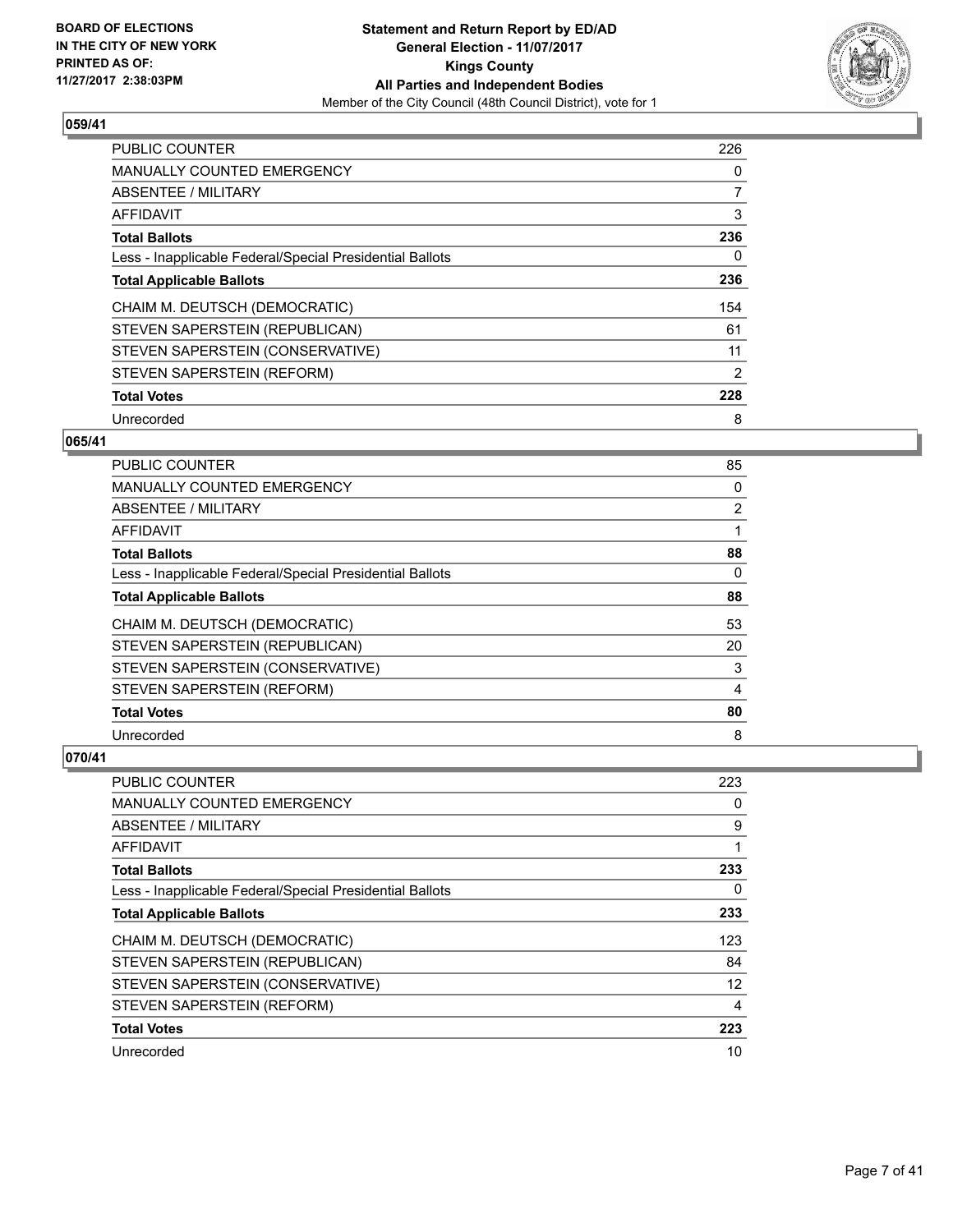

| <b>PUBLIC COUNTER</b>                                    | 226 |
|----------------------------------------------------------|-----|
| <b>MANUALLY COUNTED EMERGENCY</b>                        | 0   |
| ABSENTEE / MILITARY                                      | 7   |
| <b>AFFIDAVIT</b>                                         | 3   |
| <b>Total Ballots</b>                                     | 236 |
| Less - Inapplicable Federal/Special Presidential Ballots | 0   |
| <b>Total Applicable Ballots</b>                          | 236 |
| CHAIM M. DEUTSCH (DEMOCRATIC)                            | 154 |
| STEVEN SAPERSTEIN (REPUBLICAN)                           | 61  |
| STEVEN SAPERSTEIN (CONSERVATIVE)                         | 11  |
| STEVEN SAPERSTEIN (REFORM)                               | 2   |
| <b>Total Votes</b>                                       | 228 |
| Unrecorded                                               | 8   |

#### **065/41**

| PUBLIC COUNTER                                           | 85             |
|----------------------------------------------------------|----------------|
| <b>MANUALLY COUNTED EMERGENCY</b>                        | 0              |
| ABSENTEE / MILITARY                                      | $\overline{2}$ |
| AFFIDAVIT                                                |                |
| <b>Total Ballots</b>                                     | 88             |
| Less - Inapplicable Federal/Special Presidential Ballots | 0              |
| <b>Total Applicable Ballots</b>                          | 88             |
| CHAIM M. DEUTSCH (DEMOCRATIC)                            | 53             |
| STEVEN SAPERSTEIN (REPUBLICAN)                           | 20             |
| STEVEN SAPERSTEIN (CONSERVATIVE)                         | 3              |
| STEVEN SAPERSTEIN (REFORM)                               | 4              |
| <b>Total Votes</b>                                       | 80             |
| Unrecorded                                               | 8              |

| <b>PUBLIC COUNTER</b>                                    | 223 |
|----------------------------------------------------------|-----|
| <b>MANUALLY COUNTED EMERGENCY</b>                        | 0   |
| ABSENTEE / MILITARY                                      | 9   |
| AFFIDAVIT                                                | 1   |
| <b>Total Ballots</b>                                     | 233 |
| Less - Inapplicable Federal/Special Presidential Ballots | 0   |
| <b>Total Applicable Ballots</b>                          | 233 |
| CHAIM M. DEUTSCH (DEMOCRATIC)                            | 123 |
| STEVEN SAPERSTEIN (REPUBLICAN)                           | 84  |
| STEVEN SAPERSTEIN (CONSERVATIVE)                         | 12  |
| STEVEN SAPERSTEIN (REFORM)                               | 4   |
| <b>Total Votes</b>                                       | 223 |
| Unrecorded                                               | 10  |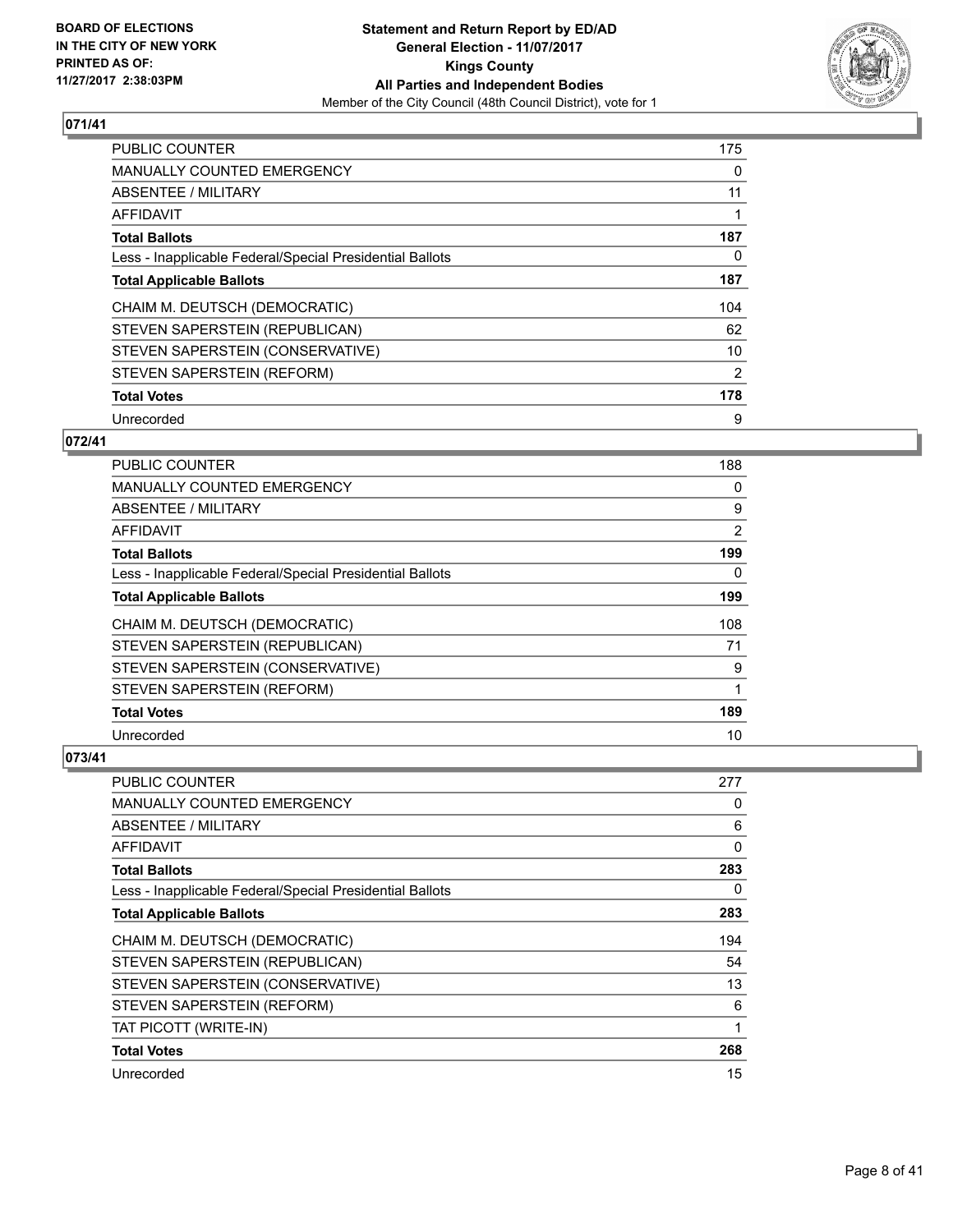

| <b>PUBLIC COUNTER</b>                                    | 175 |
|----------------------------------------------------------|-----|
| <b>MANUALLY COUNTED EMERGENCY</b>                        | 0   |
| ABSENTEE / MILITARY                                      | 11  |
| AFFIDAVIT                                                |     |
| <b>Total Ballots</b>                                     | 187 |
| Less - Inapplicable Federal/Special Presidential Ballots | 0   |
| <b>Total Applicable Ballots</b>                          | 187 |
| CHAIM M. DEUTSCH (DEMOCRATIC)                            | 104 |
| STEVEN SAPERSTEIN (REPUBLICAN)                           | 62  |
| STEVEN SAPERSTEIN (CONSERVATIVE)                         | 10  |
| STEVEN SAPERSTEIN (REFORM)                               | 2   |
| <b>Total Votes</b>                                       | 178 |
| Unrecorded                                               | 9   |

# **072/41**

| <b>PUBLIC COUNTER</b>                                    | 188 |
|----------------------------------------------------------|-----|
| <b>MANUALLY COUNTED EMERGENCY</b>                        | 0   |
| ABSENTEE / MILITARY                                      | 9   |
| AFFIDAVIT                                                | 2   |
| <b>Total Ballots</b>                                     | 199 |
| Less - Inapplicable Federal/Special Presidential Ballots | 0   |
| <b>Total Applicable Ballots</b>                          | 199 |
| CHAIM M. DEUTSCH (DEMOCRATIC)                            | 108 |
| STEVEN SAPERSTEIN (REPUBLICAN)                           | 71  |
| STEVEN SAPERSTEIN (CONSERVATIVE)                         | 9   |
| STEVEN SAPERSTEIN (REFORM)                               | 1   |
| <b>Total Votes</b>                                       | 189 |
| Unrecorded                                               | 10  |

| <b>PUBLIC COUNTER</b>                                    | 277          |
|----------------------------------------------------------|--------------|
| <b>MANUALLY COUNTED EMERGENCY</b>                        | 0            |
| ABSENTEE / MILITARY                                      | 6            |
| AFFIDAVIT                                                | $\mathbf{0}$ |
| <b>Total Ballots</b>                                     | 283          |
| Less - Inapplicable Federal/Special Presidential Ballots | 0            |
| <b>Total Applicable Ballots</b>                          | 283          |
| CHAIM M. DEUTSCH (DEMOCRATIC)                            | 194          |
| STEVEN SAPERSTEIN (REPUBLICAN)                           | 54           |
| STEVEN SAPERSTEIN (CONSERVATIVE)                         | 13           |
| STEVEN SAPERSTEIN (REFORM)                               | 6            |
| TAT PICOTT (WRITE-IN)                                    | 1            |
| <b>Total Votes</b>                                       | 268          |
| Unrecorded                                               | 15           |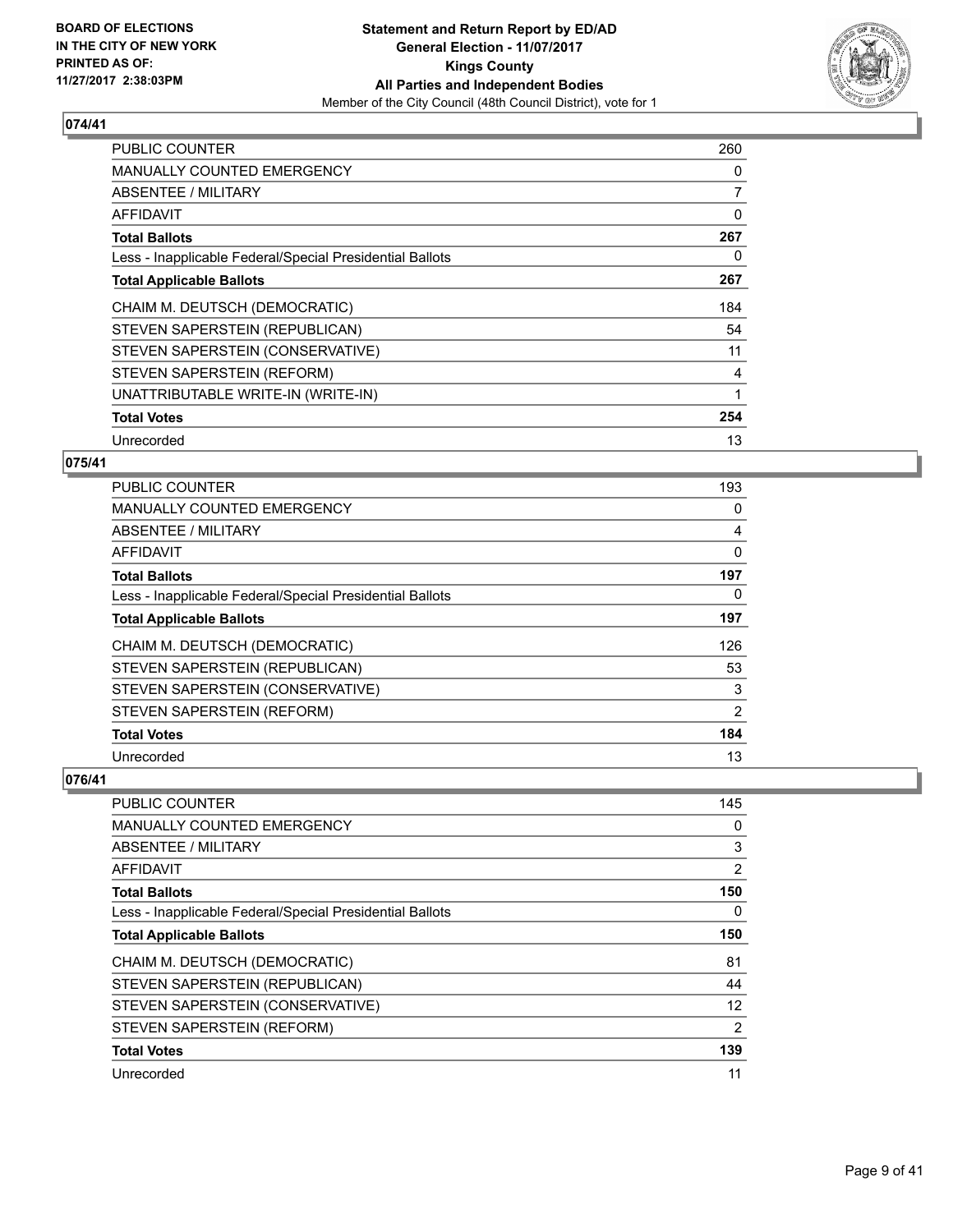

| <b>PUBLIC COUNTER</b>                                    | 260            |
|----------------------------------------------------------|----------------|
| <b>MANUALLY COUNTED EMERGENCY</b>                        | 0              |
| <b>ABSENTEE / MILITARY</b>                               | $\overline{7}$ |
| AFFIDAVIT                                                | 0              |
| <b>Total Ballots</b>                                     | 267            |
| Less - Inapplicable Federal/Special Presidential Ballots | 0              |
| <b>Total Applicable Ballots</b>                          | 267            |
| CHAIM M. DEUTSCH (DEMOCRATIC)                            | 184            |
| STEVEN SAPERSTEIN (REPUBLICAN)                           | 54             |
| STEVEN SAPERSTEIN (CONSERVATIVE)                         | 11             |
| STEVEN SAPERSTEIN (REFORM)                               | 4              |
| UNATTRIBUTABLE WRITE-IN (WRITE-IN)                       | 1              |
| <b>Total Votes</b>                                       | 254            |
| Unrecorded                                               | 13             |

# **075/41**

| PUBLIC COUNTER                                           | 193 |
|----------------------------------------------------------|-----|
| MANUALLY COUNTED EMERGENCY                               | 0   |
| ABSENTEE / MILITARY                                      | 4   |
| AFFIDAVIT                                                | 0   |
| <b>Total Ballots</b>                                     | 197 |
| Less - Inapplicable Federal/Special Presidential Ballots | 0   |
| <b>Total Applicable Ballots</b>                          | 197 |
| CHAIM M. DEUTSCH (DEMOCRATIC)                            | 126 |
| STEVEN SAPERSTEIN (REPUBLICAN)                           | 53  |
| STEVEN SAPERSTEIN (CONSERVATIVE)                         | 3   |
| STEVEN SAPERSTEIN (REFORM)                               | 2   |
| <b>Total Votes</b>                                       | 184 |
| Unrecorded                                               | 13  |

| PUBLIC COUNTER                                           | 145 |
|----------------------------------------------------------|-----|
| MANUALLY COUNTED EMERGENCY                               | 0   |
| ABSENTEE / MILITARY                                      | 3   |
| AFFIDAVIT                                                | 2   |
| <b>Total Ballots</b>                                     | 150 |
| Less - Inapplicable Federal/Special Presidential Ballots | 0   |
| <b>Total Applicable Ballots</b>                          | 150 |
| CHAIM M. DEUTSCH (DEMOCRATIC)                            | 81  |
| STEVEN SAPERSTEIN (REPUBLICAN)                           | 44  |
| STEVEN SAPERSTEIN (CONSERVATIVE)                         | 12  |
| STEVEN SAPERSTEIN (REFORM)                               | 2   |
| <b>Total Votes</b>                                       | 139 |
| Unrecorded                                               | 11  |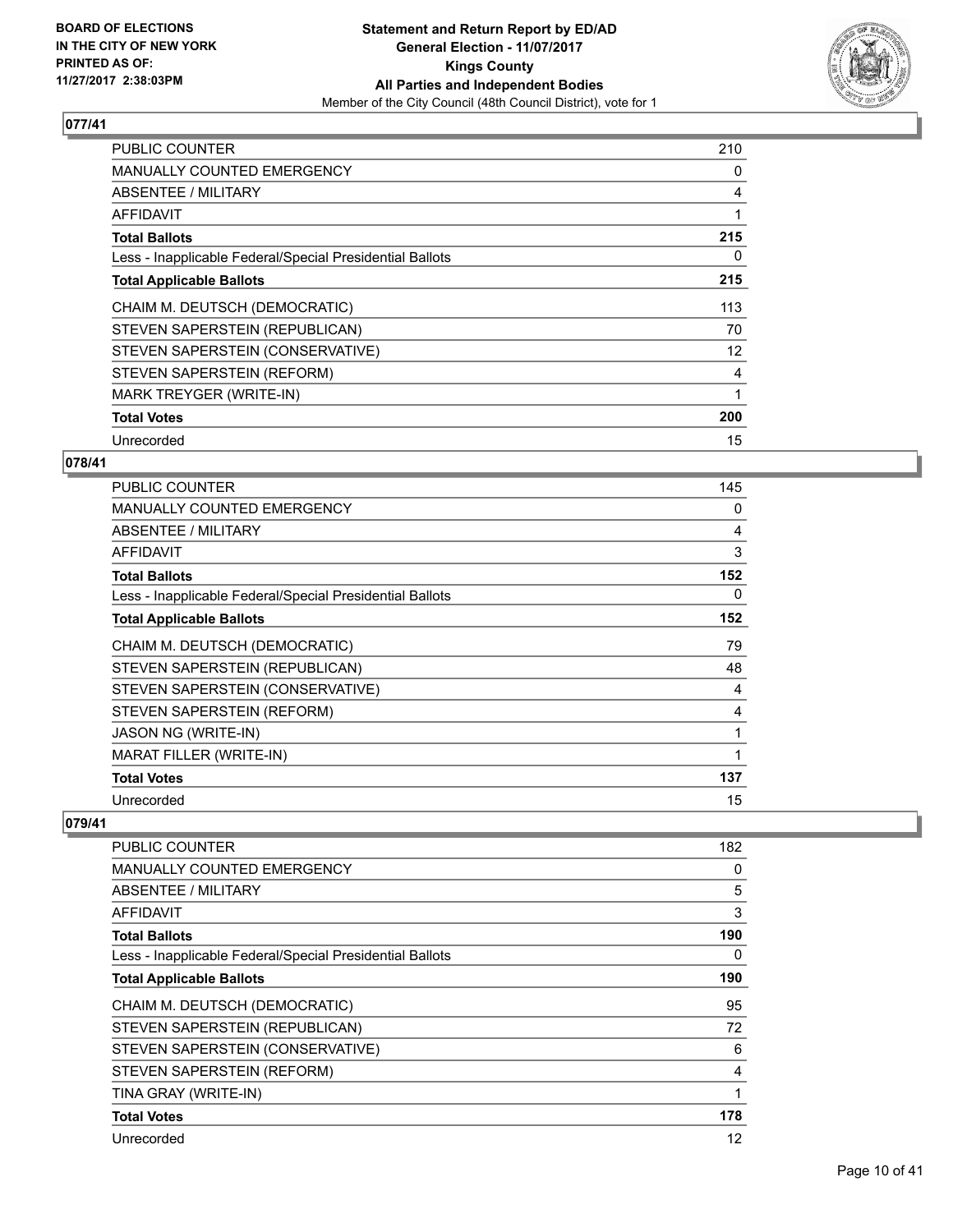

| <b>PUBLIC COUNTER</b>                                    | 210 |
|----------------------------------------------------------|-----|
| <b>MANUALLY COUNTED EMERGENCY</b>                        | 0   |
| ABSENTEE / MILITARY                                      | 4   |
| AFFIDAVIT                                                |     |
| <b>Total Ballots</b>                                     | 215 |
| Less - Inapplicable Federal/Special Presidential Ballots | 0   |
| <b>Total Applicable Ballots</b>                          | 215 |
| CHAIM M. DEUTSCH (DEMOCRATIC)                            | 113 |
| STEVEN SAPERSTEIN (REPUBLICAN)                           | 70  |
| STEVEN SAPERSTEIN (CONSERVATIVE)                         | 12  |
| STEVEN SAPERSTEIN (REFORM)                               | 4   |
| MARK TREYGER (WRITE-IN)                                  | 1   |
| <b>Total Votes</b>                                       | 200 |
| Unrecorded                                               | 15  |

# **078/41**

| <b>PUBLIC COUNTER</b>                                    | 145 |
|----------------------------------------------------------|-----|
| <b>MANUALLY COUNTED EMERGENCY</b>                        | 0   |
| ABSENTEE / MILITARY                                      | 4   |
| AFFIDAVIT                                                | 3   |
| <b>Total Ballots</b>                                     | 152 |
| Less - Inapplicable Federal/Special Presidential Ballots | 0   |
| <b>Total Applicable Ballots</b>                          | 152 |
| CHAIM M. DEUTSCH (DEMOCRATIC)                            | 79  |
| STEVEN SAPERSTEIN (REPUBLICAN)                           | 48  |
| STEVEN SAPERSTEIN (CONSERVATIVE)                         | 4   |
| STEVEN SAPERSTEIN (REFORM)                               | 4   |
| <b>JASON NG (WRITE-IN)</b>                               | 1   |
| <b>MARAT FILLER (WRITE-IN)</b>                           |     |
| <b>Total Votes</b>                                       | 137 |
| Unrecorded                                               | 15  |

| PUBLIC COUNTER                                           | 182 |
|----------------------------------------------------------|-----|
| <b>MANUALLY COUNTED EMERGENCY</b>                        | 0   |
| ABSENTEE / MILITARY                                      | 5   |
| AFFIDAVIT                                                | 3   |
| <b>Total Ballots</b>                                     | 190 |
| Less - Inapplicable Federal/Special Presidential Ballots | 0   |
| <b>Total Applicable Ballots</b>                          | 190 |
| CHAIM M. DEUTSCH (DEMOCRATIC)                            | 95  |
| STEVEN SAPERSTEIN (REPUBLICAN)                           | 72  |
| STEVEN SAPERSTEIN (CONSERVATIVE)                         | 6   |
| STEVEN SAPERSTEIN (REFORM)                               | 4   |
| TINA GRAY (WRITE-IN)                                     | 1   |
| <b>Total Votes</b>                                       | 178 |
| Unrecorded                                               | 12  |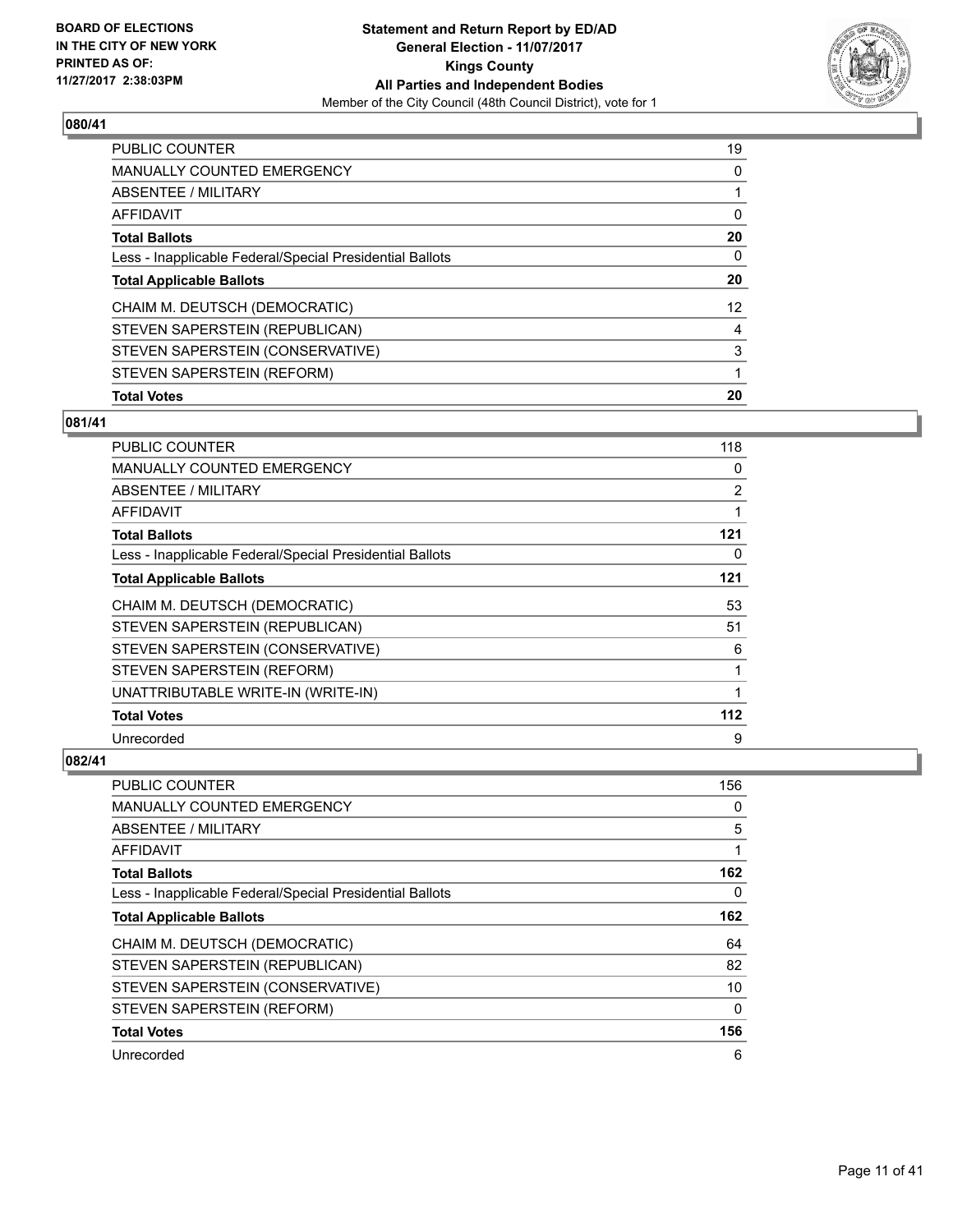

| <b>PUBLIC COUNTER</b>                                    | 19 |
|----------------------------------------------------------|----|
| <b>MANUALLY COUNTED EMERGENCY</b>                        | 0  |
| ABSENTEE / MILITARY                                      |    |
| AFFIDAVIT                                                | 0  |
| <b>Total Ballots</b>                                     | 20 |
| Less - Inapplicable Federal/Special Presidential Ballots | 0  |
| <b>Total Applicable Ballots</b>                          | 20 |
| CHAIM M. DEUTSCH (DEMOCRATIC)                            | 12 |
| STEVEN SAPERSTEIN (REPUBLICAN)                           | 4  |
| STEVEN SAPERSTEIN (CONSERVATIVE)                         | 3  |
| STEVEN SAPERSTEIN (REFORM)                               | 1  |
| <b>Total Votes</b>                                       | 20 |

# **081/41**

| PUBLIC COUNTER                                           | 118 |
|----------------------------------------------------------|-----|
| <b>MANUALLY COUNTED EMERGENCY</b>                        | 0   |
| ABSENTEE / MILITARY                                      | 2   |
| AFFIDAVIT                                                | 1   |
| <b>Total Ballots</b>                                     | 121 |
| Less - Inapplicable Federal/Special Presidential Ballots | 0   |
| <b>Total Applicable Ballots</b>                          | 121 |
| CHAIM M. DEUTSCH (DEMOCRATIC)                            | 53  |
| STEVEN SAPERSTEIN (REPUBLICAN)                           | 51  |
| STEVEN SAPERSTEIN (CONSERVATIVE)                         | 6   |
| STEVEN SAPERSTEIN (REFORM)                               | 1   |
| UNATTRIBUTABLE WRITE-IN (WRITE-IN)                       | 1   |
| <b>Total Votes</b>                                       | 112 |
| Unrecorded                                               | 9   |

| <b>PUBLIC COUNTER</b>                                    | 156 |
|----------------------------------------------------------|-----|
| <b>MANUALLY COUNTED EMERGENCY</b>                        | 0   |
| ABSENTEE / MILITARY                                      | 5   |
| AFFIDAVIT                                                |     |
| <b>Total Ballots</b>                                     | 162 |
| Less - Inapplicable Federal/Special Presidential Ballots | 0   |
| <b>Total Applicable Ballots</b>                          | 162 |
| CHAIM M. DEUTSCH (DEMOCRATIC)                            | 64  |
| STEVEN SAPERSTEIN (REPUBLICAN)                           | 82  |
| STEVEN SAPERSTEIN (CONSERVATIVE)                         | 10  |
| STEVEN SAPERSTEIN (REFORM)                               | 0   |
| <b>Total Votes</b>                                       | 156 |
| Unrecorded                                               | 6   |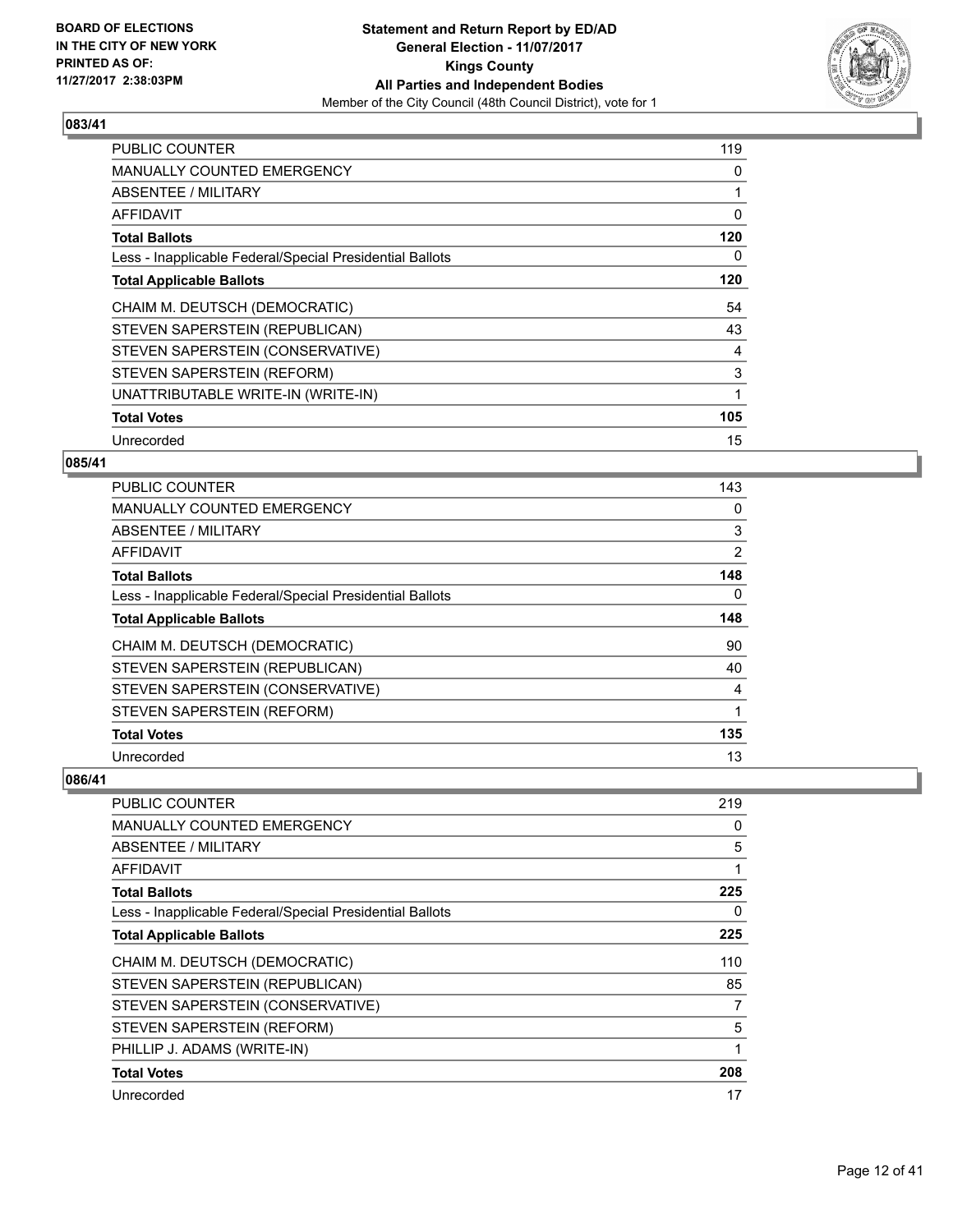

| <b>PUBLIC COUNTER</b>                                    | 119 |
|----------------------------------------------------------|-----|
| MANUALLY COUNTED EMERGENCY                               | 0   |
| <b>ABSENTEE / MILITARY</b>                               |     |
| <b>AFFIDAVIT</b>                                         | 0   |
| <b>Total Ballots</b>                                     | 120 |
| Less - Inapplicable Federal/Special Presidential Ballots | 0   |
| <b>Total Applicable Ballots</b>                          | 120 |
| CHAIM M. DEUTSCH (DEMOCRATIC)                            | 54  |
| STEVEN SAPERSTEIN (REPUBLICAN)                           | 43  |
| STEVEN SAPERSTEIN (CONSERVATIVE)                         | 4   |
| STEVEN SAPERSTEIN (REFORM)                               | 3   |
| UNATTRIBUTABLE WRITE-IN (WRITE-IN)                       |     |
| <b>Total Votes</b>                                       | 105 |
|                                                          |     |

# **085/41**

| PUBLIC COUNTER                                           | 143 |
|----------------------------------------------------------|-----|
| MANUALLY COUNTED EMERGENCY                               | 0   |
| ABSENTEE / MILITARY                                      | 3   |
| AFFIDAVIT                                                | 2   |
| <b>Total Ballots</b>                                     | 148 |
| Less - Inapplicable Federal/Special Presidential Ballots | 0   |
| <b>Total Applicable Ballots</b>                          | 148 |
| CHAIM M. DEUTSCH (DEMOCRATIC)                            | 90  |
| STEVEN SAPERSTEIN (REPUBLICAN)                           | 40  |
| STEVEN SAPERSTEIN (CONSERVATIVE)                         | 4   |
| STEVEN SAPERSTEIN (REFORM)                               | 1   |
| <b>Total Votes</b>                                       | 135 |
| Unrecorded                                               | 13  |

| <b>PUBLIC COUNTER</b>                                    | 219 |
|----------------------------------------------------------|-----|
| <b>MANUALLY COUNTED EMERGENCY</b>                        | 0   |
| ABSENTEE / MILITARY                                      | 5   |
| AFFIDAVIT                                                | 1   |
| <b>Total Ballots</b>                                     | 225 |
| Less - Inapplicable Federal/Special Presidential Ballots | 0   |
| <b>Total Applicable Ballots</b>                          | 225 |
| CHAIM M. DEUTSCH (DEMOCRATIC)                            | 110 |
| STEVEN SAPERSTEIN (REPUBLICAN)                           | 85  |
| STEVEN SAPERSTEIN (CONSERVATIVE)                         | 7   |
| STEVEN SAPERSTEIN (REFORM)                               | 5   |
| PHILLIP J. ADAMS (WRITE-IN)                              |     |
| <b>Total Votes</b>                                       | 208 |
| Unrecorded                                               | 17  |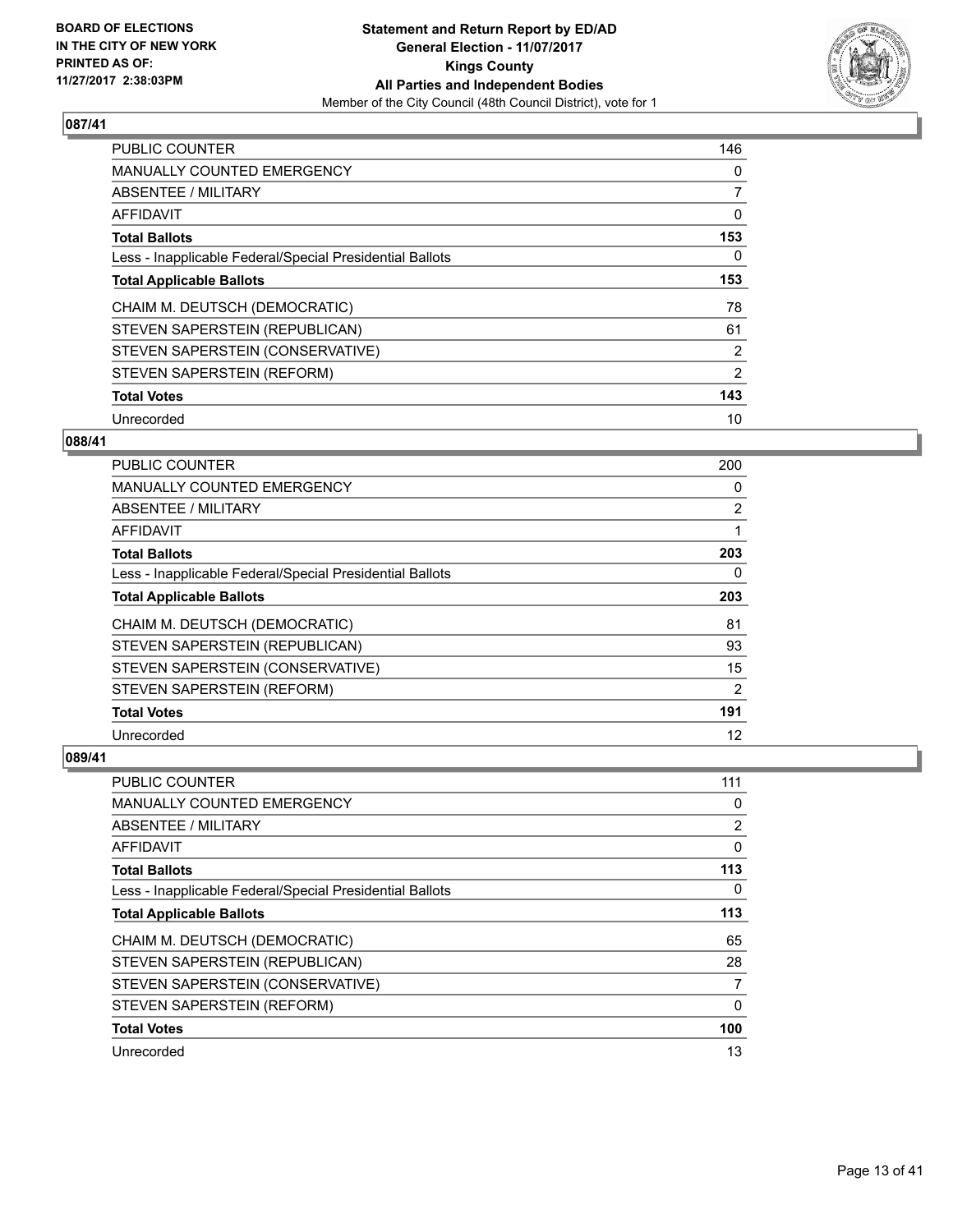

| <b>PUBLIC COUNTER</b>                                    | 146            |
|----------------------------------------------------------|----------------|
| MANUALLY COUNTED EMERGENCY                               | 0              |
| ABSENTEE / MILITARY                                      | $\overline{7}$ |
| <b>AFFIDAVIT</b>                                         | 0              |
| <b>Total Ballots</b>                                     | 153            |
| Less - Inapplicable Federal/Special Presidential Ballots | 0              |
| <b>Total Applicable Ballots</b>                          | 153            |
| CHAIM M. DEUTSCH (DEMOCRATIC)                            | 78             |
| STEVEN SAPERSTEIN (REPUBLICAN)                           | 61             |
| STEVEN SAPERSTEIN (CONSERVATIVE)                         | 2              |
| STEVEN SAPERSTEIN (REFORM)                               | 2              |
| <b>Total Votes</b>                                       | 143            |
| Unrecorded                                               | 10             |

#### **088/41**

| <b>PUBLIC COUNTER</b>                                    | 200            |
|----------------------------------------------------------|----------------|
| MANUALLY COUNTED EMERGENCY                               | 0              |
| ABSENTEE / MILITARY                                      | $\overline{2}$ |
| AFFIDAVIT                                                |                |
| <b>Total Ballots</b>                                     | 203            |
| Less - Inapplicable Federal/Special Presidential Ballots | 0              |
| <b>Total Applicable Ballots</b>                          | 203            |
| CHAIM M. DEUTSCH (DEMOCRATIC)                            | 81             |
| STEVEN SAPERSTEIN (REPUBLICAN)                           | 93             |
| STEVEN SAPERSTEIN (CONSERVATIVE)                         | 15             |
| STEVEN SAPERSTEIN (REFORM)                               | $\overline{2}$ |
| <b>Total Votes</b>                                       | 191            |
| Unrecorded                                               | 12             |

| PUBLIC COUNTER                                           | 111 |
|----------------------------------------------------------|-----|
| <b>MANUALLY COUNTED EMERGENCY</b>                        | 0   |
| ABSENTEE / MILITARY                                      | 2   |
| AFFIDAVIT                                                | 0   |
| <b>Total Ballots</b>                                     | 113 |
| Less - Inapplicable Federal/Special Presidential Ballots | 0   |
| <b>Total Applicable Ballots</b>                          | 113 |
| CHAIM M. DEUTSCH (DEMOCRATIC)                            | 65  |
| STEVEN SAPERSTEIN (REPUBLICAN)                           | 28  |
| STEVEN SAPERSTEIN (CONSERVATIVE)                         | 7   |
| STEVEN SAPERSTEIN (REFORM)                               | 0   |
| <b>Total Votes</b>                                       | 100 |
| Unrecorded                                               | 13  |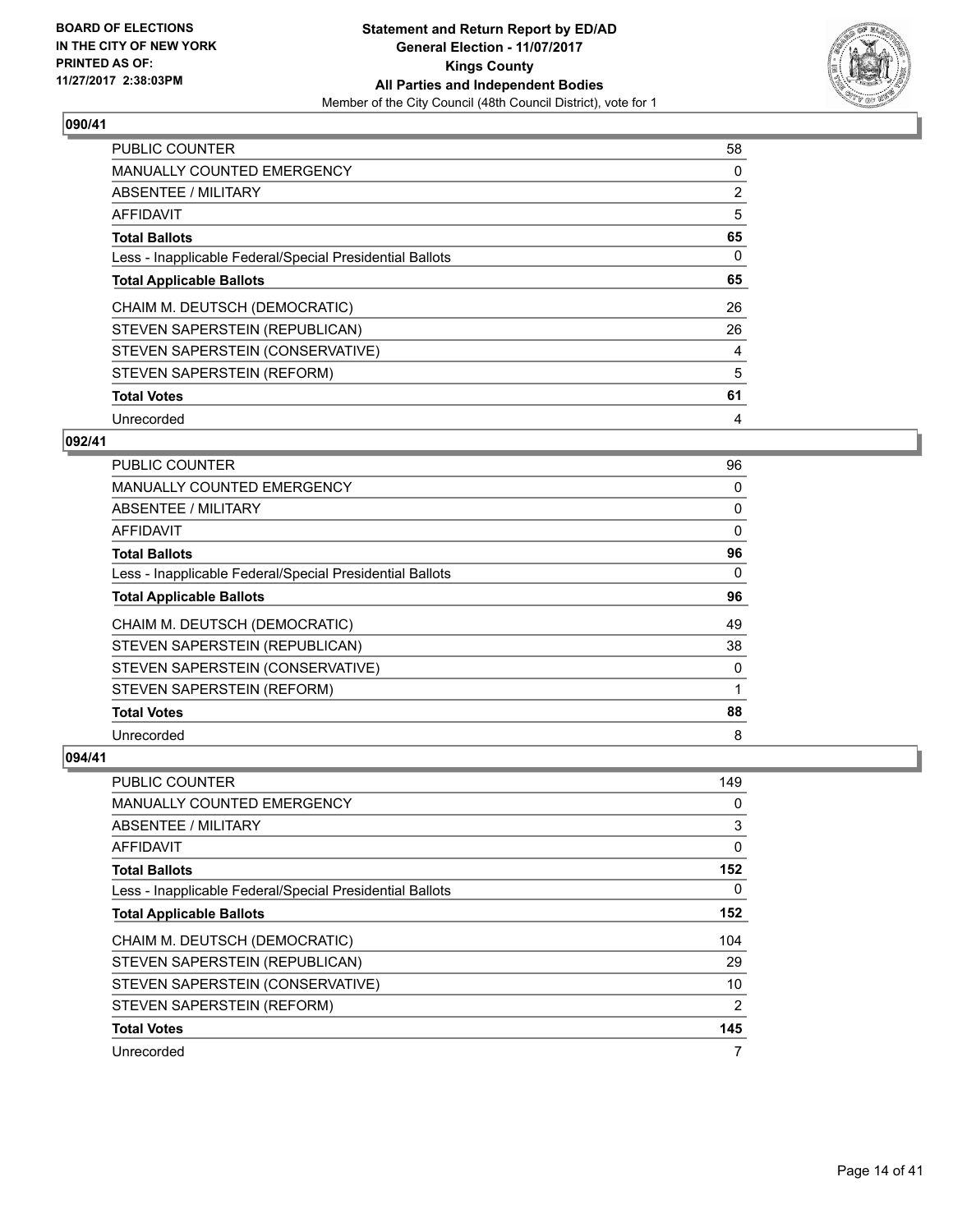

| <b>PUBLIC COUNTER</b>                                    | 58 |
|----------------------------------------------------------|----|
| <b>MANUALLY COUNTED EMERGENCY</b>                        | 0  |
| ABSENTEE / MILITARY                                      | 2  |
| AFFIDAVIT                                                | 5  |
| <b>Total Ballots</b>                                     | 65 |
| Less - Inapplicable Federal/Special Presidential Ballots | 0  |
| <b>Total Applicable Ballots</b>                          | 65 |
| CHAIM M. DEUTSCH (DEMOCRATIC)                            | 26 |
| STEVEN SAPERSTEIN (REPUBLICAN)                           | 26 |
| STEVEN SAPERSTEIN (CONSERVATIVE)                         | 4  |
| STEVEN SAPERSTEIN (REFORM)                               | 5  |
| <b>Total Votes</b>                                       | 61 |
| Unrecorded                                               | 4  |

#### **092/41**

| <b>PUBLIC COUNTER</b>                                    | 96 |
|----------------------------------------------------------|----|
| MANUALLY COUNTED EMERGENCY                               | 0  |
| ABSENTEE / MILITARY                                      | 0  |
| AFFIDAVIT                                                | 0  |
| <b>Total Ballots</b>                                     | 96 |
| Less - Inapplicable Federal/Special Presidential Ballots | 0  |
| <b>Total Applicable Ballots</b>                          | 96 |
| CHAIM M. DEUTSCH (DEMOCRATIC)                            | 49 |
| STEVEN SAPERSTEIN (REPUBLICAN)                           | 38 |
| STEVEN SAPERSTEIN (CONSERVATIVE)                         | 0  |
| STEVEN SAPERSTEIN (REFORM)                               | 1  |
| <b>Total Votes</b>                                       | 88 |
| Unrecorded                                               | 8  |

| PUBLIC COUNTER                                           | 149            |
|----------------------------------------------------------|----------------|
| <b>MANUALLY COUNTED EMERGENCY</b>                        | 0              |
| ABSENTEE / MILITARY                                      | 3              |
| AFFIDAVIT                                                | 0              |
| <b>Total Ballots</b>                                     | 152            |
| Less - Inapplicable Federal/Special Presidential Ballots | 0              |
| <b>Total Applicable Ballots</b>                          | 152            |
| CHAIM M. DEUTSCH (DEMOCRATIC)                            | 104            |
| STEVEN SAPERSTEIN (REPUBLICAN)                           | 29             |
| STEVEN SAPERSTEIN (CONSERVATIVE)                         | 10             |
| STEVEN SAPERSTEIN (REFORM)                               | $\overline{2}$ |
| <b>Total Votes</b>                                       | 145            |
| Unrecorded                                               | 7              |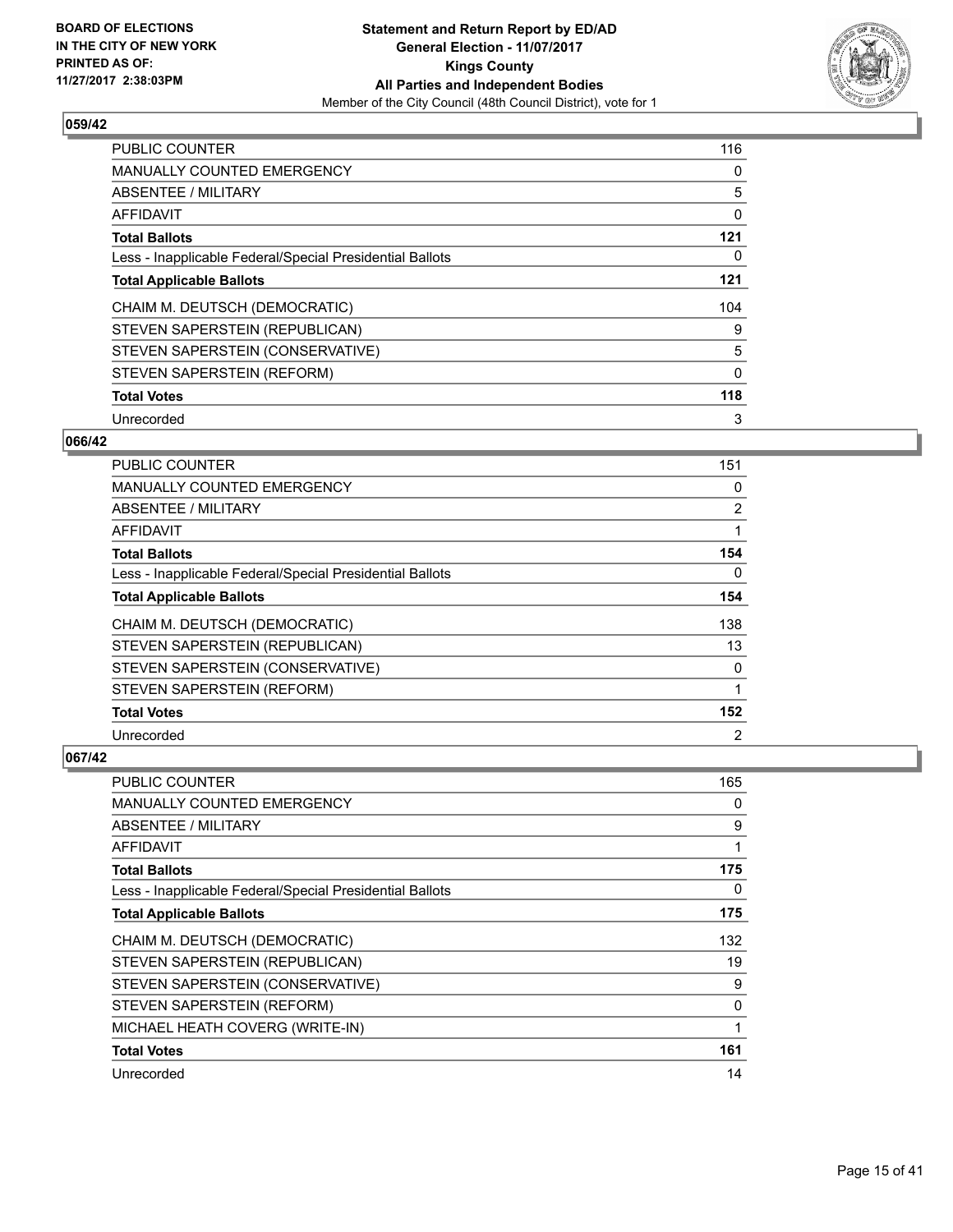

| <b>PUBLIC COUNTER</b>                                    | 116      |
|----------------------------------------------------------|----------|
| <b>MANUALLY COUNTED EMERGENCY</b>                        | 0        |
| ABSENTEE / MILITARY                                      | 5        |
| <b>AFFIDAVIT</b>                                         | 0        |
| <b>Total Ballots</b>                                     | 121      |
| Less - Inapplicable Federal/Special Presidential Ballots | 0        |
| <b>Total Applicable Ballots</b>                          | 121      |
| CHAIM M. DEUTSCH (DEMOCRATIC)                            | 104      |
| STEVEN SAPERSTEIN (REPUBLICAN)                           | 9        |
| STEVEN SAPERSTEIN (CONSERVATIVE)                         | 5        |
| STEVEN SAPERSTEIN (REFORM)                               | $\Omega$ |
| <b>Total Votes</b>                                       | 118      |
| Unrecorded                                               | 3        |

## **066/42**

| <b>PUBLIC COUNTER</b>                                    | 151            |
|----------------------------------------------------------|----------------|
| MANUALLY COUNTED EMERGENCY                               | 0              |
| ABSENTEE / MILITARY                                      | $\overline{2}$ |
| AFFIDAVIT                                                |                |
| <b>Total Ballots</b>                                     | 154            |
| Less - Inapplicable Federal/Special Presidential Ballots | 0              |
| <b>Total Applicable Ballots</b>                          | 154            |
| CHAIM M. DEUTSCH (DEMOCRATIC)                            | 138            |
| STEVEN SAPERSTEIN (REPUBLICAN)                           | 13             |
| STEVEN SAPERSTEIN (CONSERVATIVE)                         | $\Omega$       |
| STEVEN SAPERSTEIN (REFORM)                               |                |
| <b>Total Votes</b>                                       | 152            |
| Unrecorded                                               | $\overline{2}$ |

| <b>PUBLIC COUNTER</b>                                    | 165 |
|----------------------------------------------------------|-----|
| MANUALLY COUNTED EMERGENCY                               | 0   |
| ABSENTEE / MILITARY                                      | 9   |
| AFFIDAVIT                                                |     |
| <b>Total Ballots</b>                                     | 175 |
| Less - Inapplicable Federal/Special Presidential Ballots | 0   |
| <b>Total Applicable Ballots</b>                          | 175 |
| CHAIM M. DEUTSCH (DEMOCRATIC)                            | 132 |
| STEVEN SAPERSTEIN (REPUBLICAN)                           | 19  |
| STEVEN SAPERSTEIN (CONSERVATIVE)                         | 9   |
| STEVEN SAPERSTEIN (REFORM)                               | 0   |
| MICHAEL HEATH COVERG (WRITE-IN)                          | 1   |
| <b>Total Votes</b>                                       | 161 |
| Unrecorded                                               | 14  |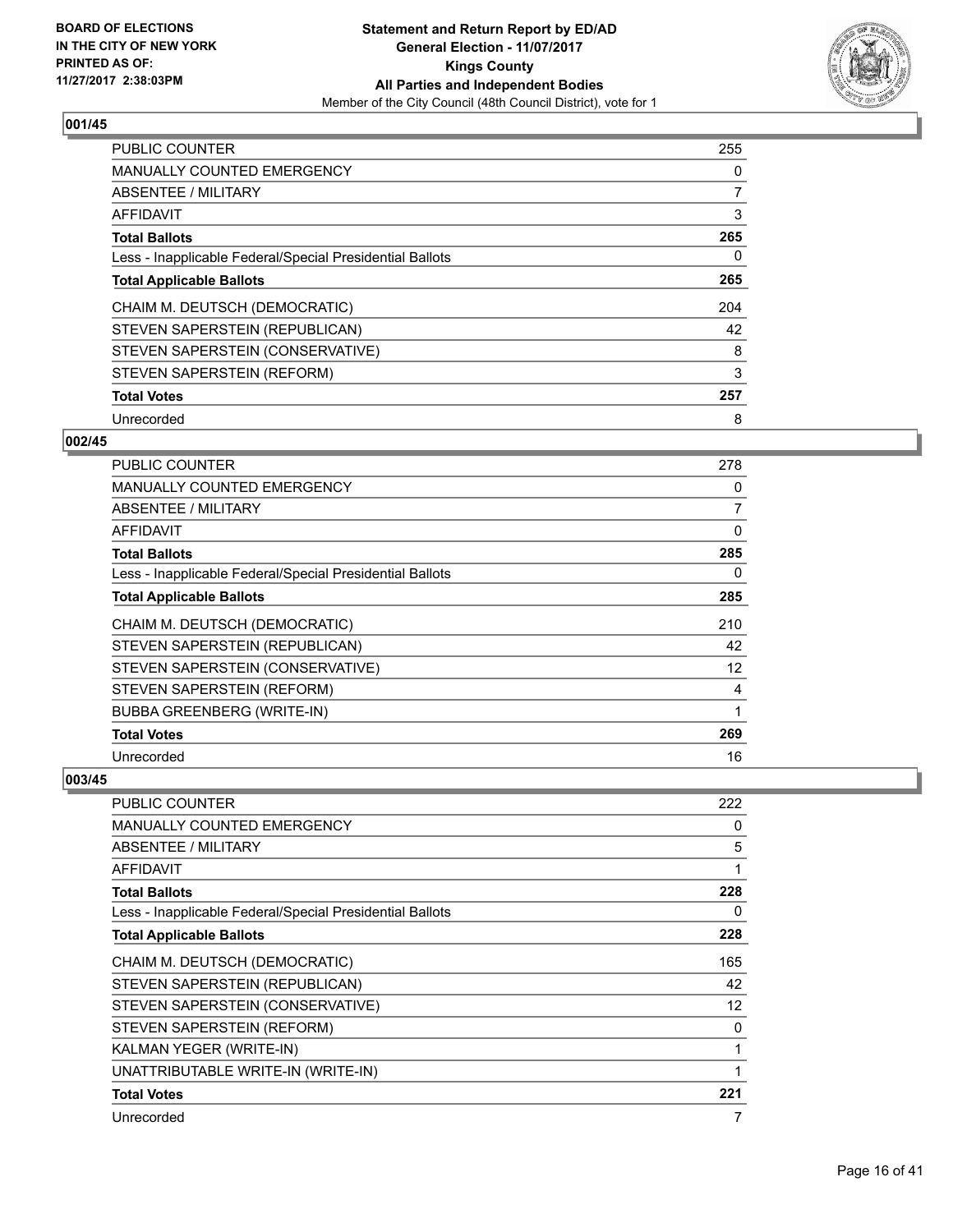

| <b>PUBLIC COUNTER</b>                                    | 255            |
|----------------------------------------------------------|----------------|
| <b>MANUALLY COUNTED EMERGENCY</b>                        | 0              |
| <b>ABSENTEE / MILITARY</b>                               | $\overline{7}$ |
| <b>AFFIDAVIT</b>                                         | 3              |
| <b>Total Ballots</b>                                     | 265            |
| Less - Inapplicable Federal/Special Presidential Ballots | 0              |
| <b>Total Applicable Ballots</b>                          | 265            |
| CHAIM M. DEUTSCH (DEMOCRATIC)                            | 204            |
| STEVEN SAPERSTEIN (REPUBLICAN)                           | 42             |
| STEVEN SAPERSTEIN (CONSERVATIVE)                         | 8              |
| STEVEN SAPERSTEIN (REFORM)                               | 3              |
| <b>Total Votes</b>                                       | 257            |
| Unrecorded                                               | 8              |

## **002/45**

| PUBLIC COUNTER                                           | 278 |
|----------------------------------------------------------|-----|
| <b>MANUALLY COUNTED EMERGENCY</b>                        | 0   |
| ABSENTEE / MILITARY                                      | 7   |
| AFFIDAVIT                                                | 0   |
| <b>Total Ballots</b>                                     | 285 |
| Less - Inapplicable Federal/Special Presidential Ballots | 0   |
| <b>Total Applicable Ballots</b>                          | 285 |
| CHAIM M. DEUTSCH (DEMOCRATIC)                            | 210 |
| STEVEN SAPERSTEIN (REPUBLICAN)                           | 42  |
| STEVEN SAPERSTEIN (CONSERVATIVE)                         | 12  |
| STEVEN SAPERSTEIN (REFORM)                               | 4   |
| <b>BUBBA GREENBERG (WRITE-IN)</b>                        | 1   |
| <b>Total Votes</b>                                       | 269 |
| Unrecorded                                               | 16  |

| <b>PUBLIC COUNTER</b>                                    | 222 |
|----------------------------------------------------------|-----|
| <b>MANUALLY COUNTED EMERGENCY</b>                        | 0   |
| <b>ABSENTEE / MILITARY</b>                               | 5   |
| AFFIDAVIT                                                |     |
| <b>Total Ballots</b>                                     | 228 |
| Less - Inapplicable Federal/Special Presidential Ballots | 0   |
| <b>Total Applicable Ballots</b>                          | 228 |
| CHAIM M. DEUTSCH (DEMOCRATIC)                            | 165 |
| STEVEN SAPERSTEIN (REPUBLICAN)                           | 42  |
| STEVEN SAPERSTEIN (CONSERVATIVE)                         | 12  |
| STEVEN SAPERSTEIN (REFORM)                               | 0   |
| KALMAN YEGER (WRITE-IN)                                  |     |
| UNATTRIBUTABLE WRITE-IN (WRITE-IN)                       |     |
| <b>Total Votes</b>                                       | 221 |
| Unrecorded                                               | 7   |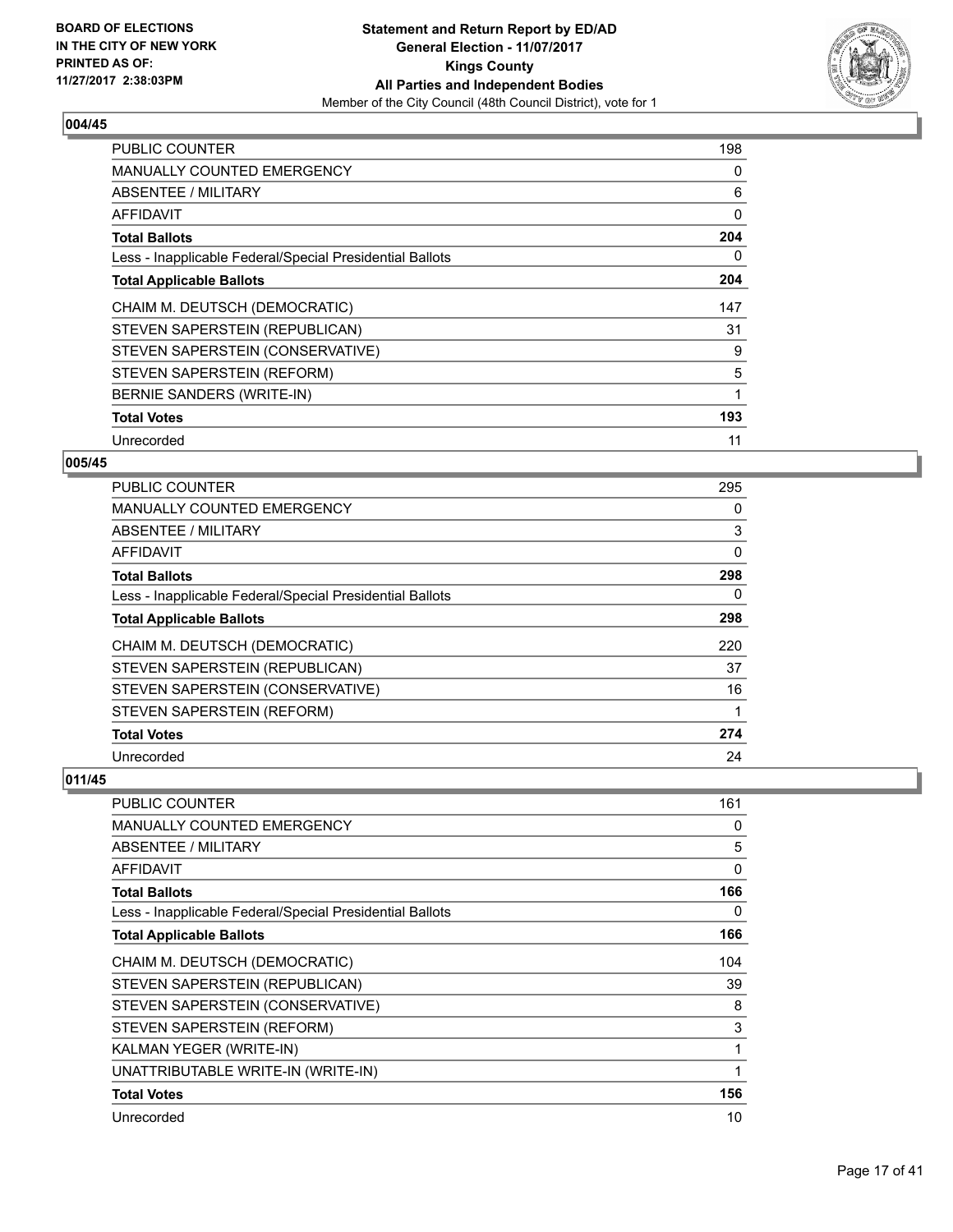

| <b>PUBLIC COUNTER</b>                                    | 198 |
|----------------------------------------------------------|-----|
| <b>MANUALLY COUNTED EMERGENCY</b>                        | 0   |
| <b>ABSENTEE / MILITARY</b>                               | 6   |
| AFFIDAVIT                                                | 0   |
| <b>Total Ballots</b>                                     | 204 |
| Less - Inapplicable Federal/Special Presidential Ballots | 0   |
| <b>Total Applicable Ballots</b>                          | 204 |
| CHAIM M. DEUTSCH (DEMOCRATIC)                            | 147 |
| STEVEN SAPERSTEIN (REPUBLICAN)                           | 31  |
| STEVEN SAPERSTEIN (CONSERVATIVE)                         | 9   |
| STEVEN SAPERSTEIN (REFORM)                               | 5   |
| BERNIE SANDERS (WRITE-IN)                                | 1   |
| <b>Total Votes</b>                                       | 193 |
| Unrecorded                                               | 11  |

# **005/45**

| PUBLIC COUNTER                                           | 295 |
|----------------------------------------------------------|-----|
| <b>MANUALLY COUNTED EMERGENCY</b>                        | 0   |
| ABSENTEE / MILITARY                                      | 3   |
| AFFIDAVIT                                                | 0   |
| <b>Total Ballots</b>                                     | 298 |
| Less - Inapplicable Federal/Special Presidential Ballots | 0   |
| <b>Total Applicable Ballots</b>                          | 298 |
| CHAIM M. DEUTSCH (DEMOCRATIC)                            | 220 |
| STEVEN SAPERSTEIN (REPUBLICAN)                           | 37  |
| STEVEN SAPERSTEIN (CONSERVATIVE)                         | 16  |
| STEVEN SAPERSTEIN (REFORM)                               | 1   |
| <b>Total Votes</b>                                       | 274 |
| Unrecorded                                               | 24  |

| PUBLIC COUNTER                                           | 161 |
|----------------------------------------------------------|-----|
| <b>MANUALLY COUNTED EMERGENCY</b>                        | 0   |
| ABSENTEE / MILITARY                                      | 5   |
| AFFIDAVIT                                                | 0   |
| <b>Total Ballots</b>                                     | 166 |
| Less - Inapplicable Federal/Special Presidential Ballots | 0   |
| <b>Total Applicable Ballots</b>                          | 166 |
| CHAIM M. DEUTSCH (DEMOCRATIC)                            | 104 |
| STEVEN SAPERSTEIN (REPUBLICAN)                           | 39  |
| STEVEN SAPERSTEIN (CONSERVATIVE)                         | 8   |
| STEVEN SAPERSTEIN (REFORM)                               | 3   |
| KALMAN YEGER (WRITE-IN)                                  |     |
| UNATTRIBUTABLE WRITE-IN (WRITE-IN)                       | 1   |
| <b>Total Votes</b>                                       | 156 |
| Unrecorded                                               | 10  |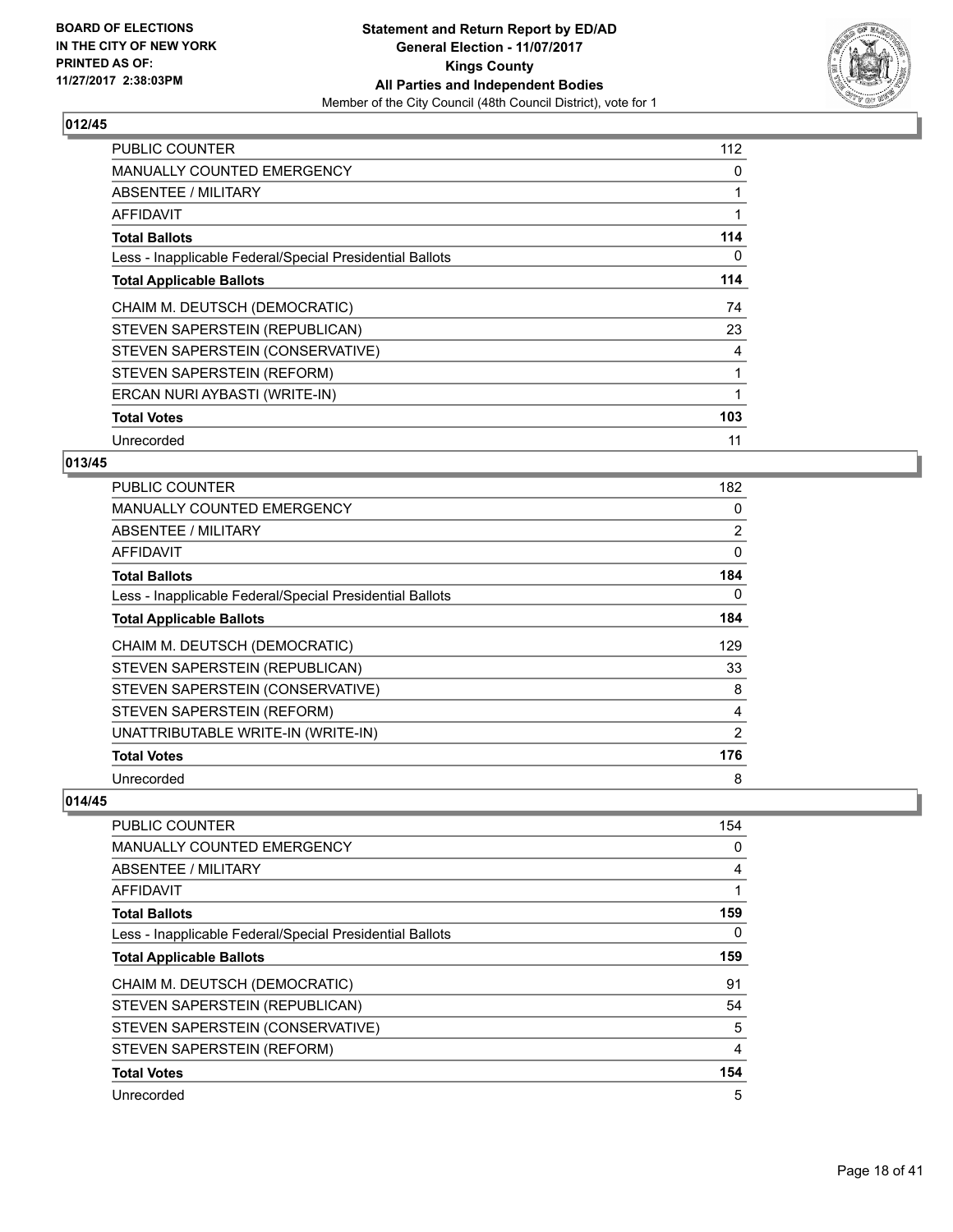

| <b>PUBLIC COUNTER</b>                                    | 112 |
|----------------------------------------------------------|-----|
| <b>MANUALLY COUNTED EMERGENCY</b>                        | 0   |
| ABSENTEE / MILITARY                                      |     |
| AFFIDAVIT                                                | 1   |
| <b>Total Ballots</b>                                     | 114 |
| Less - Inapplicable Federal/Special Presidential Ballots | 0   |
| <b>Total Applicable Ballots</b>                          | 114 |
|                                                          |     |
| CHAIM M. DEUTSCH (DEMOCRATIC)                            | 74  |
| STEVEN SAPERSTEIN (REPUBLICAN)                           | 23  |
| STEVEN SAPERSTEIN (CONSERVATIVE)                         | 4   |
| STEVEN SAPERSTEIN (REFORM)                               | 1   |
| ERCAN NURI AYBASTI (WRITE-IN)                            | 1   |
| <b>Total Votes</b>                                       | 103 |

# **013/45**

| <b>PUBLIC COUNTER</b>                                    | 182            |
|----------------------------------------------------------|----------------|
| <b>MANUALLY COUNTED EMERGENCY</b>                        | 0              |
| ABSENTEE / MILITARY                                      | $\overline{2}$ |
| AFFIDAVIT                                                | 0              |
| <b>Total Ballots</b>                                     | 184            |
| Less - Inapplicable Federal/Special Presidential Ballots | 0              |
| <b>Total Applicable Ballots</b>                          | 184            |
| CHAIM M. DEUTSCH (DEMOCRATIC)                            | 129            |
| STEVEN SAPERSTEIN (REPUBLICAN)                           | 33             |
| STEVEN SAPERSTEIN (CONSERVATIVE)                         | 8              |
| STEVEN SAPERSTEIN (REFORM)                               | 4              |
| UNATTRIBUTABLE WRITE-IN (WRITE-IN)                       | 2              |
| <b>Total Votes</b>                                       | 176            |
| Unrecorded                                               | 8              |

| PUBLIC COUNTER                                           | 154 |
|----------------------------------------------------------|-----|
| <b>MANUALLY COUNTED EMERGENCY</b>                        | 0   |
| ABSENTEE / MILITARY                                      | 4   |
| <b>AFFIDAVIT</b>                                         |     |
| <b>Total Ballots</b>                                     | 159 |
| Less - Inapplicable Federal/Special Presidential Ballots | 0   |
| <b>Total Applicable Ballots</b>                          | 159 |
| CHAIM M. DEUTSCH (DEMOCRATIC)                            | 91  |
| STEVEN SAPERSTEIN (REPUBLICAN)                           | 54  |
| STEVEN SAPERSTEIN (CONSERVATIVE)                         | 5   |
| STEVEN SAPERSTEIN (REFORM)                               | 4   |
| <b>Total Votes</b>                                       | 154 |
| Unrecorded                                               | 5   |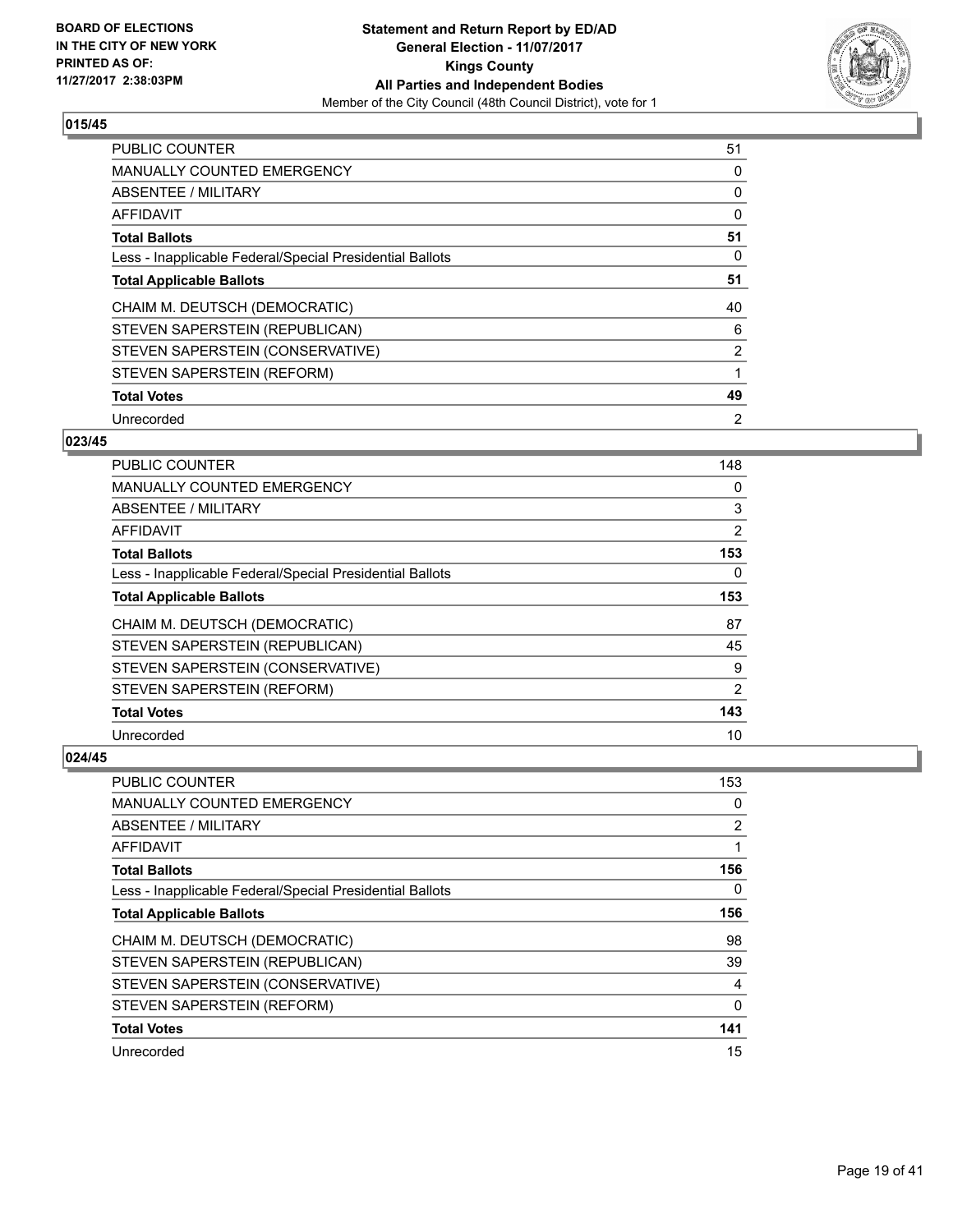

| <b>PUBLIC COUNTER</b>                                    | 51             |
|----------------------------------------------------------|----------------|
| <b>MANUALLY COUNTED EMERGENCY</b>                        | 0              |
| ABSENTEE / MILITARY                                      | 0              |
| AFFIDAVIT                                                | 0              |
| <b>Total Ballots</b>                                     | 51             |
| Less - Inapplicable Federal/Special Presidential Ballots | 0              |
| <b>Total Applicable Ballots</b>                          | 51             |
| CHAIM M. DEUTSCH (DEMOCRATIC)                            | 40             |
| STEVEN SAPERSTEIN (REPUBLICAN)                           | 6              |
| STEVEN SAPERSTEIN (CONSERVATIVE)                         | 2              |
| STEVEN SAPERSTEIN (REFORM)                               | 1              |
| <b>Total Votes</b>                                       | 49             |
| Unrecorded                                               | $\overline{2}$ |

# **023/45**

| <b>PUBLIC COUNTER</b>                                    | 148            |
|----------------------------------------------------------|----------------|
| <b>MANUALLY COUNTED EMERGENCY</b>                        | 0              |
| ABSENTEE / MILITARY                                      | 3              |
| AFFIDAVIT                                                | $\overline{2}$ |
| <b>Total Ballots</b>                                     | 153            |
| Less - Inapplicable Federal/Special Presidential Ballots | 0              |
| <b>Total Applicable Ballots</b>                          | 153            |
| CHAIM M. DEUTSCH (DEMOCRATIC)                            | 87             |
| STEVEN SAPERSTEIN (REPUBLICAN)                           | 45             |
| STEVEN SAPERSTEIN (CONSERVATIVE)                         | 9              |
| STEVEN SAPERSTEIN (REFORM)                               | 2              |
| <b>Total Votes</b>                                       | 143            |
| Unrecorded                                               | 10             |

| <b>PUBLIC COUNTER</b>                                    | 153            |
|----------------------------------------------------------|----------------|
| <b>MANUALLY COUNTED EMERGENCY</b>                        | 0              |
| ABSENTEE / MILITARY                                      | $\overline{2}$ |
| AFFIDAVIT                                                |                |
| <b>Total Ballots</b>                                     | 156            |
| Less - Inapplicable Federal/Special Presidential Ballots | 0              |
| <b>Total Applicable Ballots</b>                          | 156            |
| CHAIM M. DEUTSCH (DEMOCRATIC)                            | 98             |
| STEVEN SAPERSTEIN (REPUBLICAN)                           | 39             |
| STEVEN SAPERSTEIN (CONSERVATIVE)                         | 4              |
| STEVEN SAPERSTEIN (REFORM)                               | $\Omega$       |
| <b>Total Votes</b>                                       | 141            |
| Unrecorded                                               | 15             |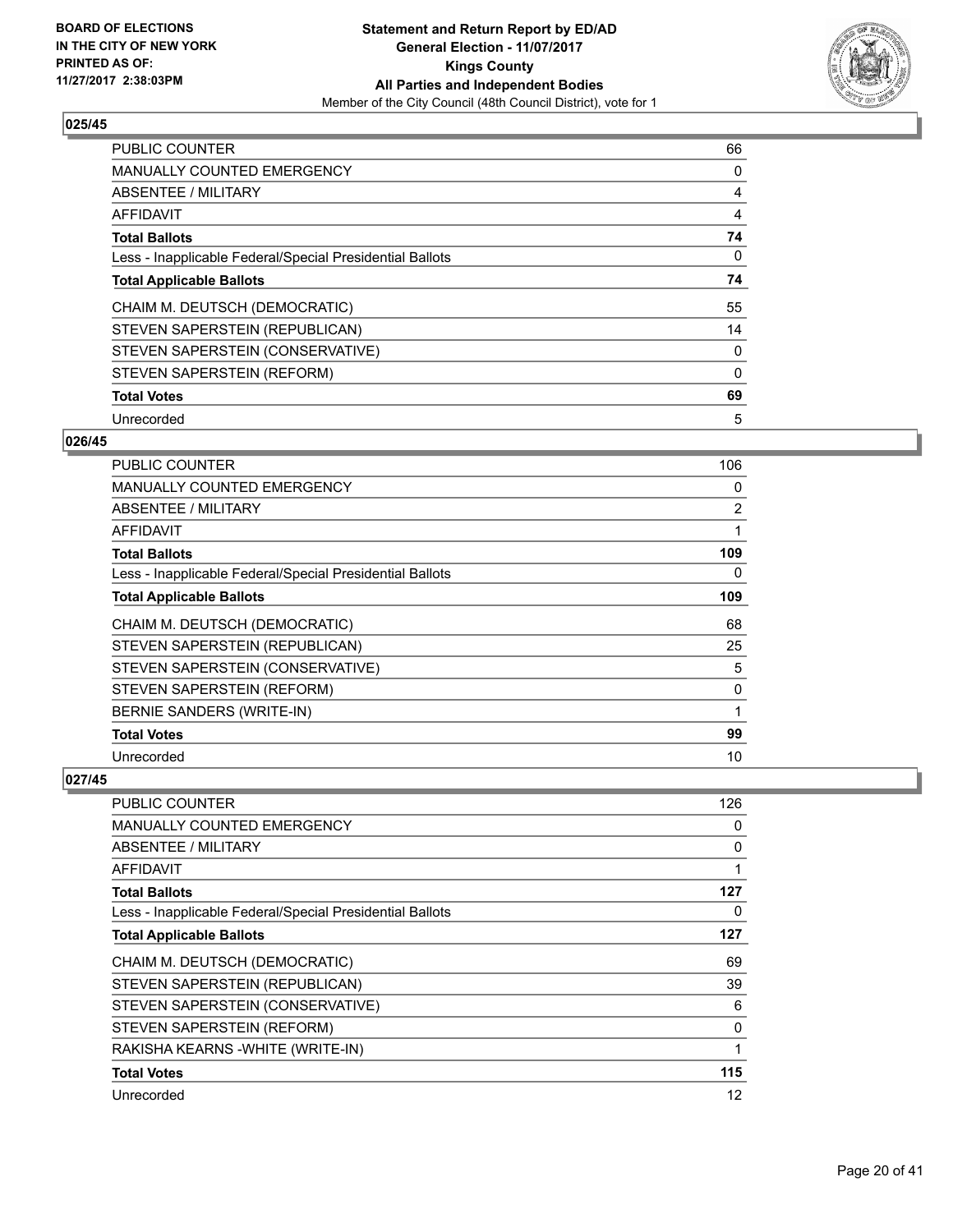

| <b>PUBLIC COUNTER</b>                                    | 66       |
|----------------------------------------------------------|----------|
| <b>MANUALLY COUNTED EMERGENCY</b>                        | 0        |
| ABSENTEE / MILITARY                                      | 4        |
| <b>AFFIDAVIT</b>                                         | 4        |
| <b>Total Ballots</b>                                     | 74       |
| Less - Inapplicable Federal/Special Presidential Ballots | 0        |
| <b>Total Applicable Ballots</b>                          | 74       |
| CHAIM M. DEUTSCH (DEMOCRATIC)                            | 55       |
| STEVEN SAPERSTEIN (REPUBLICAN)                           | 14       |
| STEVEN SAPERSTEIN (CONSERVATIVE)                         | 0        |
| STEVEN SAPERSTEIN (REFORM)                               | $\Omega$ |
| <b>Total Votes</b>                                       | 69       |
| Unrecorded                                               | 5        |

# **026/45**

| <b>PUBLIC COUNTER</b>                                    | 106            |
|----------------------------------------------------------|----------------|
| <b>MANUALLY COUNTED EMERGENCY</b>                        | 0              |
| ABSENTEE / MILITARY                                      | $\overline{2}$ |
| AFFIDAVIT                                                | 1              |
| <b>Total Ballots</b>                                     | 109            |
| Less - Inapplicable Federal/Special Presidential Ballots | 0              |
| <b>Total Applicable Ballots</b>                          | 109            |
| CHAIM M. DEUTSCH (DEMOCRATIC)                            | 68             |
| STEVEN SAPERSTEIN (REPUBLICAN)                           | 25             |
| STEVEN SAPERSTEIN (CONSERVATIVE)                         | 5              |
| STEVEN SAPERSTEIN (REFORM)                               | 0              |
| BERNIE SANDERS (WRITE-IN)                                | 1              |
| <b>Total Votes</b>                                       | 99             |
| Unrecorded                                               | 10             |

| PUBLIC COUNTER                                           | 126 |
|----------------------------------------------------------|-----|
| <b>MANUALLY COUNTED EMERGENCY</b>                        | 0   |
| ABSENTEE / MILITARY                                      | 0   |
| AFFIDAVIT                                                | 1   |
| <b>Total Ballots</b>                                     | 127 |
| Less - Inapplicable Federal/Special Presidential Ballots | 0   |
| <b>Total Applicable Ballots</b>                          | 127 |
| CHAIM M. DEUTSCH (DEMOCRATIC)                            | 69  |
| STEVEN SAPERSTEIN (REPUBLICAN)                           | 39  |
| STEVEN SAPERSTEIN (CONSERVATIVE)                         | 6   |
| STEVEN SAPERSTEIN (REFORM)                               | 0   |
| RAKISHA KEARNS - WHITE (WRITE-IN)                        | 1   |
| <b>Total Votes</b>                                       | 115 |
| Unrecorded                                               | 12  |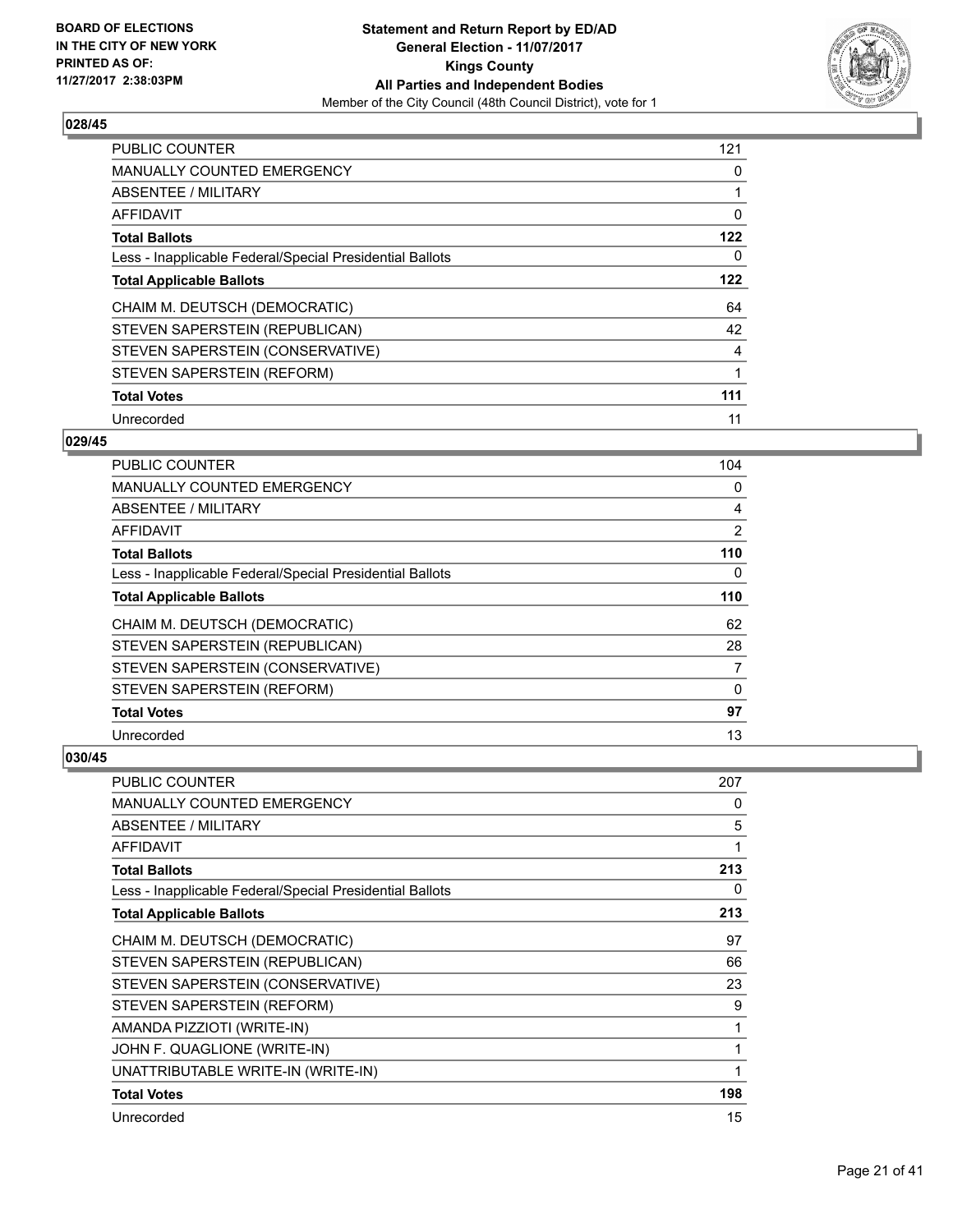

| <b>PUBLIC COUNTER</b>                                    | 121 |
|----------------------------------------------------------|-----|
| <b>MANUALLY COUNTED EMERGENCY</b>                        | 0   |
| ABSENTEE / MILITARY                                      |     |
| <b>AFFIDAVIT</b>                                         | 0   |
| <b>Total Ballots</b>                                     | 122 |
| Less - Inapplicable Federal/Special Presidential Ballots | 0   |
| <b>Total Applicable Ballots</b>                          | 122 |
| CHAIM M. DEUTSCH (DEMOCRATIC)                            | 64  |
| STEVEN SAPERSTEIN (REPUBLICAN)                           | 42  |
| STEVEN SAPERSTEIN (CONSERVATIVE)                         | 4   |
| STEVEN SAPERSTEIN (REFORM)                               | 1   |
| <b>Total Votes</b>                                       | 111 |
| Unrecorded                                               | 11  |

# **029/45**

| <b>PUBLIC COUNTER</b>                                    | 104            |
|----------------------------------------------------------|----------------|
| MANUALLY COUNTED EMERGENCY                               | 0              |
| ABSENTEE / MILITARY                                      | 4              |
| AFFIDAVIT                                                | $\overline{2}$ |
| <b>Total Ballots</b>                                     | 110            |
| Less - Inapplicable Federal/Special Presidential Ballots | 0              |
| <b>Total Applicable Ballots</b>                          | 110            |
| CHAIM M. DEUTSCH (DEMOCRATIC)                            | 62             |
| STEVEN SAPERSTEIN (REPUBLICAN)                           | 28             |
| STEVEN SAPERSTEIN (CONSERVATIVE)                         | 7              |
| STEVEN SAPERSTEIN (REFORM)                               | 0              |
| <b>Total Votes</b>                                       | 97             |
| Unrecorded                                               | 13             |

| <b>PUBLIC COUNTER</b>                                    | 207 |
|----------------------------------------------------------|-----|
| <b>MANUALLY COUNTED EMERGENCY</b>                        | 0   |
| ABSENTEE / MILITARY                                      | 5   |
| <b>AFFIDAVIT</b>                                         |     |
| <b>Total Ballots</b>                                     | 213 |
| Less - Inapplicable Federal/Special Presidential Ballots | 0   |
| <b>Total Applicable Ballots</b>                          | 213 |
| CHAIM M. DEUTSCH (DEMOCRATIC)                            | 97  |
| STEVEN SAPERSTEIN (REPUBLICAN)                           | 66  |
| STEVEN SAPERSTEIN (CONSERVATIVE)                         | 23  |
| STEVEN SAPERSTEIN (REFORM)                               | 9   |
| AMANDA PIZZIOTI (WRITE-IN)                               | 1   |
| JOHN F. QUAGLIONE (WRITE-IN)                             | 1   |
| UNATTRIBUTABLE WRITE-IN (WRITE-IN)                       |     |
| <b>Total Votes</b>                                       | 198 |
| Unrecorded                                               | 15  |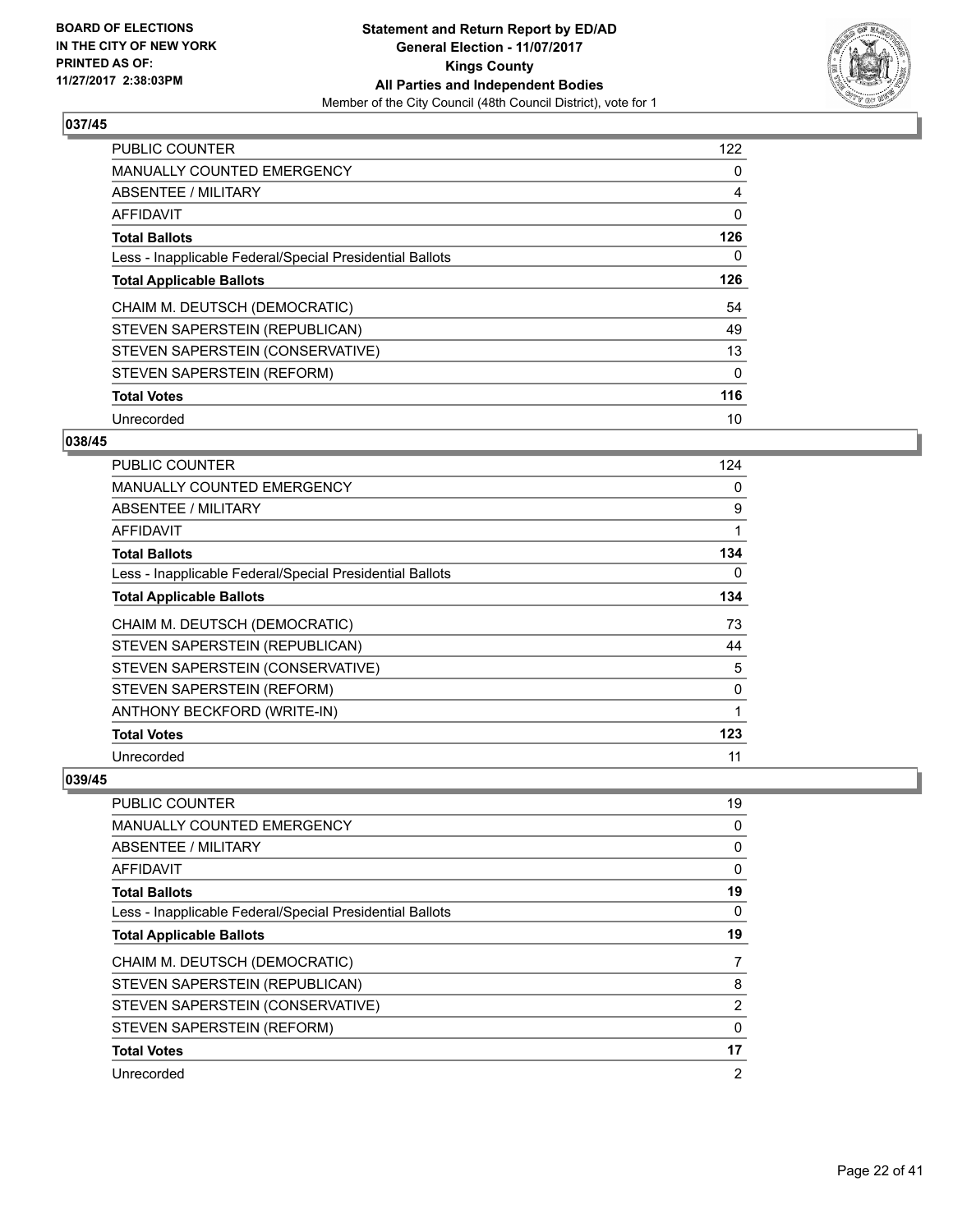

| <b>PUBLIC COUNTER</b>                                    | 122      |
|----------------------------------------------------------|----------|
| <b>MANUALLY COUNTED EMERGENCY</b>                        | 0        |
| ABSENTEE / MILITARY                                      | 4        |
| <b>AFFIDAVIT</b>                                         | 0        |
| <b>Total Ballots</b>                                     | 126      |
| Less - Inapplicable Federal/Special Presidential Ballots | 0        |
| <b>Total Applicable Ballots</b>                          | 126      |
| CHAIM M. DEUTSCH (DEMOCRATIC)                            | 54       |
| STEVEN SAPERSTEIN (REPUBLICAN)                           | 49       |
| STEVEN SAPERSTEIN (CONSERVATIVE)                         | 13       |
| STEVEN SAPERSTEIN (REFORM)                               | $\Omega$ |
| <b>Total Votes</b>                                       | 116      |
| Unrecorded                                               | 10       |

## **038/45**

| <b>PUBLIC COUNTER</b>                                    | 124 |
|----------------------------------------------------------|-----|
| <b>MANUALLY COUNTED EMERGENCY</b>                        | 0   |
| ABSENTEE / MILITARY                                      | 9   |
| AFFIDAVIT                                                | 1   |
| <b>Total Ballots</b>                                     | 134 |
| Less - Inapplicable Federal/Special Presidential Ballots | 0   |
| <b>Total Applicable Ballots</b>                          | 134 |
| CHAIM M. DEUTSCH (DEMOCRATIC)                            | 73  |
| STEVEN SAPERSTEIN (REPUBLICAN)                           | 44  |
| STEVEN SAPERSTEIN (CONSERVATIVE)                         | 5   |
| STEVEN SAPERSTEIN (REFORM)                               | 0   |
| ANTHONY BECKFORD (WRITE-IN)                              | 1   |
| <b>Total Votes</b>                                       | 123 |
| Unrecorded                                               | 11  |

| <b>PUBLIC COUNTER</b>                                    | 19             |
|----------------------------------------------------------|----------------|
| MANUALLY COUNTED EMERGENCY                               | 0              |
| ABSENTEE / MILITARY                                      | 0              |
| AFFIDAVIT                                                | 0              |
| <b>Total Ballots</b>                                     | 19             |
| Less - Inapplicable Federal/Special Presidential Ballots | 0              |
| <b>Total Applicable Ballots</b>                          | 19             |
| CHAIM M. DEUTSCH (DEMOCRATIC)                            | 7              |
| STEVEN SAPERSTEIN (REPUBLICAN)                           | 8              |
| STEVEN SAPERSTEIN (CONSERVATIVE)                         | $\overline{2}$ |
| STEVEN SAPERSTEIN (REFORM)                               | 0              |
| <b>Total Votes</b>                                       | 17             |
| Unrecorded                                               | 2              |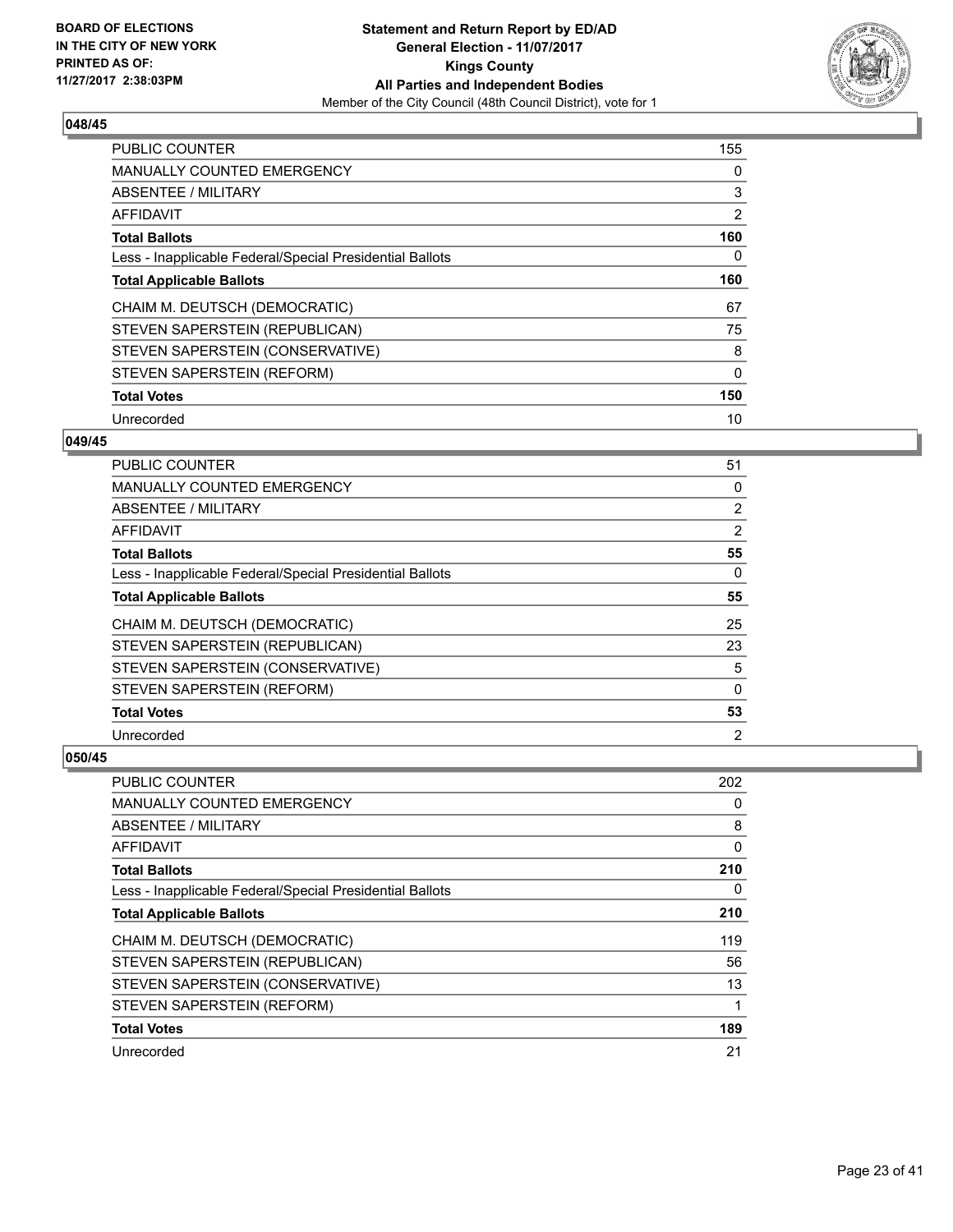

| <b>PUBLIC COUNTER</b>                                    | 155            |
|----------------------------------------------------------|----------------|
| <b>MANUALLY COUNTED EMERGENCY</b>                        | 0              |
| ABSENTEE / MILITARY                                      | 3              |
| <b>AFFIDAVIT</b>                                         | $\overline{2}$ |
| <b>Total Ballots</b>                                     | 160            |
| Less - Inapplicable Federal/Special Presidential Ballots | 0              |
| <b>Total Applicable Ballots</b>                          | 160            |
| CHAIM M. DEUTSCH (DEMOCRATIC)                            | 67             |
| STEVEN SAPERSTEIN (REPUBLICAN)                           | 75             |
| STEVEN SAPERSTEIN (CONSERVATIVE)                         | 8              |
| STEVEN SAPERSTEIN (REFORM)                               | $\Omega$       |
| <b>Total Votes</b>                                       | 150            |
| Unrecorded                                               | 10             |

# **049/45**

| <b>PUBLIC COUNTER</b>                                    | 51             |
|----------------------------------------------------------|----------------|
| MANUALLY COUNTED EMERGENCY                               | 0              |
| ABSENTEE / MILITARY                                      | $\overline{2}$ |
| AFFIDAVIT                                                | 2              |
| <b>Total Ballots</b>                                     | 55             |
| Less - Inapplicable Federal/Special Presidential Ballots | 0              |
| <b>Total Applicable Ballots</b>                          | 55             |
| CHAIM M. DEUTSCH (DEMOCRATIC)                            | 25             |
| STEVEN SAPERSTEIN (REPUBLICAN)                           | 23             |
| STEVEN SAPERSTEIN (CONSERVATIVE)                         | 5              |
| STEVEN SAPERSTEIN (REFORM)                               | $\Omega$       |
| <b>Total Votes</b>                                       | 53             |
| Unrecorded                                               | $\overline{2}$ |

| <b>PUBLIC COUNTER</b>                                    | 202 |
|----------------------------------------------------------|-----|
| <b>MANUALLY COUNTED EMERGENCY</b>                        | 0   |
| ABSENTEE / MILITARY                                      | 8   |
| AFFIDAVIT                                                | 0   |
| <b>Total Ballots</b>                                     | 210 |
| Less - Inapplicable Federal/Special Presidential Ballots | 0   |
| <b>Total Applicable Ballots</b>                          | 210 |
| CHAIM M. DEUTSCH (DEMOCRATIC)                            | 119 |
| STEVEN SAPERSTEIN (REPUBLICAN)                           | 56  |
| STEVEN SAPERSTEIN (CONSERVATIVE)                         | 13  |
| STEVEN SAPERSTEIN (REFORM)                               | 1   |
| <b>Total Votes</b>                                       | 189 |
| Unrecorded                                               | 21  |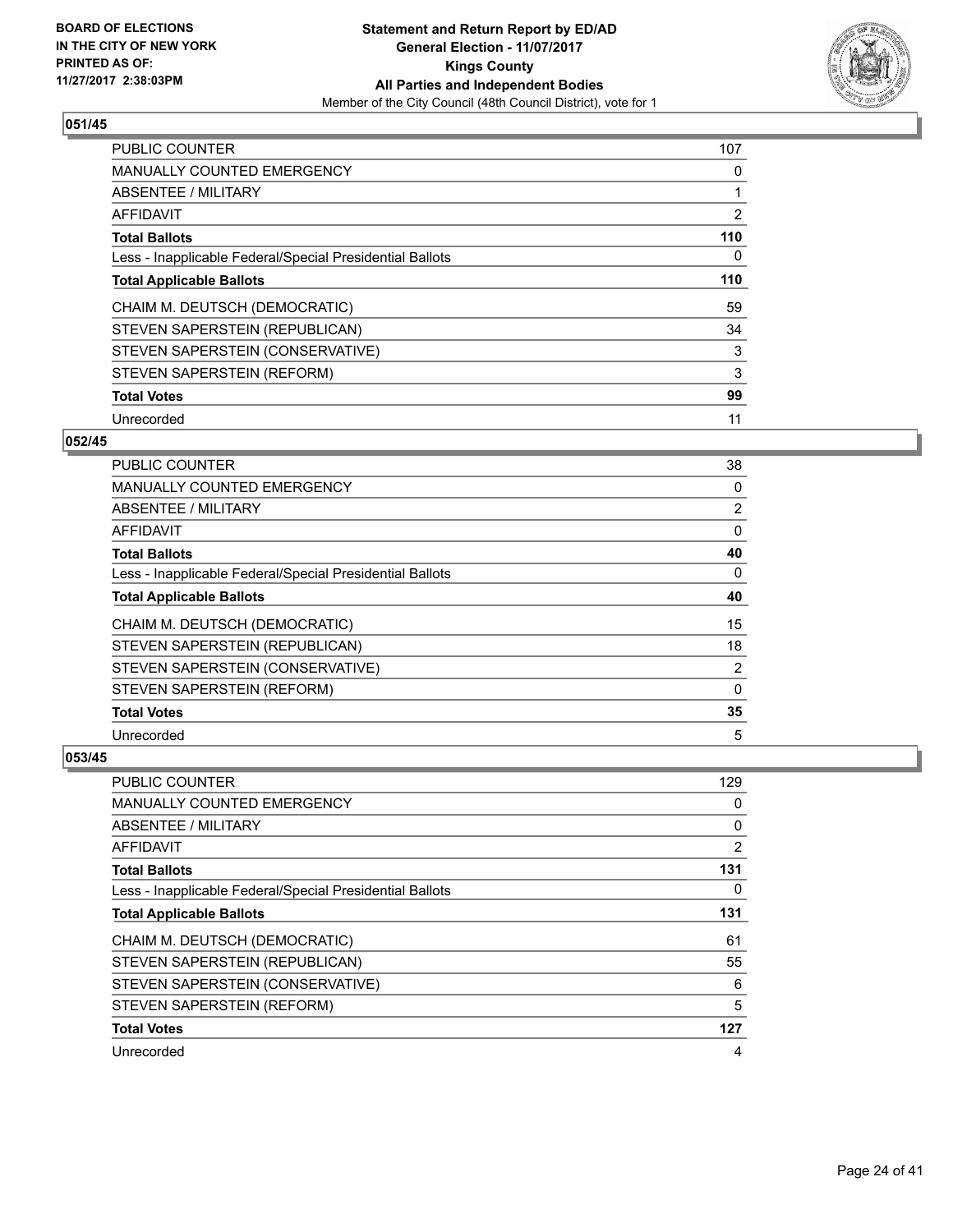

| <b>PUBLIC COUNTER</b>                                    | 107 |
|----------------------------------------------------------|-----|
| <b>MANUALLY COUNTED EMERGENCY</b>                        | 0   |
| ABSENTEE / MILITARY                                      |     |
| AFFIDAVIT                                                | 2   |
| <b>Total Ballots</b>                                     | 110 |
| Less - Inapplicable Federal/Special Presidential Ballots | 0   |
| <b>Total Applicable Ballots</b>                          | 110 |
| CHAIM M. DEUTSCH (DEMOCRATIC)                            | 59  |
| STEVEN SAPERSTEIN (REPUBLICAN)                           | 34  |
| STEVEN SAPERSTEIN (CONSERVATIVE)                         | 3   |
| STEVEN SAPERSTEIN (REFORM)                               | 3   |
| <b>Total Votes</b>                                       | 99  |
| Unrecorded                                               | 11  |

## **052/45**

| <b>PUBLIC COUNTER</b>                                    | 38             |
|----------------------------------------------------------|----------------|
| MANUALLY COUNTED EMERGENCY                               | 0              |
| ABSENTEE / MILITARY                                      | $\overline{2}$ |
| AFFIDAVIT                                                | 0              |
| <b>Total Ballots</b>                                     | 40             |
| Less - Inapplicable Federal/Special Presidential Ballots | 0              |
| <b>Total Applicable Ballots</b>                          | 40             |
| CHAIM M. DEUTSCH (DEMOCRATIC)                            | 15             |
| STEVEN SAPERSTEIN (REPUBLICAN)                           | 18             |
| STEVEN SAPERSTEIN (CONSERVATIVE)                         | $\overline{2}$ |
| STEVEN SAPERSTEIN (REFORM)                               | 0              |
| <b>Total Votes</b>                                       | 35             |
| Unrecorded                                               | 5              |

| PUBLIC COUNTER                                           | 129            |
|----------------------------------------------------------|----------------|
| <b>MANUALLY COUNTED EMERGENCY</b>                        | $\Omega$       |
| ABSENTEE / MILITARY                                      | 0              |
| AFFIDAVIT                                                | $\overline{2}$ |
| <b>Total Ballots</b>                                     | 131            |
| Less - Inapplicable Federal/Special Presidential Ballots | 0              |
| <b>Total Applicable Ballots</b>                          | 131            |
| CHAIM M. DEUTSCH (DEMOCRATIC)                            | 61             |
| STEVEN SAPERSTEIN (REPUBLICAN)                           | 55             |
| STEVEN SAPERSTEIN (CONSERVATIVE)                         | 6              |
| STEVEN SAPERSTEIN (REFORM)                               | 5              |
| <b>Total Votes</b>                                       | 127            |
| Unrecorded                                               | 4              |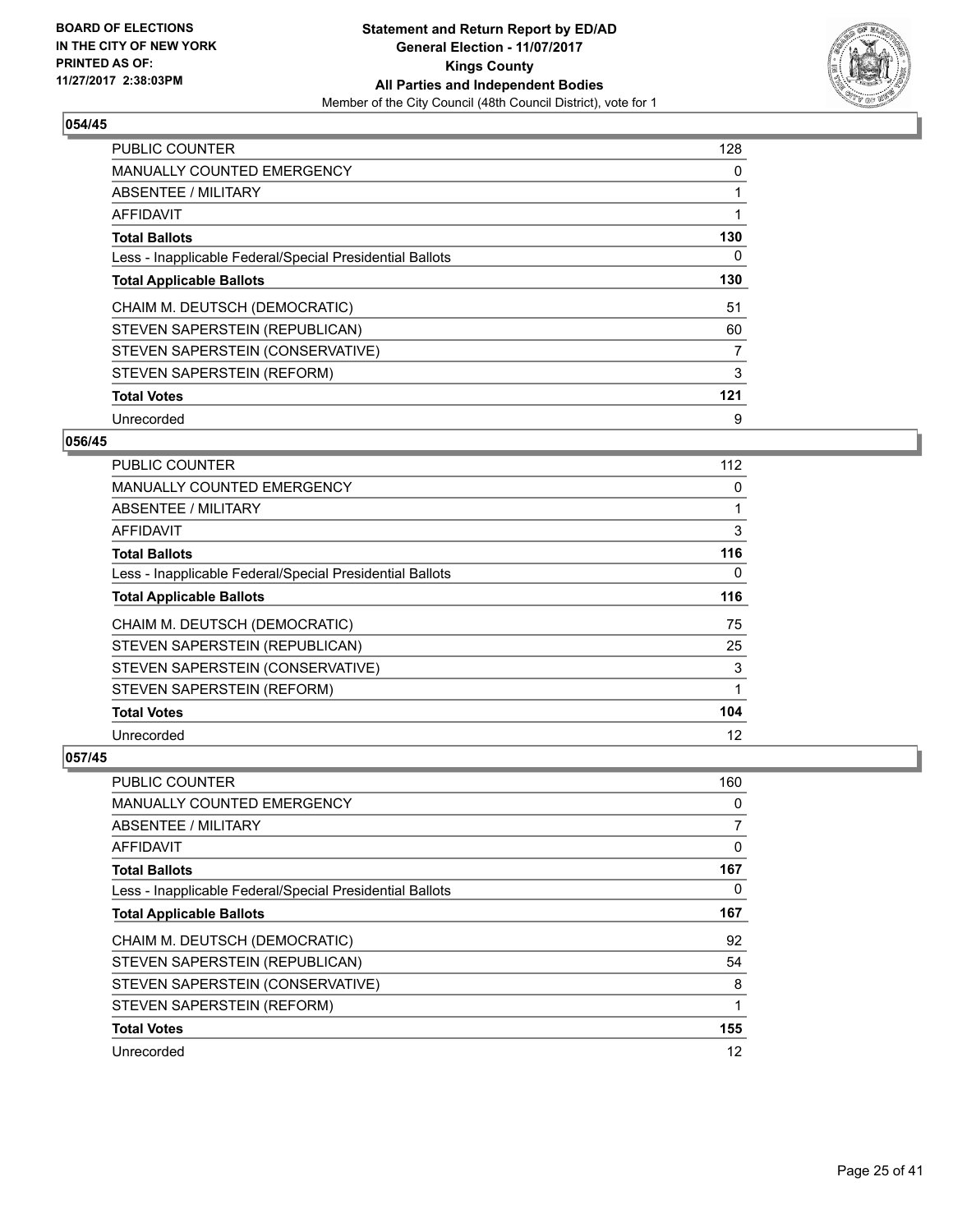

| <b>PUBLIC COUNTER</b>                                    | 128 |
|----------------------------------------------------------|-----|
| <b>MANUALLY COUNTED EMERGENCY</b>                        | 0   |
| ABSENTEE / MILITARY                                      | 1   |
| <b>AFFIDAVIT</b>                                         |     |
| <b>Total Ballots</b>                                     | 130 |
| Less - Inapplicable Federal/Special Presidential Ballots | 0   |
| <b>Total Applicable Ballots</b>                          | 130 |
| CHAIM M. DEUTSCH (DEMOCRATIC)                            | 51  |
| STEVEN SAPERSTEIN (REPUBLICAN)                           | 60  |
| STEVEN SAPERSTEIN (CONSERVATIVE)                         | 7   |
| STEVEN SAPERSTEIN (REFORM)                               | 3   |
| <b>Total Votes</b>                                       | 121 |
| Unrecorded                                               | 9   |

# **056/45**

| <b>PUBLIC COUNTER</b>                                    | 112 |
|----------------------------------------------------------|-----|
| MANUALLY COUNTED EMERGENCY                               | 0   |
| ABSENTEE / MILITARY                                      |     |
| AFFIDAVIT                                                | 3   |
| <b>Total Ballots</b>                                     | 116 |
| Less - Inapplicable Federal/Special Presidential Ballots | 0   |
| <b>Total Applicable Ballots</b>                          | 116 |
| CHAIM M. DEUTSCH (DEMOCRATIC)                            | 75  |
| STEVEN SAPERSTEIN (REPUBLICAN)                           | 25  |
| STEVEN SAPERSTEIN (CONSERVATIVE)                         | 3   |
| STEVEN SAPERSTEIN (REFORM)                               | 1   |
| <b>Total Votes</b>                                       | 104 |
| Unrecorded                                               | 12  |

| <b>PUBLIC COUNTER</b>                                    | 160 |
|----------------------------------------------------------|-----|
| <b>MANUALLY COUNTED EMERGENCY</b>                        | 0   |
| ABSENTEE / MILITARY                                      | 7   |
| AFFIDAVIT                                                | 0   |
| <b>Total Ballots</b>                                     | 167 |
| Less - Inapplicable Federal/Special Presidential Ballots | 0   |
| <b>Total Applicable Ballots</b>                          | 167 |
| CHAIM M. DEUTSCH (DEMOCRATIC)                            | 92  |
| STEVEN SAPERSTEIN (REPUBLICAN)                           | 54  |
| STEVEN SAPERSTEIN (CONSERVATIVE)                         | 8   |
| STEVEN SAPERSTEIN (REFORM)                               | 1   |
| <b>Total Votes</b>                                       | 155 |
| Unrecorded                                               | 12  |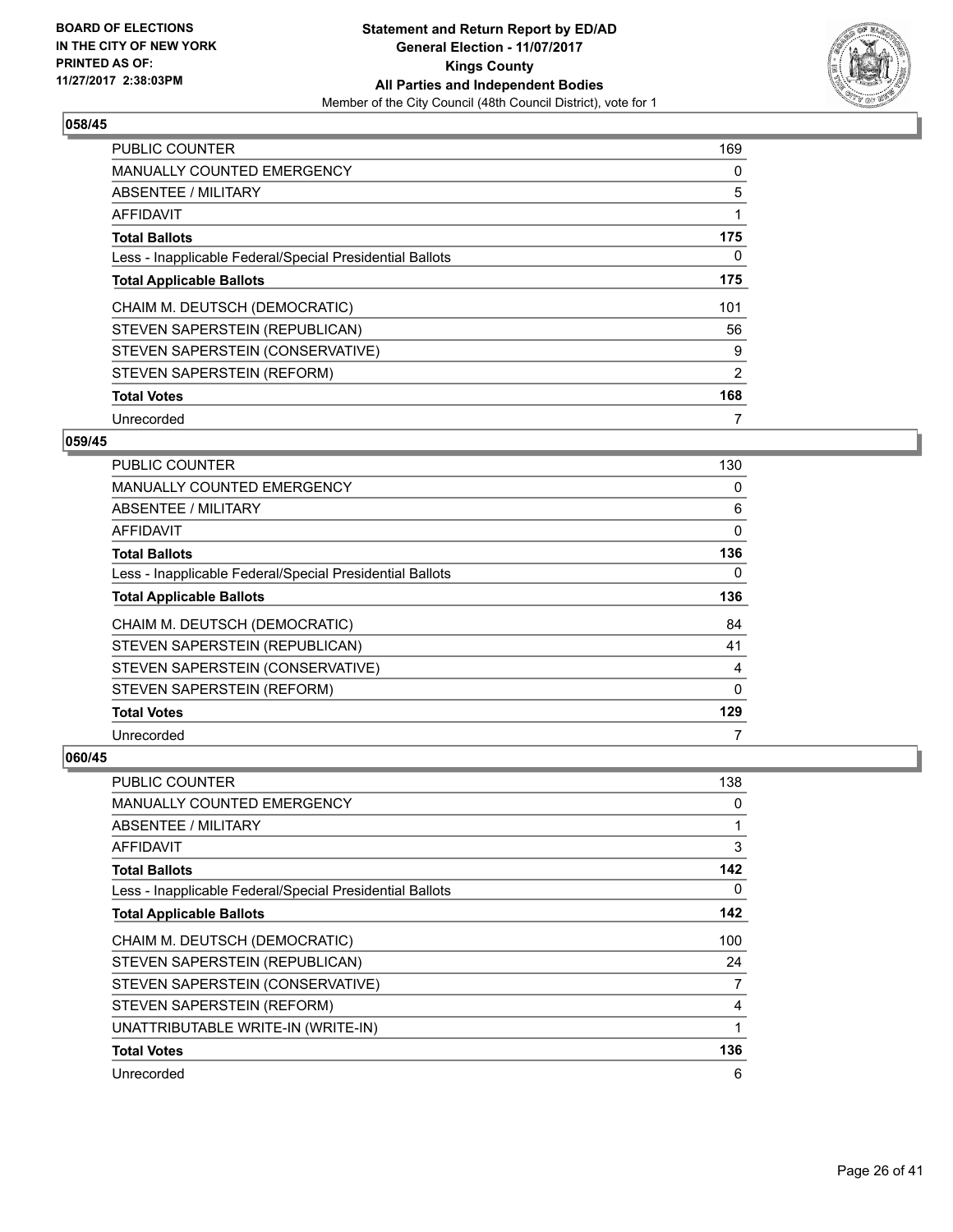

| <b>PUBLIC COUNTER</b>                                    | 169 |
|----------------------------------------------------------|-----|
| <b>MANUALLY COUNTED EMERGENCY</b>                        | 0   |
| ABSENTEE / MILITARY                                      | 5   |
| AFFIDAVIT                                                |     |
| <b>Total Ballots</b>                                     | 175 |
| Less - Inapplicable Federal/Special Presidential Ballots | 0   |
| <b>Total Applicable Ballots</b>                          | 175 |
| CHAIM M. DEUTSCH (DEMOCRATIC)                            | 101 |
| STEVEN SAPERSTEIN (REPUBLICAN)                           | 56  |
| STEVEN SAPERSTEIN (CONSERVATIVE)                         | 9   |
| STEVEN SAPERSTEIN (REFORM)                               | 2   |
| <b>Total Votes</b>                                       | 168 |
| Unrecorded                                               | 7   |

#### **059/45**

| PUBLIC COUNTER                                           | 130      |
|----------------------------------------------------------|----------|
| <b>MANUALLY COUNTED EMERGENCY</b>                        | 0        |
| ABSENTEE / MILITARY                                      | 6        |
| AFFIDAVIT                                                | 0        |
| <b>Total Ballots</b>                                     | 136      |
| Less - Inapplicable Federal/Special Presidential Ballots | 0        |
| <b>Total Applicable Ballots</b>                          | 136      |
| CHAIM M. DEUTSCH (DEMOCRATIC)                            | 84       |
| STEVEN SAPERSTEIN (REPUBLICAN)                           | 41       |
| STEVEN SAPERSTEIN (CONSERVATIVE)                         | 4        |
| STEVEN SAPERSTEIN (REFORM)                               | $\Omega$ |
| <b>Total Votes</b>                                       | 129      |
| Unrecorded                                               | 7        |

| <b>PUBLIC COUNTER</b>                                    | 138 |
|----------------------------------------------------------|-----|
| <b>MANUALLY COUNTED EMERGENCY</b>                        | 0   |
| ABSENTEE / MILITARY                                      |     |
| AFFIDAVIT                                                | 3   |
| <b>Total Ballots</b>                                     | 142 |
| Less - Inapplicable Federal/Special Presidential Ballots | 0   |
| <b>Total Applicable Ballots</b>                          | 142 |
| CHAIM M. DEUTSCH (DEMOCRATIC)                            | 100 |
| STEVEN SAPERSTEIN (REPUBLICAN)                           | 24  |
| STEVEN SAPERSTEIN (CONSERVATIVE)                         | 7   |
| STEVEN SAPERSTEIN (REFORM)                               | 4   |
| UNATTRIBUTABLE WRITE-IN (WRITE-IN)                       |     |
| <b>Total Votes</b>                                       | 136 |
| Unrecorded                                               | 6   |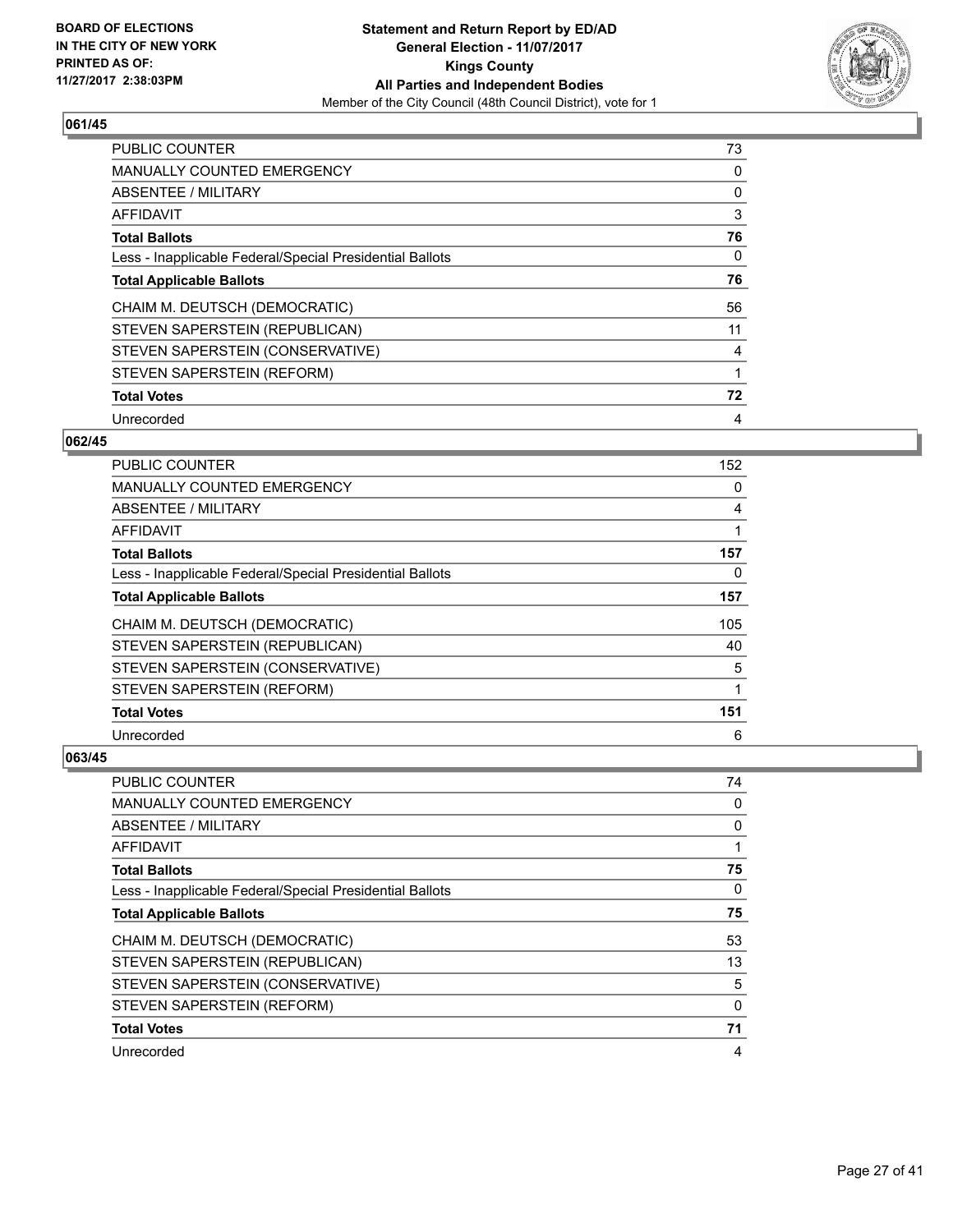

| <b>PUBLIC COUNTER</b>                                    | 73 |
|----------------------------------------------------------|----|
| <b>MANUALLY COUNTED EMERGENCY</b>                        | 0  |
| ABSENTEE / MILITARY                                      | 0  |
| <b>AFFIDAVIT</b>                                         | 3  |
| <b>Total Ballots</b>                                     | 76 |
| Less - Inapplicable Federal/Special Presidential Ballots | 0  |
| <b>Total Applicable Ballots</b>                          | 76 |
| CHAIM M. DEUTSCH (DEMOCRATIC)                            | 56 |
| STEVEN SAPERSTEIN (REPUBLICAN)                           | 11 |
| STEVEN SAPERSTEIN (CONSERVATIVE)                         | 4  |
| STEVEN SAPERSTEIN (REFORM)                               | 1  |
| <b>Total Votes</b>                                       | 72 |
| Unrecorded                                               | 4  |

## **062/45**

| PUBLIC COUNTER                                           | 152 |
|----------------------------------------------------------|-----|
| MANUALLY COUNTED EMERGENCY                               | 0   |
| ABSENTEE / MILITARY                                      | 4   |
| AFFIDAVIT                                                |     |
| <b>Total Ballots</b>                                     | 157 |
| Less - Inapplicable Federal/Special Presidential Ballots | 0   |
| <b>Total Applicable Ballots</b>                          | 157 |
| CHAIM M. DEUTSCH (DEMOCRATIC)                            | 105 |
| STEVEN SAPERSTEIN (REPUBLICAN)                           | 40  |
| STEVEN SAPERSTEIN (CONSERVATIVE)                         | 5   |
| STEVEN SAPERSTEIN (REFORM)                               |     |
| <b>Total Votes</b>                                       | 151 |
| Unrecorded                                               | 6   |

| <b>PUBLIC COUNTER</b>                                    | 74 |
|----------------------------------------------------------|----|
| <b>MANUALLY COUNTED EMERGENCY</b>                        | 0  |
| ABSENTEE / MILITARY                                      | 0  |
| AFFIDAVIT                                                | 1  |
| <b>Total Ballots</b>                                     | 75 |
| Less - Inapplicable Federal/Special Presidential Ballots | 0  |
| <b>Total Applicable Ballots</b>                          | 75 |
| CHAIM M. DEUTSCH (DEMOCRATIC)                            | 53 |
| STEVEN SAPERSTEIN (REPUBLICAN)                           | 13 |
| STEVEN SAPERSTEIN (CONSERVATIVE)                         | 5  |
| STEVEN SAPERSTEIN (REFORM)                               | 0  |
| <b>Total Votes</b>                                       | 71 |
| Unrecorded                                               | 4  |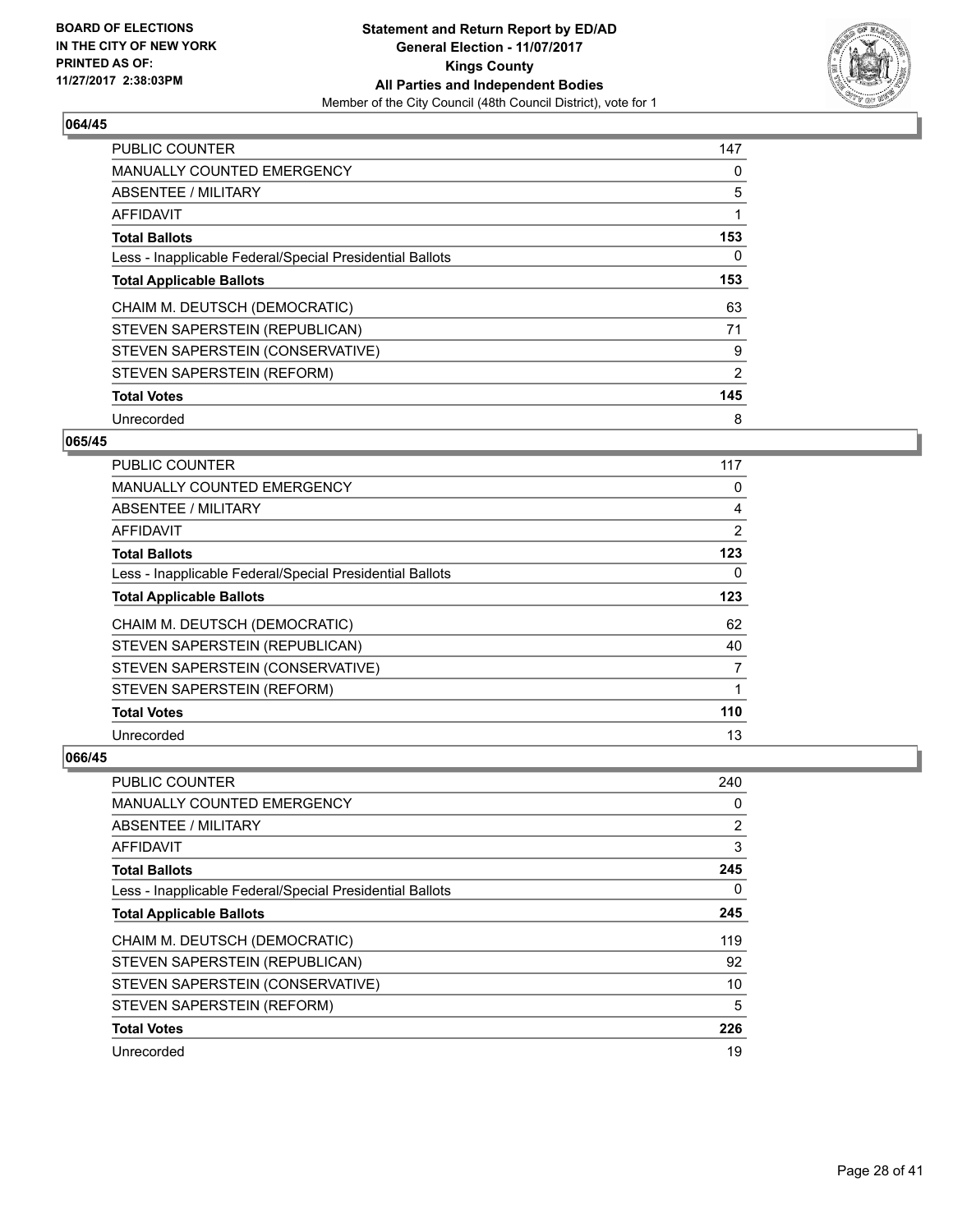

| <b>PUBLIC COUNTER</b>                                    | 147 |
|----------------------------------------------------------|-----|
| <b>MANUALLY COUNTED EMERGENCY</b>                        | 0   |
| ABSENTEE / MILITARY                                      | 5   |
| AFFIDAVIT                                                | 1   |
| <b>Total Ballots</b>                                     | 153 |
| Less - Inapplicable Federal/Special Presidential Ballots | 0   |
| <b>Total Applicable Ballots</b>                          | 153 |
| CHAIM M. DEUTSCH (DEMOCRATIC)                            | 63  |
| STEVEN SAPERSTEIN (REPUBLICAN)                           | 71  |
| STEVEN SAPERSTEIN (CONSERVATIVE)                         | 9   |
| STEVEN SAPERSTEIN (REFORM)                               | 2   |
| <b>Total Votes</b>                                       | 145 |
| Unrecorded                                               | 8   |

## **065/45**

| <b>PUBLIC COUNTER</b>                                    | 117            |
|----------------------------------------------------------|----------------|
| MANUALLY COUNTED EMERGENCY                               | 0              |
| ABSENTEE / MILITARY                                      | 4              |
| AFFIDAVIT                                                | $\overline{2}$ |
| <b>Total Ballots</b>                                     | 123            |
| Less - Inapplicable Federal/Special Presidential Ballots | 0              |
| <b>Total Applicable Ballots</b>                          | 123            |
| CHAIM M. DEUTSCH (DEMOCRATIC)                            | 62             |
| STEVEN SAPERSTEIN (REPUBLICAN)                           | 40             |
| STEVEN SAPERSTEIN (CONSERVATIVE)                         | 7              |
| STEVEN SAPERSTEIN (REFORM)                               |                |
| <b>Total Votes</b>                                       | 110            |
| Unrecorded                                               | 13             |

| PUBLIC COUNTER                                           | 240            |
|----------------------------------------------------------|----------------|
| <b>MANUALLY COUNTED EMERGENCY</b>                        | 0              |
| ABSENTEE / MILITARY                                      | $\overline{2}$ |
| AFFIDAVIT                                                | 3              |
| <b>Total Ballots</b>                                     | 245            |
| Less - Inapplicable Federal/Special Presidential Ballots | 0              |
| <b>Total Applicable Ballots</b>                          | 245            |
| CHAIM M. DEUTSCH (DEMOCRATIC)                            | 119            |
| STEVEN SAPERSTEIN (REPUBLICAN)                           | 92             |
| STEVEN SAPERSTEIN (CONSERVATIVE)                         | 10             |
| STEVEN SAPERSTEIN (REFORM)                               | 5              |
| <b>Total Votes</b>                                       | 226            |
| Unrecorded                                               | 19             |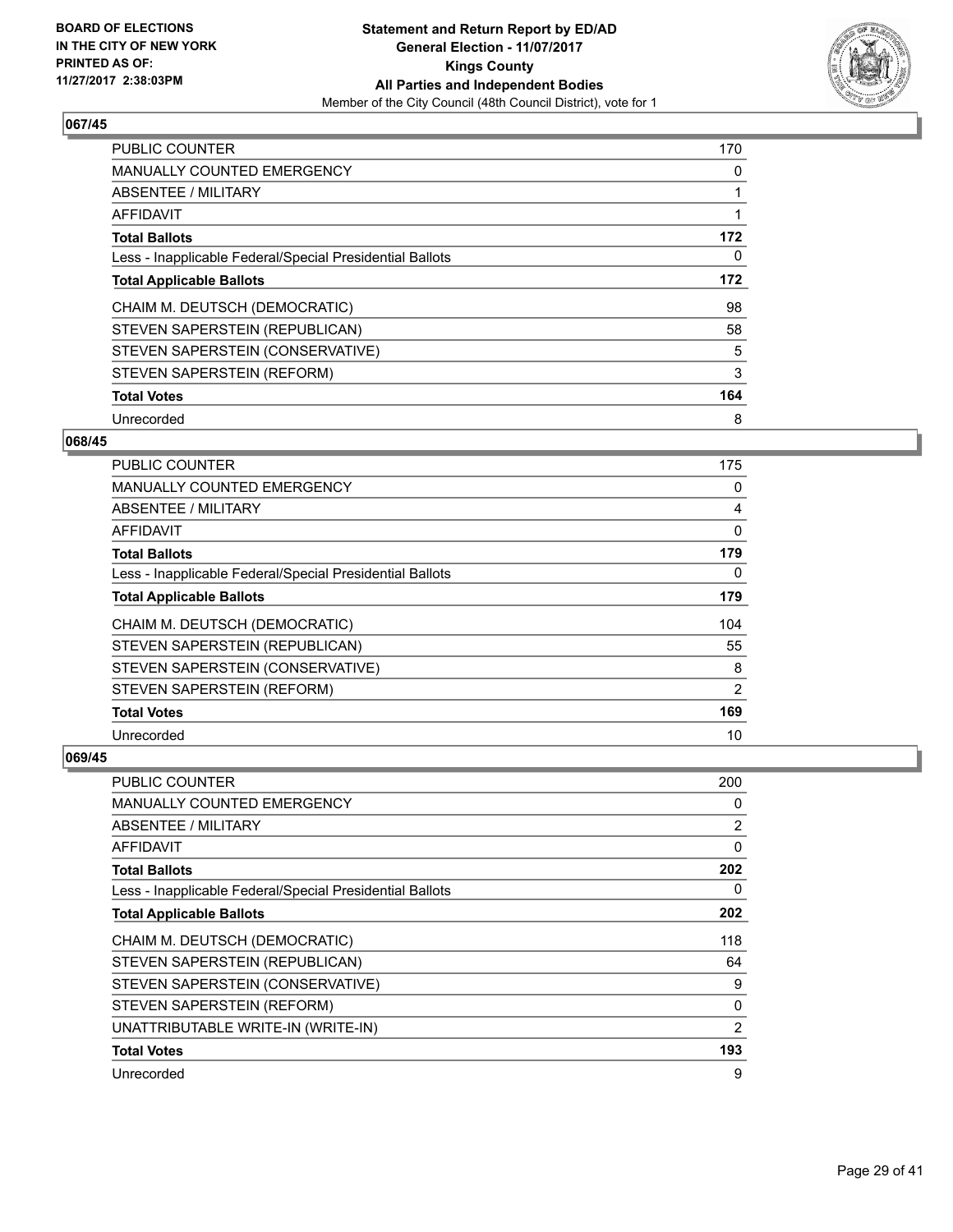

| <b>PUBLIC COUNTER</b>                                    | 170 |
|----------------------------------------------------------|-----|
| <b>MANUALLY COUNTED EMERGENCY</b>                        | 0   |
| ABSENTEE / MILITARY                                      | 1   |
| <b>AFFIDAVIT</b>                                         |     |
| <b>Total Ballots</b>                                     | 172 |
| Less - Inapplicable Federal/Special Presidential Ballots | 0   |
| <b>Total Applicable Ballots</b>                          | 172 |
| CHAIM M. DEUTSCH (DEMOCRATIC)                            | 98  |
| STEVEN SAPERSTEIN (REPUBLICAN)                           | 58  |
| STEVEN SAPERSTEIN (CONSERVATIVE)                         | 5   |
| STEVEN SAPERSTEIN (REFORM)                               | 3   |
| <b>Total Votes</b>                                       | 164 |
| Unrecorded                                               | 8   |

## **068/45**

| <b>PUBLIC COUNTER</b>                                    | 175 |
|----------------------------------------------------------|-----|
| MANUALLY COUNTED EMERGENCY                               | 0   |
| ABSENTEE / MILITARY                                      | 4   |
| AFFIDAVIT                                                | 0   |
| <b>Total Ballots</b>                                     | 179 |
| Less - Inapplicable Federal/Special Presidential Ballots | 0   |
| <b>Total Applicable Ballots</b>                          | 179 |
| CHAIM M. DEUTSCH (DEMOCRATIC)                            | 104 |
| STEVEN SAPERSTEIN (REPUBLICAN)                           | 55  |
| STEVEN SAPERSTEIN (CONSERVATIVE)                         | 8   |
| STEVEN SAPERSTEIN (REFORM)                               | 2   |
| <b>Total Votes</b>                                       | 169 |
| Unrecorded                                               | 10  |

| <b>PUBLIC COUNTER</b>                                    | 200            |
|----------------------------------------------------------|----------------|
| MANUALLY COUNTED EMERGENCY                               | 0              |
| ABSENTEE / MILITARY                                      | 2              |
| AFFIDAVIT                                                | $\Omega$       |
| <b>Total Ballots</b>                                     | 202            |
| Less - Inapplicable Federal/Special Presidential Ballots | 0              |
| <b>Total Applicable Ballots</b>                          | 202            |
| CHAIM M. DEUTSCH (DEMOCRATIC)                            | 118            |
| STEVEN SAPERSTEIN (REPUBLICAN)                           | 64             |
| STEVEN SAPERSTEIN (CONSERVATIVE)                         | 9              |
| STEVEN SAPERSTEIN (REFORM)                               | 0              |
| UNATTRIBUTABLE WRITE-IN (WRITE-IN)                       | $\overline{2}$ |
| <b>Total Votes</b>                                       | 193            |
| Unrecorded                                               | 9              |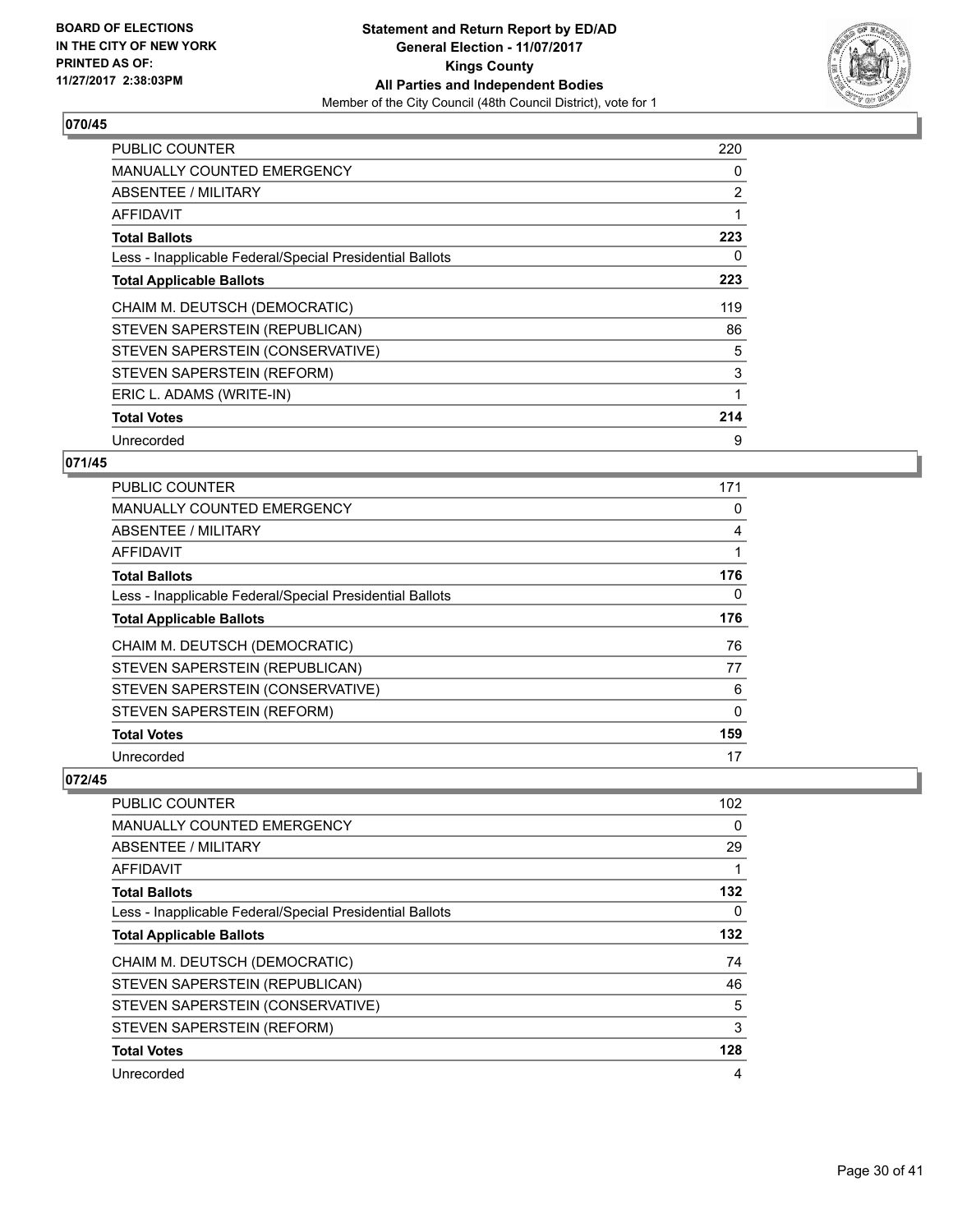

| <b>PUBLIC COUNTER</b>                                    | 220 |
|----------------------------------------------------------|-----|
| <b>MANUALLY COUNTED EMERGENCY</b>                        | 0   |
| ABSENTEE / MILITARY                                      | 2   |
| AFFIDAVIT                                                | 1   |
| <b>Total Ballots</b>                                     | 223 |
| Less - Inapplicable Federal/Special Presidential Ballots | 0   |
| <b>Total Applicable Ballots</b>                          | 223 |
| CHAIM M. DEUTSCH (DEMOCRATIC)                            | 119 |
| STEVEN SAPERSTEIN (REPUBLICAN)                           | 86  |
| STEVEN SAPERSTEIN (CONSERVATIVE)                         | 5   |
| STEVEN SAPERSTEIN (REFORM)                               | 3   |
| ERIC L. ADAMS (WRITE-IN)                                 | 1   |
| <b>Total Votes</b>                                       | 214 |
| Unrecorded                                               | 9   |

# **071/45**

| PUBLIC COUNTER                                           | 171      |
|----------------------------------------------------------|----------|
| <b>MANUALLY COUNTED EMERGENCY</b>                        | 0        |
| ABSENTEE / MILITARY                                      | 4        |
| AFFIDAVIT                                                | 1        |
| <b>Total Ballots</b>                                     | 176      |
| Less - Inapplicable Federal/Special Presidential Ballots | 0        |
| <b>Total Applicable Ballots</b>                          | 176      |
| CHAIM M. DEUTSCH (DEMOCRATIC)                            | 76       |
| STEVEN SAPERSTEIN (REPUBLICAN)                           | 77       |
| STEVEN SAPERSTEIN (CONSERVATIVE)                         | 6        |
| STEVEN SAPERSTEIN (REFORM)                               | $\Omega$ |
| <b>Total Votes</b>                                       | 159      |
| Unrecorded                                               | 17       |

| <b>PUBLIC COUNTER</b>                                    | 102 |
|----------------------------------------------------------|-----|
| MANUALLY COUNTED EMERGENCY                               | 0   |
| ABSENTEE / MILITARY                                      | 29  |
| AFFIDAVIT                                                |     |
| <b>Total Ballots</b>                                     | 132 |
| Less - Inapplicable Federal/Special Presidential Ballots | 0   |
| <b>Total Applicable Ballots</b>                          | 132 |
| CHAIM M. DEUTSCH (DEMOCRATIC)                            | 74  |
| STEVEN SAPERSTEIN (REPUBLICAN)                           | 46  |
| STEVEN SAPERSTEIN (CONSERVATIVE)                         | 5   |
| STEVEN SAPERSTEIN (REFORM)                               | 3   |
| <b>Total Votes</b>                                       | 128 |
| Unrecorded                                               | 4   |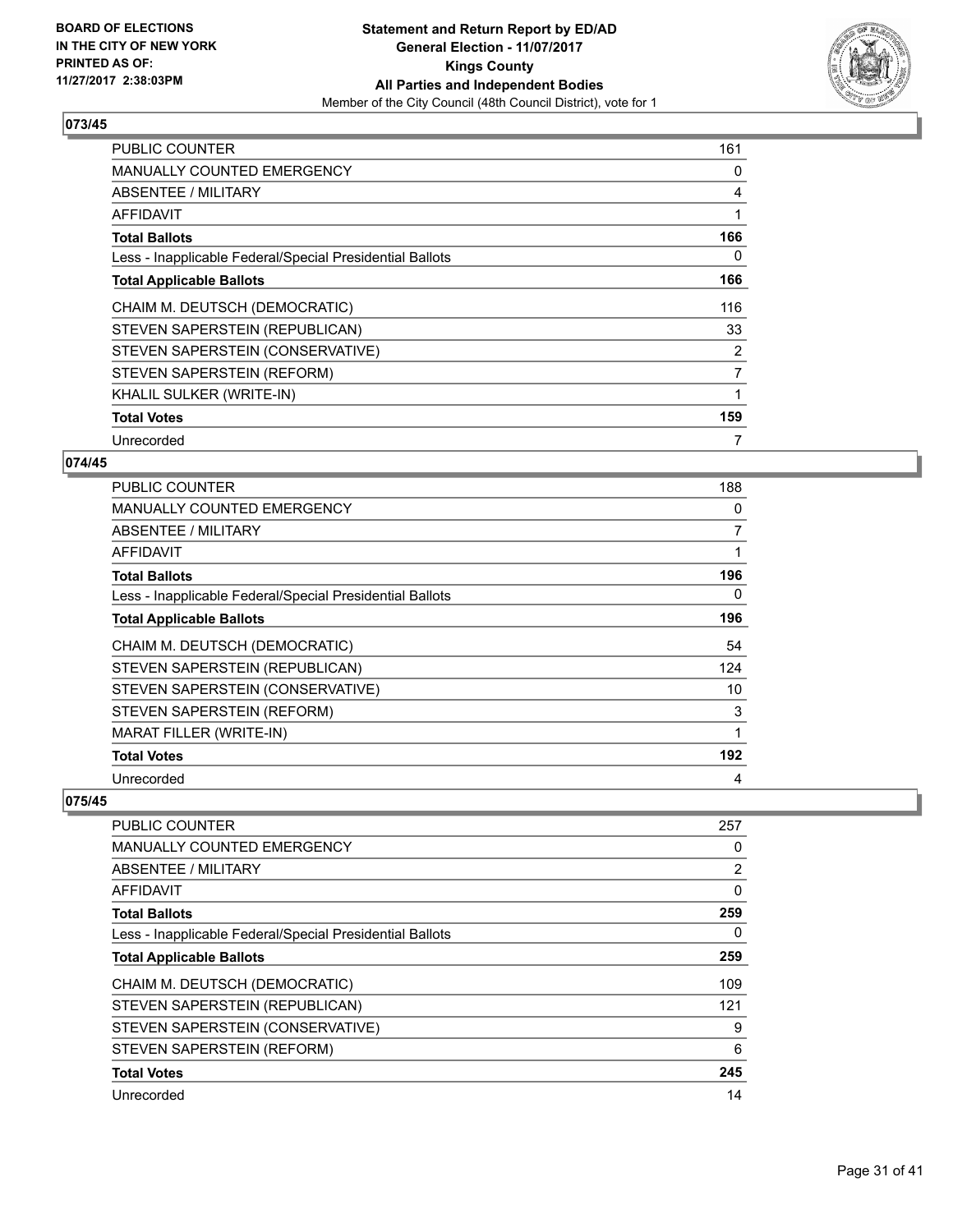

| <b>PUBLIC COUNTER</b>                                    | 161 |
|----------------------------------------------------------|-----|
| <b>MANUALLY COUNTED EMERGENCY</b>                        | 0   |
| ABSENTEE / MILITARY                                      | 4   |
| AFFIDAVIT                                                | 1   |
| <b>Total Ballots</b>                                     | 166 |
| Less - Inapplicable Federal/Special Presidential Ballots | 0   |
| <b>Total Applicable Ballots</b>                          | 166 |
| CHAIM M. DEUTSCH (DEMOCRATIC)                            | 116 |
| STEVEN SAPERSTEIN (REPUBLICAN)                           | 33  |
| STEVEN SAPERSTEIN (CONSERVATIVE)                         | 2   |
| STEVEN SAPERSTEIN (REFORM)                               | 7   |
| KHALIL SULKER (WRITE-IN)                                 | 1   |
| <b>Total Votes</b>                                       | 159 |
| Unrecorded                                               | 7   |

# **074/45**

| <b>PUBLIC COUNTER</b>                                    | 188            |
|----------------------------------------------------------|----------------|
| <b>MANUALLY COUNTED EMERGENCY</b>                        | 0              |
| ABSENTEE / MILITARY                                      | $\overline{7}$ |
| AFFIDAVIT                                                |                |
| <b>Total Ballots</b>                                     | 196            |
| Less - Inapplicable Federal/Special Presidential Ballots | 0              |
| <b>Total Applicable Ballots</b>                          | 196            |
| CHAIM M. DEUTSCH (DEMOCRATIC)                            | 54             |
| STEVEN SAPERSTEIN (REPUBLICAN)                           | 124            |
| STEVEN SAPERSTEIN (CONSERVATIVE)                         | 10             |
| STEVEN SAPERSTEIN (REFORM)                               | 3              |
| <b>MARAT FILLER (WRITE-IN)</b>                           | 1              |
| <b>Total Votes</b>                                       | 192            |
| Unrecorded                                               | 4              |

| <b>PUBLIC COUNTER</b>                                    | 257            |
|----------------------------------------------------------|----------------|
| <b>MANUALLY COUNTED EMERGENCY</b>                        | 0              |
| ABSENTEE / MILITARY                                      | $\overline{2}$ |
| AFFIDAVIT                                                | 0              |
| <b>Total Ballots</b>                                     | 259            |
| Less - Inapplicable Federal/Special Presidential Ballots | 0              |
| <b>Total Applicable Ballots</b>                          | 259            |
| CHAIM M. DEUTSCH (DEMOCRATIC)                            | 109            |
| STEVEN SAPERSTEIN (REPUBLICAN)                           | 121            |
| STEVEN SAPERSTEIN (CONSERVATIVE)                         | 9              |
| STEVEN SAPERSTEIN (REFORM)                               | 6              |
| <b>Total Votes</b>                                       | 245            |
| Unrecorded                                               | 14             |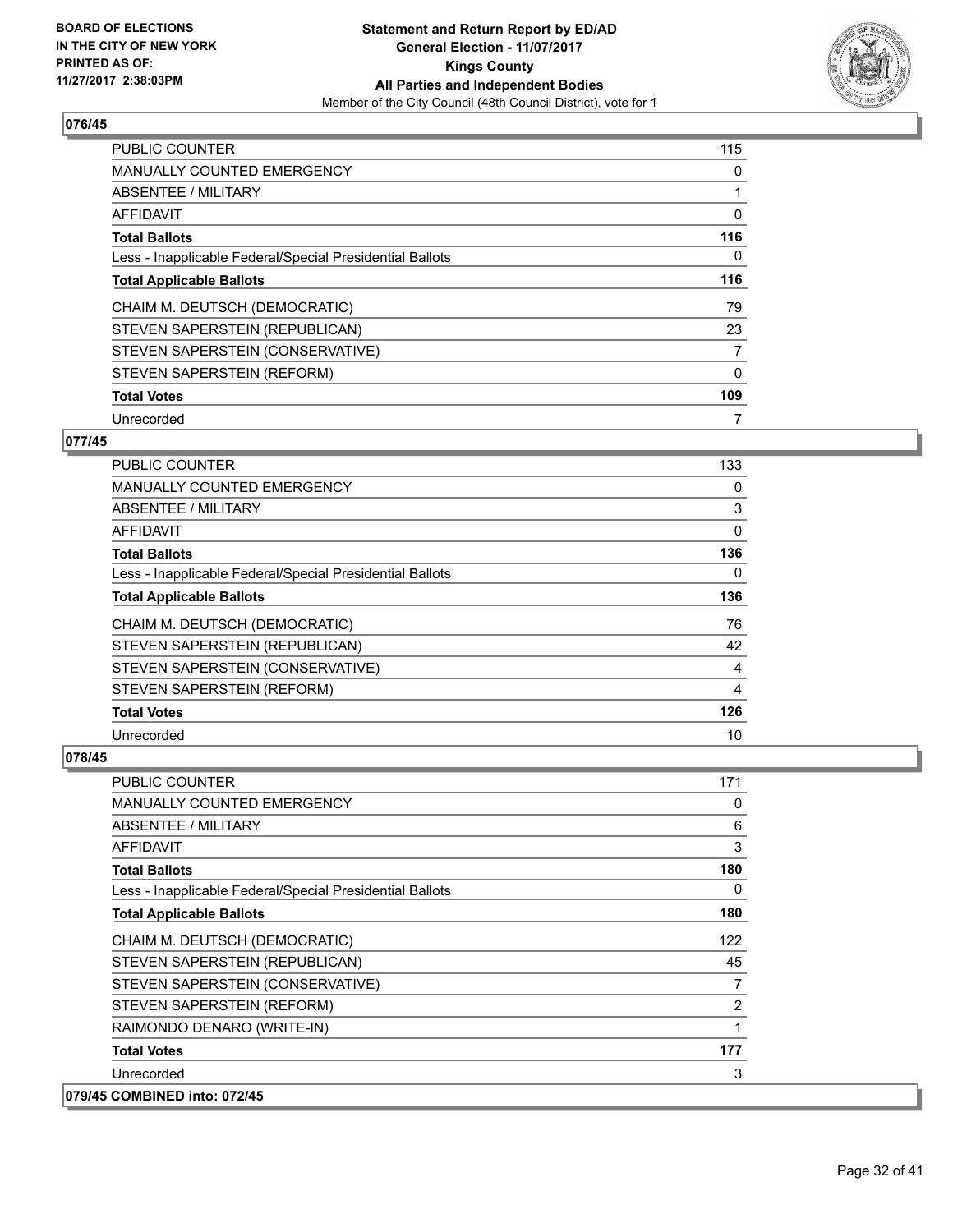

| <b>PUBLIC COUNTER</b>                                    | 115 |
|----------------------------------------------------------|-----|
| <b>MANUALLY COUNTED EMERGENCY</b>                        | 0   |
| ABSENTEE / MILITARY                                      | 1   |
| AFFIDAVIT                                                | 0   |
| <b>Total Ballots</b>                                     | 116 |
| Less - Inapplicable Federal/Special Presidential Ballots | 0   |
| <b>Total Applicable Ballots</b>                          | 116 |
| CHAIM M. DEUTSCH (DEMOCRATIC)                            | 79  |
| STEVEN SAPERSTEIN (REPUBLICAN)                           | 23  |
| STEVEN SAPERSTEIN (CONSERVATIVE)                         | 7   |
| STEVEN SAPERSTEIN (REFORM)                               | 0   |
| <b>Total Votes</b>                                       | 109 |
| Unrecorded                                               | 7   |

# **077/45**

| PUBLIC COUNTER                                           | 133 |
|----------------------------------------------------------|-----|
| <b>MANUALLY COUNTED EMERGENCY</b>                        | 0   |
| ABSENTEE / MILITARY                                      | 3   |
| AFFIDAVIT                                                | 0   |
| <b>Total Ballots</b>                                     | 136 |
| Less - Inapplicable Federal/Special Presidential Ballots | 0   |
| <b>Total Applicable Ballots</b>                          | 136 |
| CHAIM M. DEUTSCH (DEMOCRATIC)                            | 76  |
| STEVEN SAPERSTEIN (REPUBLICAN)                           | 42  |
| STEVEN SAPERSTEIN (CONSERVATIVE)                         | 4   |
| STEVEN SAPERSTEIN (REFORM)                               | 4   |
| <b>Total Votes</b>                                       | 126 |
| Unrecorded                                               | 10  |

| <b>PUBLIC COUNTER</b>                                    | 171 |
|----------------------------------------------------------|-----|
| <b>MANUALLY COUNTED EMERGENCY</b>                        | 0   |
| ABSENTEE / MILITARY                                      | 6   |
| AFFIDAVIT                                                | 3   |
| <b>Total Ballots</b>                                     | 180 |
| Less - Inapplicable Federal/Special Presidential Ballots | 0   |
| <b>Total Applicable Ballots</b>                          | 180 |
| CHAIM M. DEUTSCH (DEMOCRATIC)                            | 122 |
| STEVEN SAPERSTEIN (REPUBLICAN)                           | 45  |
| STEVEN SAPERSTEIN (CONSERVATIVE)                         | 7   |
| STEVEN SAPERSTEIN (REFORM)                               | 2   |
| RAIMONDO DENARO (WRITE-IN)                               | 1   |
| <b>Total Votes</b>                                       | 177 |
| Unrecorded                                               | 3   |
| 079/45 COMBINED into: 072/45                             |     |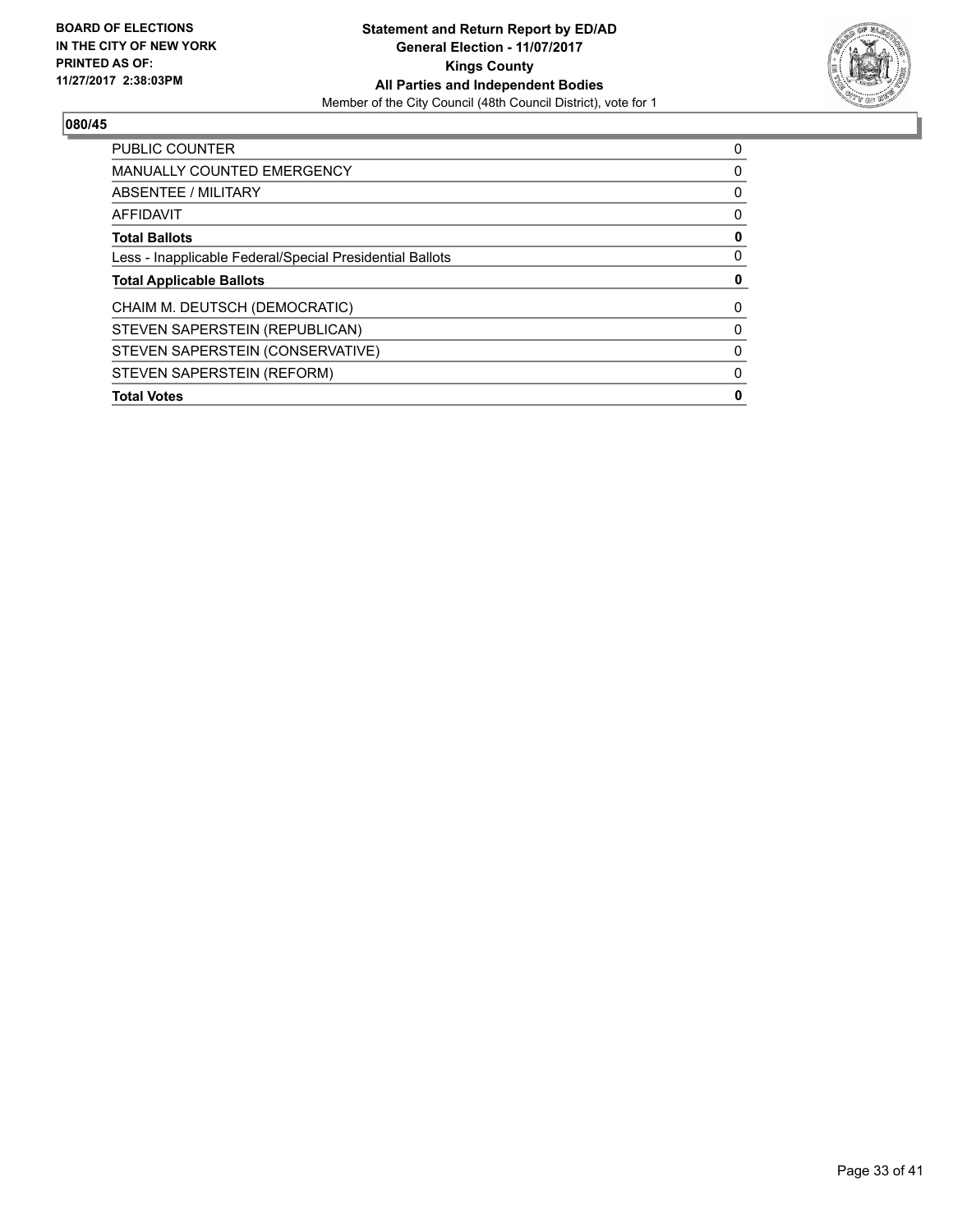

| <b>PUBLIC COUNTER</b>                                    | 0 |
|----------------------------------------------------------|---|
| <b>MANUALLY COUNTED EMERGENCY</b>                        | 0 |
| ABSENTEE / MILITARY                                      | 0 |
| AFFIDAVIT                                                | 0 |
| <b>Total Ballots</b>                                     | 0 |
| Less - Inapplicable Federal/Special Presidential Ballots | 0 |
| <b>Total Applicable Ballots</b>                          | 0 |
| CHAIM M. DEUTSCH (DEMOCRATIC)                            | 0 |
| STEVEN SAPERSTEIN (REPUBLICAN)                           | 0 |
| STEVEN SAPERSTEIN (CONSERVATIVE)                         | 0 |
| STEVEN SAPERSTEIN (REFORM)                               | 0 |
|                                                          |   |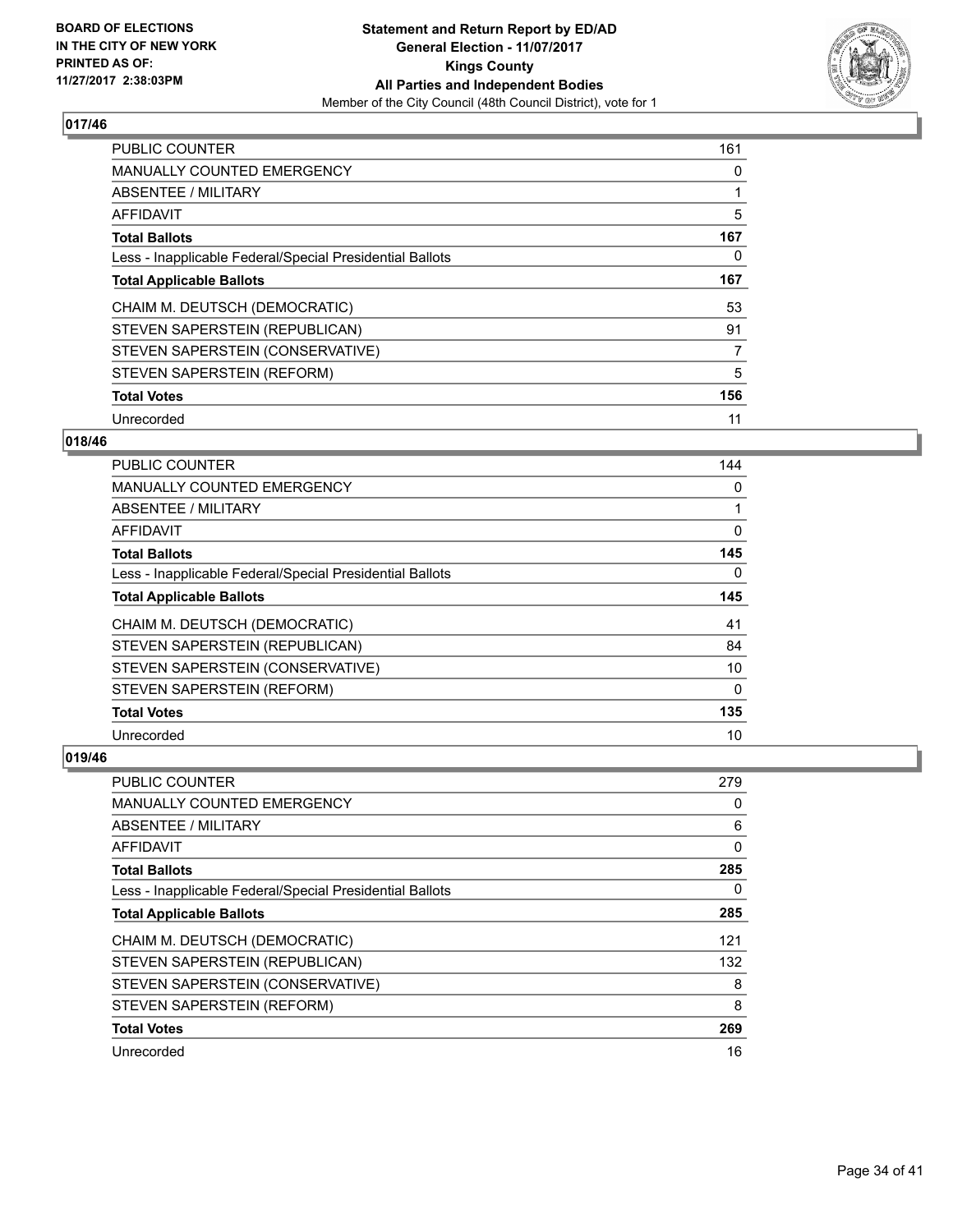

| <b>PUBLIC COUNTER</b>                                    | 161 |
|----------------------------------------------------------|-----|
| <b>MANUALLY COUNTED EMERGENCY</b>                        | 0   |
| ABSENTEE / MILITARY                                      |     |
| <b>AFFIDAVIT</b>                                         | 5   |
| <b>Total Ballots</b>                                     | 167 |
| Less - Inapplicable Federal/Special Presidential Ballots | 0   |
| <b>Total Applicable Ballots</b>                          | 167 |
| CHAIM M. DEUTSCH (DEMOCRATIC)                            | 53  |
| STEVEN SAPERSTEIN (REPUBLICAN)                           | 91  |
| STEVEN SAPERSTEIN (CONSERVATIVE)                         | 7   |
| STEVEN SAPERSTEIN (REFORM)                               | 5   |
| <b>Total Votes</b>                                       | 156 |
| Unrecorded                                               | 11  |

#### **018/46**

| <b>PUBLIC COUNTER</b>                                    | 144 |
|----------------------------------------------------------|-----|
| <b>MANUALLY COUNTED EMERGENCY</b>                        | 0   |
| ABSENTEE / MILITARY                                      |     |
| AFFIDAVIT                                                | 0   |
| <b>Total Ballots</b>                                     | 145 |
| Less - Inapplicable Federal/Special Presidential Ballots | 0   |
| <b>Total Applicable Ballots</b>                          | 145 |
| CHAIM M. DEUTSCH (DEMOCRATIC)                            | 41  |
| STEVEN SAPERSTEIN (REPUBLICAN)                           | 84  |
| STEVEN SAPERSTEIN (CONSERVATIVE)                         | 10  |
| STEVEN SAPERSTEIN (REFORM)                               | 0   |
| <b>Total Votes</b>                                       | 135 |
| Unrecorded                                               | 10  |

| <b>PUBLIC COUNTER</b>                                    | 279 |
|----------------------------------------------------------|-----|
| MANUALLY COUNTED EMERGENCY                               | 0   |
| ABSENTEE / MILITARY                                      | 6   |
| AFFIDAVIT                                                | 0   |
| <b>Total Ballots</b>                                     | 285 |
| Less - Inapplicable Federal/Special Presidential Ballots | 0   |
| <b>Total Applicable Ballots</b>                          | 285 |
| CHAIM M. DEUTSCH (DEMOCRATIC)                            | 121 |
| STEVEN SAPERSTEIN (REPUBLICAN)                           | 132 |
| STEVEN SAPERSTEIN (CONSERVATIVE)                         | 8   |
| STEVEN SAPERSTEIN (REFORM)                               | 8   |
| <b>Total Votes</b>                                       | 269 |
| Unrecorded                                               | 16  |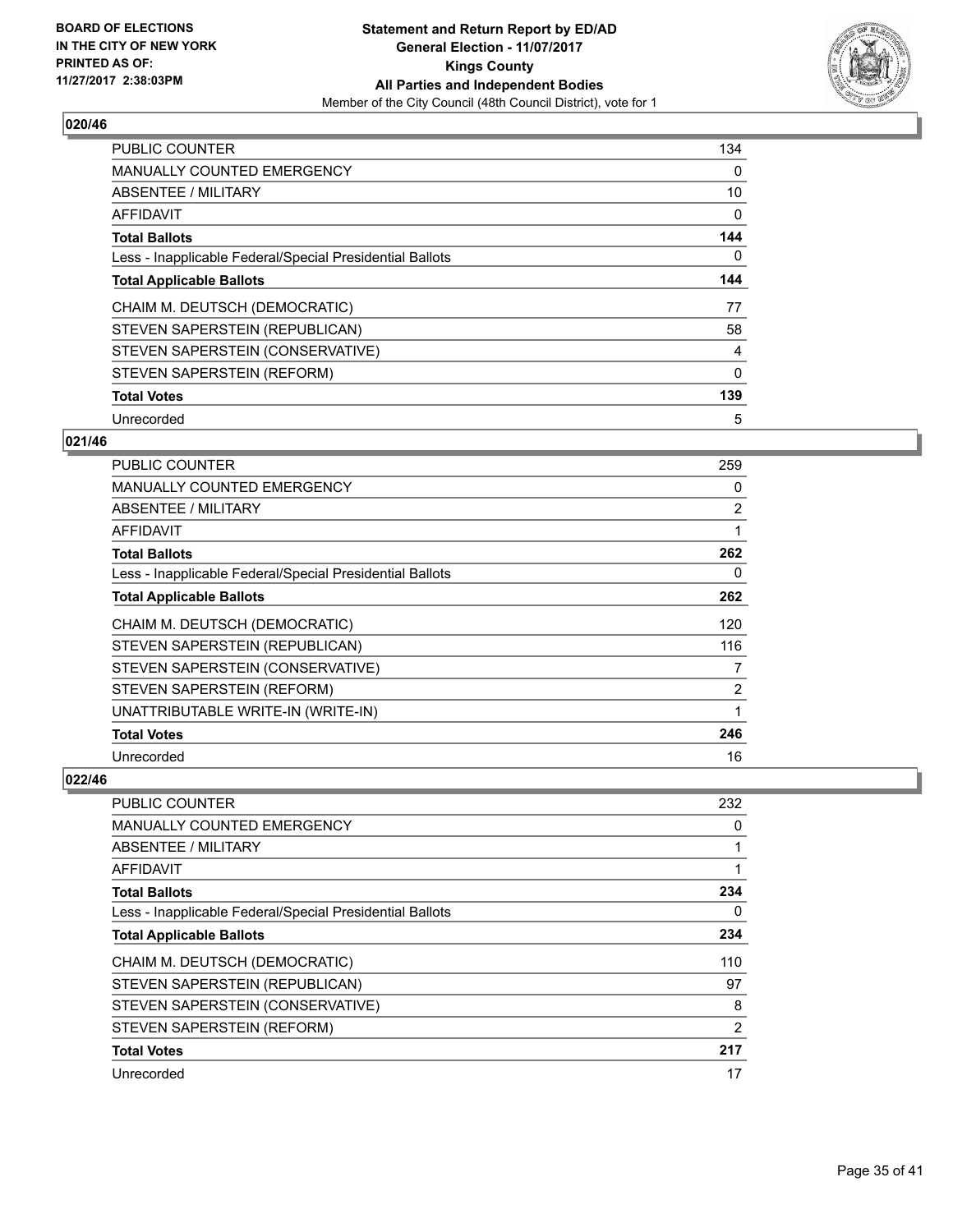

| <b>PUBLIC COUNTER</b>                                    | 134      |
|----------------------------------------------------------|----------|
| MANUALLY COUNTED EMERGENCY                               | 0        |
| ABSENTEE / MILITARY                                      | 10       |
| AFFIDAVIT                                                | 0        |
| <b>Total Ballots</b>                                     | 144      |
| Less - Inapplicable Federal/Special Presidential Ballots | 0        |
| <b>Total Applicable Ballots</b>                          | 144      |
| CHAIM M. DEUTSCH (DEMOCRATIC)                            | 77       |
| STEVEN SAPERSTEIN (REPUBLICAN)                           | 58       |
| STEVEN SAPERSTEIN (CONSERVATIVE)                         | 4        |
| STEVEN SAPERSTEIN (REFORM)                               | $\Omega$ |
| <b>Total Votes</b>                                       | 139      |
| Unrecorded                                               | 5        |

# **021/46**

| <b>PUBLIC COUNTER</b>                                    | 259 |
|----------------------------------------------------------|-----|
| <b>MANUALLY COUNTED EMERGENCY</b>                        | 0   |
| ABSENTEE / MILITARY                                      | 2   |
| AFFIDAVIT                                                |     |
| <b>Total Ballots</b>                                     | 262 |
| Less - Inapplicable Federal/Special Presidential Ballots | 0   |
| <b>Total Applicable Ballots</b>                          | 262 |
| CHAIM M. DEUTSCH (DEMOCRATIC)                            | 120 |
| STEVEN SAPERSTEIN (REPUBLICAN)                           | 116 |
| STEVEN SAPERSTEIN (CONSERVATIVE)                         | 7   |
| STEVEN SAPERSTEIN (REFORM)                               | 2   |
| UNATTRIBUTABLE WRITE-IN (WRITE-IN)                       | 1   |
| <b>Total Votes</b>                                       | 246 |
| Unrecorded                                               | 16  |

| <b>PUBLIC COUNTER</b>                                    | 232 |
|----------------------------------------------------------|-----|
| <b>MANUALLY COUNTED EMERGENCY</b>                        | 0   |
| <b>ABSENTEE / MILITARY</b>                               |     |
| AFFIDAVIT                                                |     |
| <b>Total Ballots</b>                                     | 234 |
| Less - Inapplicable Federal/Special Presidential Ballots | 0   |
| <b>Total Applicable Ballots</b>                          | 234 |
| CHAIM M. DEUTSCH (DEMOCRATIC)                            | 110 |
| STEVEN SAPERSTEIN (REPUBLICAN)                           | 97  |
| STEVEN SAPERSTEIN (CONSERVATIVE)                         | 8   |
| STEVEN SAPERSTEIN (REFORM)                               | 2   |
| <b>Total Votes</b>                                       | 217 |
| Unrecorded                                               | 17  |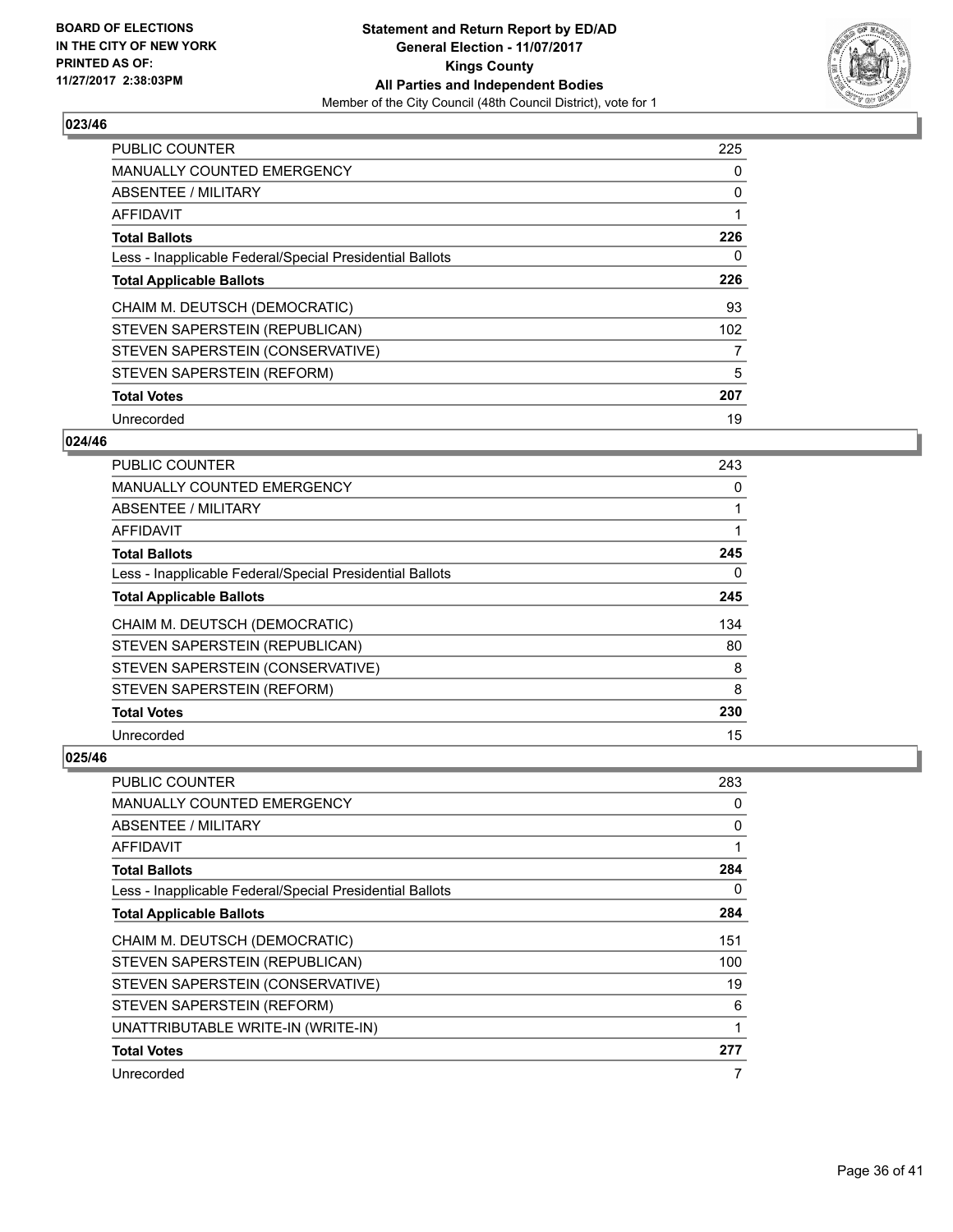

| PUBLIC COUNTER                                           | 225 |
|----------------------------------------------------------|-----|
| <b>MANUALLY COUNTED EMERGENCY</b>                        | 0   |
| <b>ABSENTEE / MILITARY</b>                               | 0   |
| <b>AFFIDAVIT</b>                                         |     |
| <b>Total Ballots</b>                                     | 226 |
| Less - Inapplicable Federal/Special Presidential Ballots | 0   |
| <b>Total Applicable Ballots</b>                          | 226 |
| CHAIM M. DEUTSCH (DEMOCRATIC)                            | 93  |
| STEVEN SAPERSTEIN (REPUBLICAN)                           | 102 |
| STEVEN SAPERSTEIN (CONSERVATIVE)                         | 7   |
| STEVEN SAPERSTEIN (REFORM)                               | 5   |
| <b>Total Votes</b>                                       | 207 |
| Unrecorded                                               | 19  |

# **024/46**

| <b>PUBLIC COUNTER</b>                                    | 243 |
|----------------------------------------------------------|-----|
| <b>MANUALLY COUNTED EMERGENCY</b>                        | 0   |
| ABSENTEE / MILITARY                                      |     |
| AFFIDAVIT                                                |     |
| <b>Total Ballots</b>                                     | 245 |
| Less - Inapplicable Federal/Special Presidential Ballots | 0   |
| <b>Total Applicable Ballots</b>                          | 245 |
| CHAIM M. DEUTSCH (DEMOCRATIC)                            | 134 |
| STEVEN SAPERSTEIN (REPUBLICAN)                           | 80  |
| STEVEN SAPERSTEIN (CONSERVATIVE)                         | 8   |
| STEVEN SAPERSTEIN (REFORM)                               | 8   |
| <b>Total Votes</b>                                       | 230 |
| Unrecorded                                               | 15  |

| <b>PUBLIC COUNTER</b>                                    | 283 |
|----------------------------------------------------------|-----|
| <b>MANUALLY COUNTED EMERGENCY</b>                        | 0   |
| ABSENTEE / MILITARY                                      | 0   |
| AFFIDAVIT                                                |     |
| <b>Total Ballots</b>                                     | 284 |
| Less - Inapplicable Federal/Special Presidential Ballots | 0   |
| <b>Total Applicable Ballots</b>                          | 284 |
| CHAIM M. DEUTSCH (DEMOCRATIC)                            | 151 |
| STEVEN SAPERSTEIN (REPUBLICAN)                           | 100 |
| STEVEN SAPERSTEIN (CONSERVATIVE)                         | 19  |
| STEVEN SAPERSTEIN (REFORM)                               | 6   |
| UNATTRIBUTABLE WRITE-IN (WRITE-IN)                       |     |
| <b>Total Votes</b>                                       | 277 |
| Unrecorded                                               | 7   |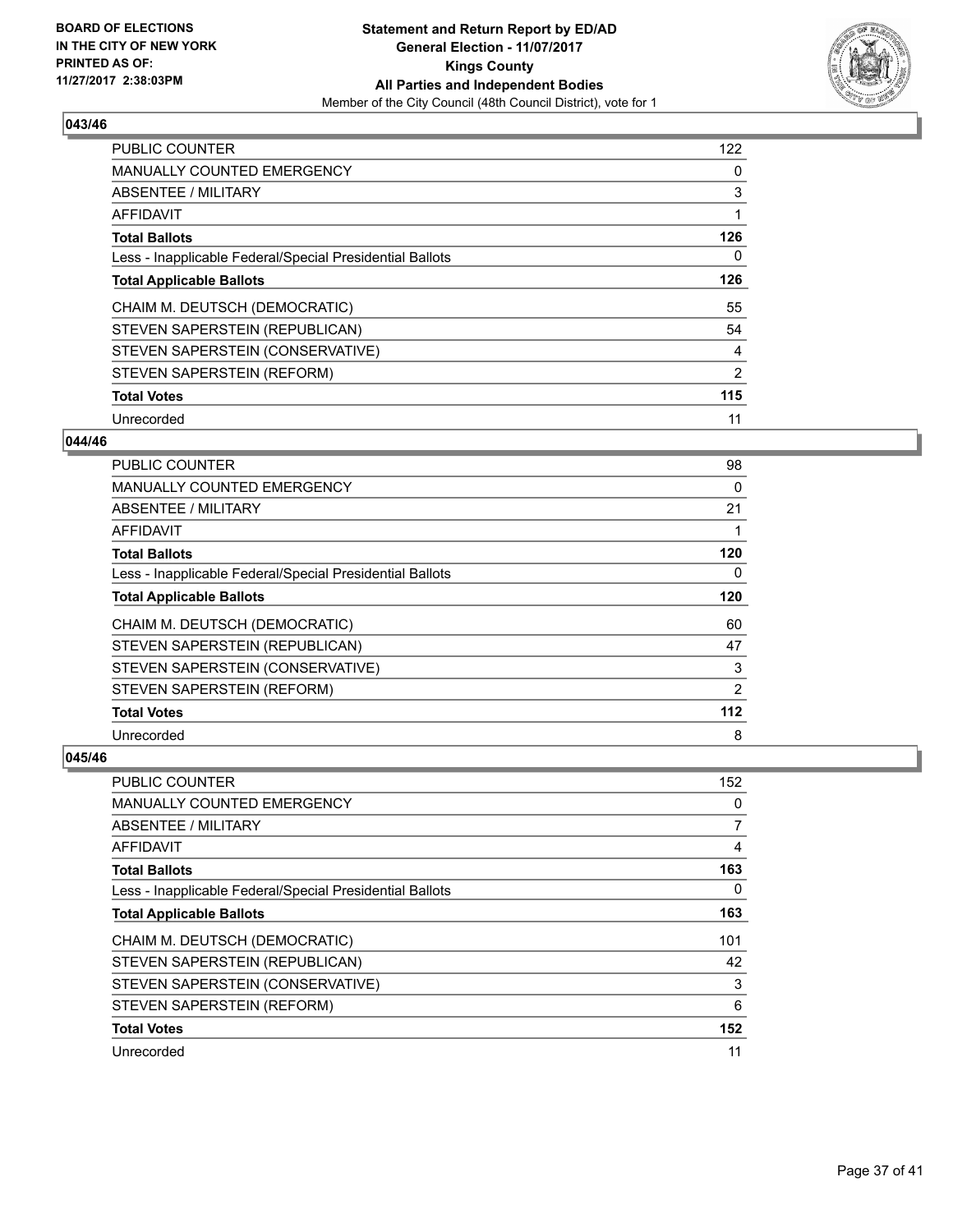

| <b>PUBLIC COUNTER</b>                                    | 122 |
|----------------------------------------------------------|-----|
| <b>MANUALLY COUNTED EMERGENCY</b>                        | 0   |
| ABSENTEE / MILITARY                                      | 3   |
| <b>AFFIDAVIT</b>                                         | 1   |
| <b>Total Ballots</b>                                     | 126 |
| Less - Inapplicable Federal/Special Presidential Ballots | 0   |
| <b>Total Applicable Ballots</b>                          | 126 |
| CHAIM M. DEUTSCH (DEMOCRATIC)                            | 55  |
| STEVEN SAPERSTEIN (REPUBLICAN)                           | 54  |
| STEVEN SAPERSTEIN (CONSERVATIVE)                         | 4   |
| STEVEN SAPERSTEIN (REFORM)                               | 2   |
| <b>Total Votes</b>                                       | 115 |
| Unrecorded                                               | 11  |

## **044/46**

| <b>PUBLIC COUNTER</b>                                    | 98    |
|----------------------------------------------------------|-------|
| <b>MANUALLY COUNTED EMERGENCY</b>                        | 0     |
| ABSENTEE / MILITARY                                      | 21    |
| AFFIDAVIT                                                |       |
| <b>Total Ballots</b>                                     | 120   |
| Less - Inapplicable Federal/Special Presidential Ballots | 0     |
| <b>Total Applicable Ballots</b>                          | 120   |
| CHAIM M. DEUTSCH (DEMOCRATIC)                            | 60    |
| STEVEN SAPERSTEIN (REPUBLICAN)                           | 47    |
| STEVEN SAPERSTEIN (CONSERVATIVE)                         | 3     |
| STEVEN SAPERSTEIN (REFORM)                               | 2     |
| <b>Total Votes</b>                                       | $112$ |
| Unrecorded                                               | 8     |

| <b>PUBLIC COUNTER</b>                                    | 152 |
|----------------------------------------------------------|-----|
| <b>MANUALLY COUNTED EMERGENCY</b>                        | 0   |
| ABSENTEE / MILITARY                                      | 7   |
| AFFIDAVIT                                                | 4   |
| <b>Total Ballots</b>                                     | 163 |
| Less - Inapplicable Federal/Special Presidential Ballots | 0   |
| <b>Total Applicable Ballots</b>                          | 163 |
| CHAIM M. DEUTSCH (DEMOCRATIC)                            | 101 |
| STEVEN SAPERSTEIN (REPUBLICAN)                           | 42  |
| STEVEN SAPERSTEIN (CONSERVATIVE)                         | 3   |
| STEVEN SAPERSTEIN (REFORM)                               | 6   |
| <b>Total Votes</b>                                       | 152 |
| Unrecorded                                               | 11  |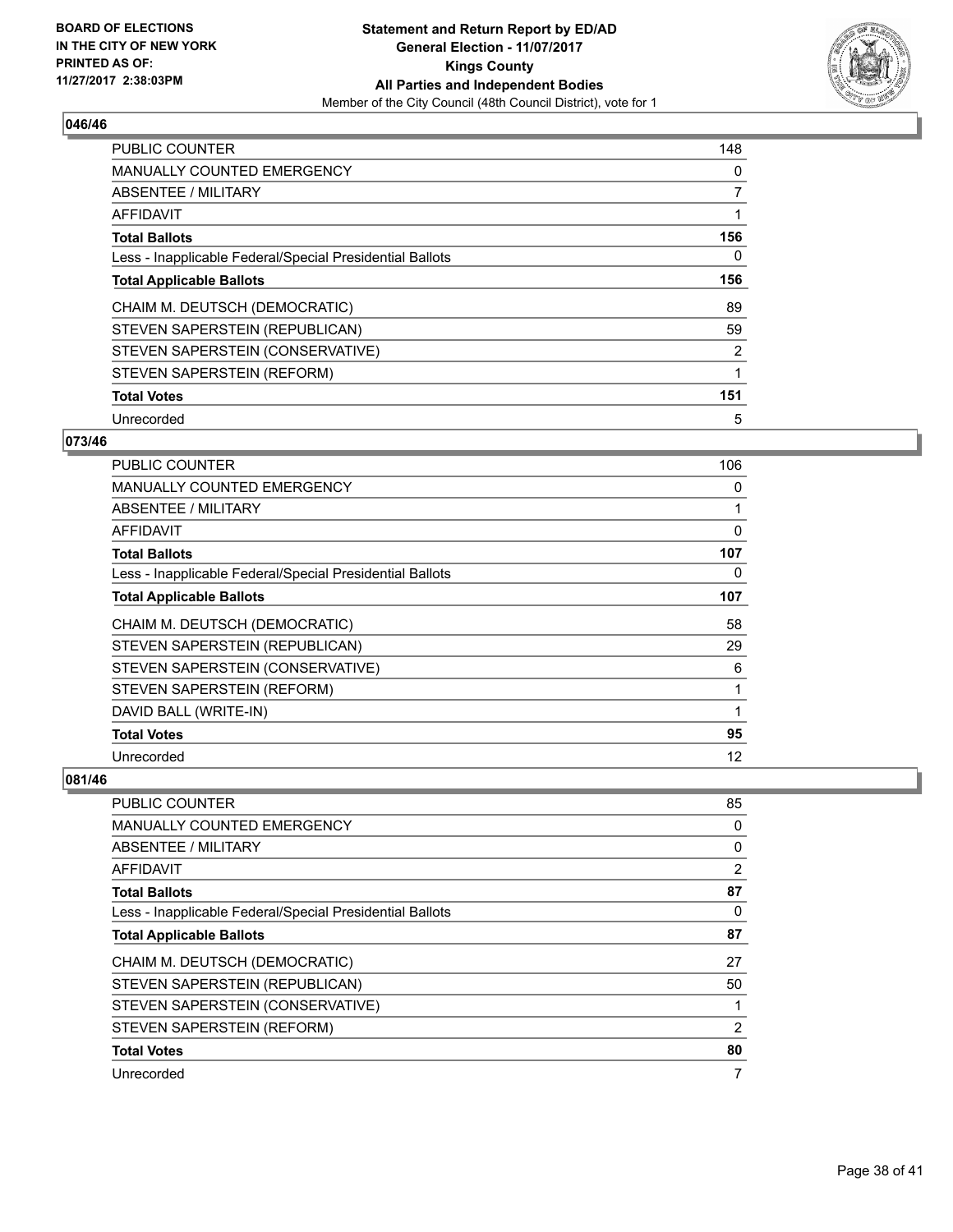

| <b>PUBLIC COUNTER</b>                                    | 148 |
|----------------------------------------------------------|-----|
| <b>MANUALLY COUNTED EMERGENCY</b>                        | 0   |
| ABSENTEE / MILITARY                                      | 7   |
| <b>AFFIDAVIT</b>                                         | 1   |
| <b>Total Ballots</b>                                     | 156 |
| Less - Inapplicable Federal/Special Presidential Ballots | 0   |
| <b>Total Applicable Ballots</b>                          | 156 |
| CHAIM M. DEUTSCH (DEMOCRATIC)                            | 89  |
| STEVEN SAPERSTEIN (REPUBLICAN)                           | 59  |
| STEVEN SAPERSTEIN (CONSERVATIVE)                         | 2   |
| STEVEN SAPERSTEIN (REFORM)                               | 1   |
| <b>Total Votes</b>                                       | 151 |
| Unrecorded                                               | 5   |

# **073/46**

| PUBLIC COUNTER                                           | 106 |
|----------------------------------------------------------|-----|
| <b>MANUALLY COUNTED EMERGENCY</b>                        | 0   |
| ABSENTEE / MILITARY                                      |     |
| AFFIDAVIT                                                | 0   |
| <b>Total Ballots</b>                                     | 107 |
| Less - Inapplicable Federal/Special Presidential Ballots | 0   |
| <b>Total Applicable Ballots</b>                          | 107 |
| CHAIM M. DEUTSCH (DEMOCRATIC)                            | 58  |
| STEVEN SAPERSTEIN (REPUBLICAN)                           | 29  |
| STEVEN SAPERSTEIN (CONSERVATIVE)                         | 6   |
| STEVEN SAPERSTEIN (REFORM)                               | 1   |
| DAVID BALL (WRITE-IN)                                    | 1   |
| <b>Total Votes</b>                                       | 95  |
| Unrecorded                                               | 12  |

| <b>PUBLIC COUNTER</b>                                    | 85 |
|----------------------------------------------------------|----|
| <b>MANUALLY COUNTED EMERGENCY</b>                        | 0  |
| ABSENTEE / MILITARY                                      | 0  |
| AFFIDAVIT                                                | 2  |
| <b>Total Ballots</b>                                     | 87 |
| Less - Inapplicable Federal/Special Presidential Ballots | 0  |
| <b>Total Applicable Ballots</b>                          | 87 |
| CHAIM M. DEUTSCH (DEMOCRATIC)                            | 27 |
| STEVEN SAPERSTEIN (REPUBLICAN)                           | 50 |
| STEVEN SAPERSTEIN (CONSERVATIVE)                         |    |
| STEVEN SAPERSTEIN (REFORM)                               | 2  |
| <b>Total Votes</b>                                       | 80 |
| Unrecorded                                               | 7  |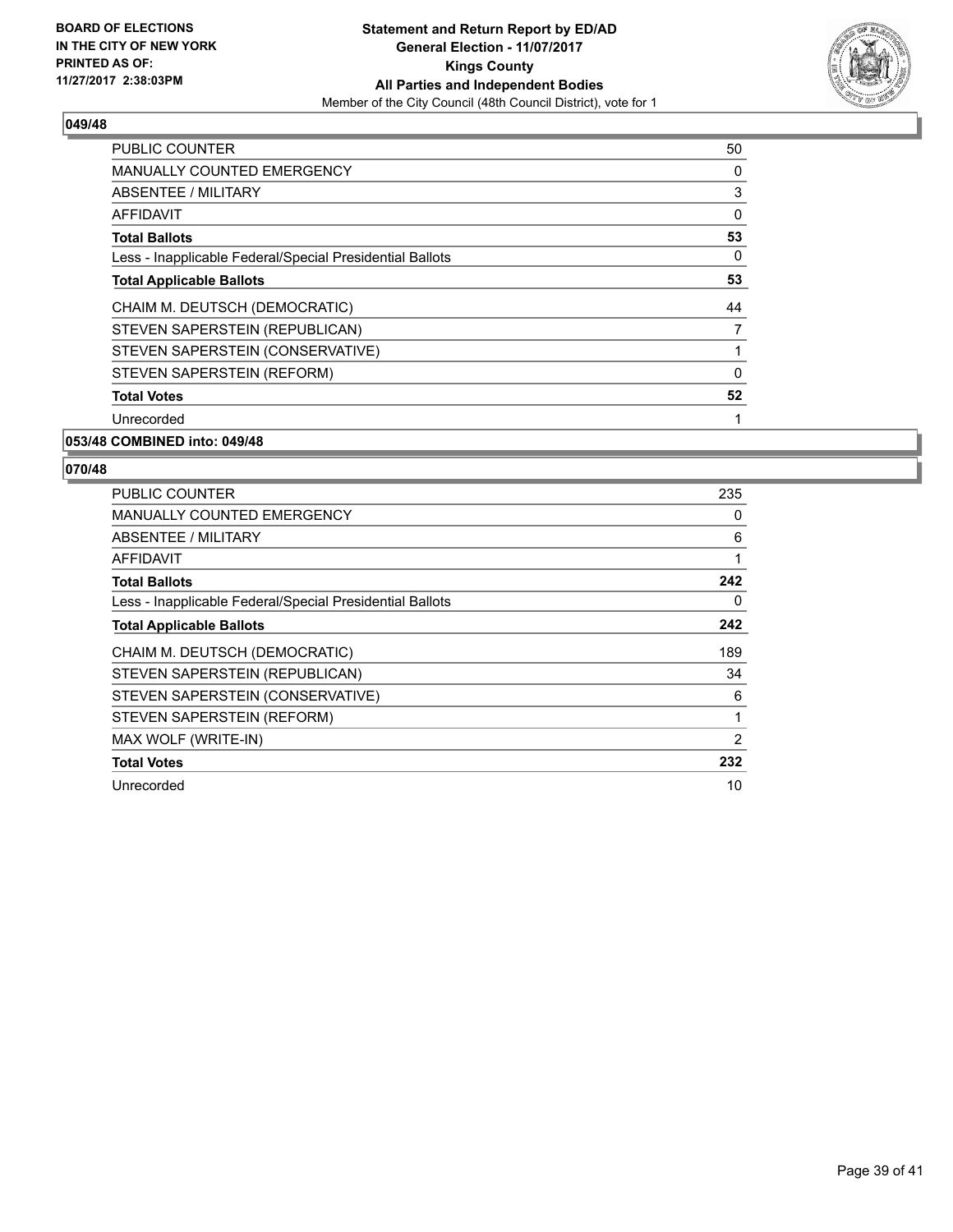

| <b>PUBLIC COUNTER</b>                                    | 50           |
|----------------------------------------------------------|--------------|
| <b>MANUALLY COUNTED EMERGENCY</b>                        | 0            |
| ABSENTEE / MILITARY                                      | 3            |
| AFFIDAVIT                                                | 0            |
| <b>Total Ballots</b>                                     | 53           |
| Less - Inapplicable Federal/Special Presidential Ballots | 0            |
| <b>Total Applicable Ballots</b>                          | 53           |
| CHAIM M. DEUTSCH (DEMOCRATIC)                            | 44           |
| STEVEN SAPERSTEIN (REPUBLICAN)                           | 7            |
| STEVEN SAPERSTEIN (CONSERVATIVE)                         |              |
| STEVEN SAPERSTEIN (REFORM)                               | $\mathbf{0}$ |
| <b>Total Votes</b>                                       | 52           |
| Unrecorded                                               | 1            |
|                                                          |              |

# **053/48 COMBINED into: 049/48**

| <b>PUBLIC COUNTER</b>                                    | 235            |
|----------------------------------------------------------|----------------|
| <b>MANUALLY COUNTED EMERGENCY</b>                        | 0              |
| <b>ABSENTEE / MILITARY</b>                               | 6              |
| <b>AFFIDAVIT</b>                                         |                |
| <b>Total Ballots</b>                                     | 242            |
| Less - Inapplicable Federal/Special Presidential Ballots | 0              |
| <b>Total Applicable Ballots</b>                          | 242            |
| CHAIM M. DEUTSCH (DEMOCRATIC)                            | 189            |
| STEVEN SAPERSTEIN (REPUBLICAN)                           | 34             |
|                                                          |                |
| STEVEN SAPERSTEIN (CONSERVATIVE)                         | 6              |
| STEVEN SAPERSTEIN (REFORM)                               | 1              |
| MAX WOLF (WRITE-IN)                                      | $\overline{2}$ |
| <b>Total Votes</b>                                       | 232            |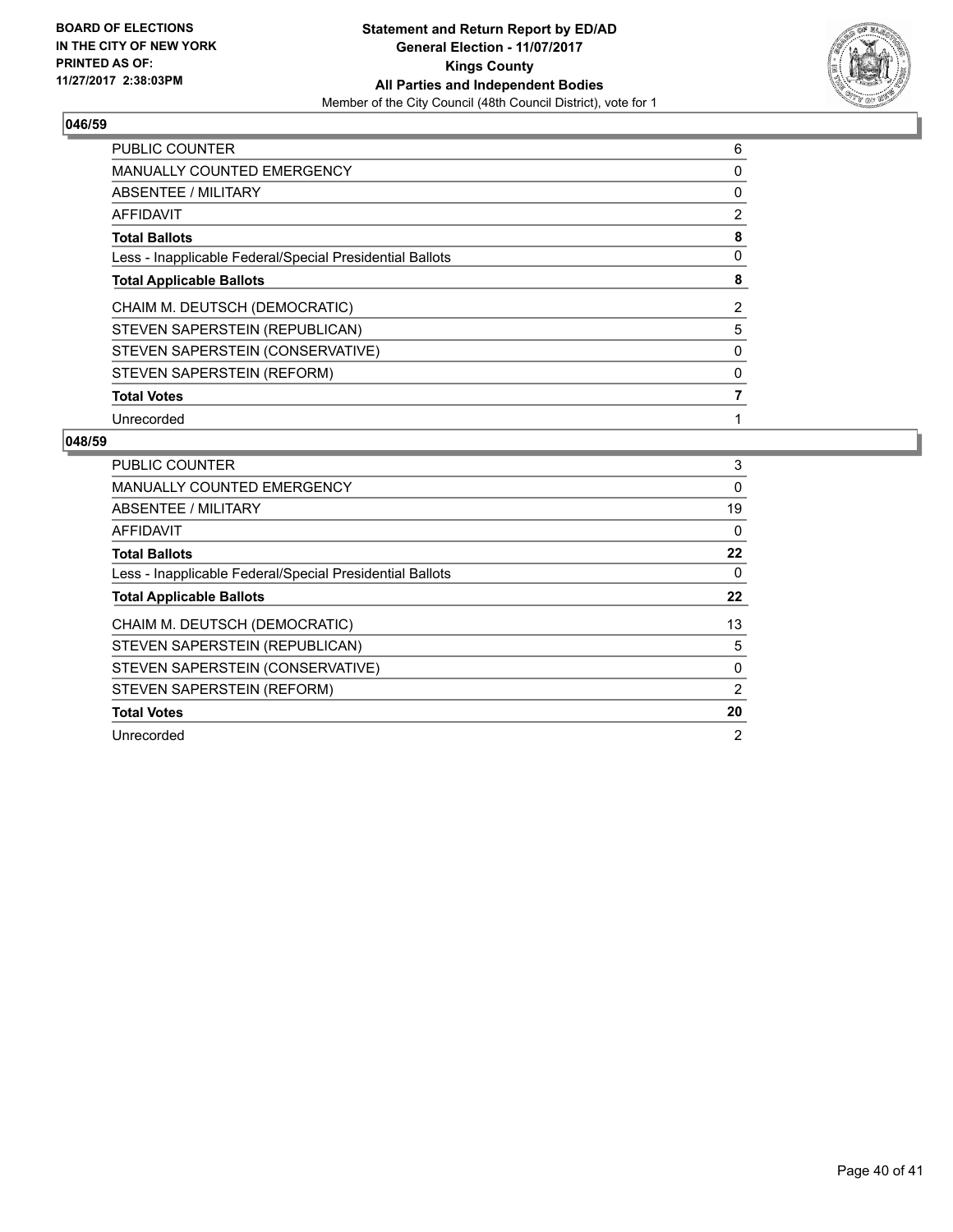

| <b>PUBLIC COUNTER</b>                                    | 6 |
|----------------------------------------------------------|---|
| <b>MANUALLY COUNTED EMERGENCY</b>                        | 0 |
| ABSENTEE / MILITARY                                      | 0 |
| <b>AFFIDAVIT</b>                                         | 2 |
| <b>Total Ballots</b>                                     | 8 |
| Less - Inapplicable Federal/Special Presidential Ballots | 0 |
| <b>Total Applicable Ballots</b>                          | 8 |
| CHAIM M. DEUTSCH (DEMOCRATIC)                            | 2 |
| STEVEN SAPERSTEIN (REPUBLICAN)                           | 5 |
| STEVEN SAPERSTEIN (CONSERVATIVE)                         | 0 |
| STEVEN SAPERSTEIN (REFORM)                               | 0 |
| <b>Total Votes</b>                                       |   |
| Unrecorded                                               |   |

| <b>PUBLIC COUNTER</b>                                    | 3              |
|----------------------------------------------------------|----------------|
| <b>MANUALLY COUNTED EMERGENCY</b>                        | $\Omega$       |
| ABSENTEE / MILITARY                                      | 19             |
| <b>AFFIDAVIT</b>                                         | 0              |
| <b>Total Ballots</b>                                     | 22             |
| Less - Inapplicable Federal/Special Presidential Ballots | 0              |
| <b>Total Applicable Ballots</b>                          | 22             |
| CHAIM M. DEUTSCH (DEMOCRATIC)                            | 13             |
| STEVEN SAPERSTEIN (REPUBLICAN)                           | 5              |
| STEVEN SAPERSTEIN (CONSERVATIVE)                         | 0              |
| STEVEN SAPERSTEIN (REFORM)                               | 2              |
| <b>Total Votes</b>                                       | 20             |
| Unrecorded                                               | $\overline{2}$ |